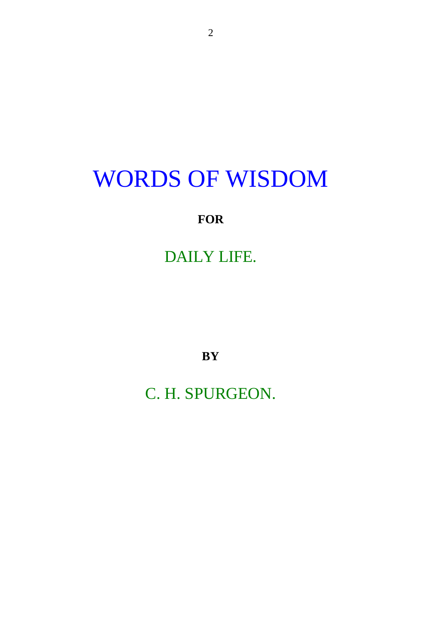### WORDS OF WISDOM

#### **FOR**

### DAILY LIFE.

**BY**

C. H. SPURGEON.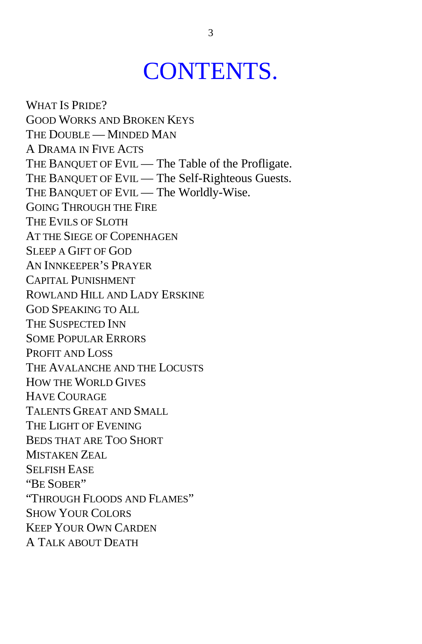## CONTENTS.

WHAT IS PRIDE? GOOD WORKS AND BROKEN KEYS THE DOUBLE — MINDED MAN A DRAMA IN FIVE ACTS THE BANQUET OF EVIL — The Table of the Profligate. THE BANQUET OF EVIL — The Self-Righteous Guests. THE BANQUET OF EVIL - The Worldly-Wise. GOING THROUGH THE FIRE THE EVILS OF SLOTH AT THE SIEGE OF COPENHAGEN SLEEP A GIFT OF GOD AN INNKEEPER'S PRAYER CAPITAL PUNISHMENT ROWLAND HILL AND LADY ERSKINE GOD SPEAKING TO ALL THE SUSPECTED INN SOME POPULAR ERRORS PROFIT AND LOSS THE AVALANCHE AND THE LOCUSTS HOW THE WORLD GIVES HAVE COURAGE TALENTS GREAT AND SMALL THE LIGHT OF EVENING BEDS THAT ARE TOO SHORT MISTAKEN ZEAL SELFISH EASE "BE SOBER" "THROUGH FLOODS AND FLAMES" SHOW YOUR COLORS KEEP YOUR OWN CARDEN A TALK ABOUT DEATH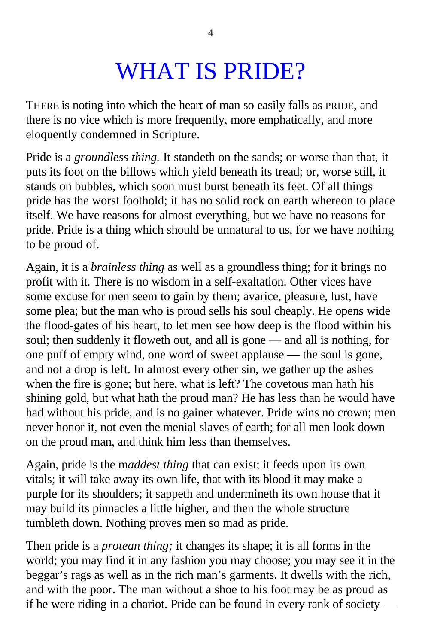# WHAT IS PRIDE?

THERE is noting into which the heart of man so easily falls as PRIDE, and there is no vice which is more frequently, more emphatically, and more eloquently condemned in Scripture.

Pride is a *groundless thing.* It standeth on the sands; or worse than that, it puts its foot on the billows which yield beneath its tread; or, worse still, it stands on bubbles, which soon must burst beneath its feet. Of all things pride has the worst foothold; it has no solid rock on earth whereon to place itself. We have reasons for almost everything, but we have no reasons for pride. Pride is a thing which should be unnatural to us, for we have nothing to be proud of.

Again, it is a *brainless thing* as well as a groundless thing; for it brings no profit with it. There is no wisdom in a self-exaltation. Other vices have some excuse for men seem to gain by them; avarice, pleasure, lust, have some plea; but the man who is proud sells his soul cheaply. He opens wide the flood-gates of his heart, to let men see how deep is the flood within his soul; then suddenly it floweth out, and all is gone — and all is nothing, for one puff of empty wind, one word of sweet applause — the soul is gone, and not a drop is left. In almost every other sin, we gather up the ashes when the fire is gone; but here, what is left? The covetous man hath his shining gold, but what hath the proud man? He has less than he would have had without his pride, and is no gainer whatever. Pride wins no crown; men never honor it, not even the menial slaves of earth; for all men look down on the proud man, and think him less than themselves.

Again, pride is the m*addest thing* that can exist; it feeds upon its own vitals; it will take away its own life, that with its blood it may make a purple for its shoulders; it sappeth and undermineth its own house that it may build its pinnacles a little higher, and then the whole structure tumbleth down. Nothing proves men so mad as pride.

Then pride is a *protean thing;* it changes its shape; it is all forms in the world; you may find it in any fashion you may choose; you may see it in the beggar's rags as well as in the rich man's garments. It dwells with the rich, and with the poor. The man without a shoe to his foot may be as proud as if he were riding in a chariot. Pride can be found in every rank of society —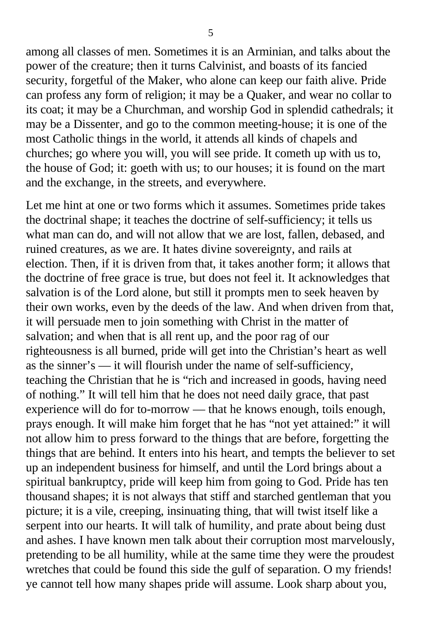among all classes of men. Sometimes it is an Arminian, and talks about the power of the creature; then it turns Calvinist, and boasts of its fancied security, forgetful of the Maker, who alone can keep our faith alive. Pride can profess any form of religion; it may be a Quaker, and wear no collar to its coat; it may be a Churchman, and worship God in splendid cathedrals; it may be a Dissenter, and go to the common meeting-house; it is one of the most Catholic things in the world, it attends all kinds of chapels and churches; go where you will, you will see pride. It cometh up with us to, the house of God; it: goeth with us; to our houses; it is found on the mart and the exchange, in the streets, and everywhere.

Let me hint at one or two forms which it assumes. Sometimes pride takes the doctrinal shape; it teaches the doctrine of self-sufficiency; it tells us what man can do, and will not allow that we are lost, fallen, debased, and ruined creatures, as we are. It hates divine sovereignty, and rails at election. Then, if it is driven from that, it takes another form; it allows that the doctrine of free grace is true, but does not feel it. It acknowledges that salvation is of the Lord alone, but still it prompts men to seek heaven by their own works, even by the deeds of the law. And when driven from that, it will persuade men to join something with Christ in the matter of salvation; and when that is all rent up, and the poor rag of our righteousness is all burned, pride will get into the Christian's heart as well as the sinner's — it will flourish under the name of self-sufficiency, teaching the Christian that he is "rich and increased in goods, having need of nothing." It will tell him that he does not need daily grace, that past experience will do for to-morrow — that he knows enough, toils enough, prays enough. It will make him forget that he has "not yet attained:" it will not allow him to press forward to the things that are before, forgetting the things that are behind. It enters into his heart, and tempts the believer to set up an independent business for himself, and until the Lord brings about a spiritual bankruptcy, pride will keep him from going to God. Pride has ten thousand shapes; it is not always that stiff and starched gentleman that you picture; it is a vile, creeping, insinuating thing, that will twist itself like a serpent into our hearts. It will talk of humility, and prate about being dust and ashes. I have known men talk about their corruption most marvelously, pretending to be all humility, while at the same time they were the proudest wretches that could be found this side the gulf of separation. O my friends! ye cannot tell how many shapes pride will assume. Look sharp about you,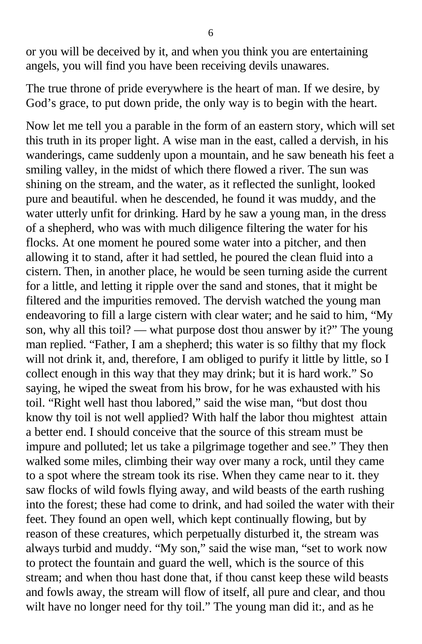or you will be deceived by it, and when you think you are entertaining angels, you will find you have been receiving devils unawares.

The true throne of pride everywhere is the heart of man. If we desire, by God's grace, to put down pride, the only way is to begin with the heart.

Now let me tell you a parable in the form of an eastern story, which will set this truth in its proper light. A wise man in the east, called a dervish, in his wanderings, came suddenly upon a mountain, and he saw beneath his feet a smiling valley, in the midst of which there flowed a river. The sun was shining on the stream, and the water, as it reflected the sunlight, looked pure and beautiful. when he descended, he found it was muddy, and the water utterly unfit for drinking. Hard by he saw a young man, in the dress of a shepherd, who was with much diligence filtering the water for his flocks. At one moment he poured some water into a pitcher, and then allowing it to stand, after it had settled, he poured the clean fluid into a cistern. Then, in another place, he would be seen turning aside the current for a little, and letting it ripple over the sand and stones, that it might be filtered and the impurities removed. The dervish watched the young man endeavoring to fill a large cistern with clear water; and he said to him, "My son, why all this toil? — what purpose dost thou answer by it?" The young man replied. "Father, I am a shepherd; this water is so filthy that my flock will not drink it, and, therefore, I am obliged to purify it little by little, so I collect enough in this way that they may drink; but it is hard work." So saying, he wiped the sweat from his brow, for he was exhausted with his toil. "Right well hast thou labored," said the wise man, "but dost thou know thy toil is not well applied? With half the labor thou mightest attain a better end. I should conceive that the source of this stream must be impure and polluted; let us take a pilgrimage together and see." They then walked some miles, climbing their way over many a rock, until they came to a spot where the stream took its rise. When they came near to it. they saw flocks of wild fowls flying away, and wild beasts of the earth rushing into the forest; these had come to drink, and had soiled the water with their feet. They found an open well, which kept continually flowing, but by reason of these creatures, which perpetually disturbed it, the stream was always turbid and muddy. "My son," said the wise man, "set to work now to protect the fountain and guard the well, which is the source of this stream; and when thou hast done that, if thou canst keep these wild beasts and fowls away, the stream will flow of itself, all pure and clear, and thou wilt have no longer need for thy toil." The young man did it:, and as he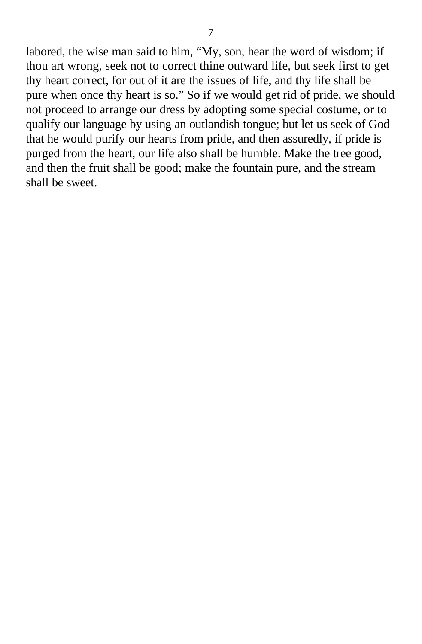labored, the wise man said to him, "My, son, hear the word of wisdom; if thou art wrong, seek not to correct thine outward life, but seek first to get thy heart correct, for out of it are the issues of life, and thy life shall be pure when once thy heart is so." So if we would get rid of pride, we should not proceed to arrange our dress by adopting some special costume, or to qualify our language by using an outlandish tongue; but let us seek of God that he would purify our hearts from pride, and then assuredly, if pride is purged from the heart, our life also shall be humble. Make the tree good, and then the fruit shall be good; make the fountain pure, and the stream shall be sweet.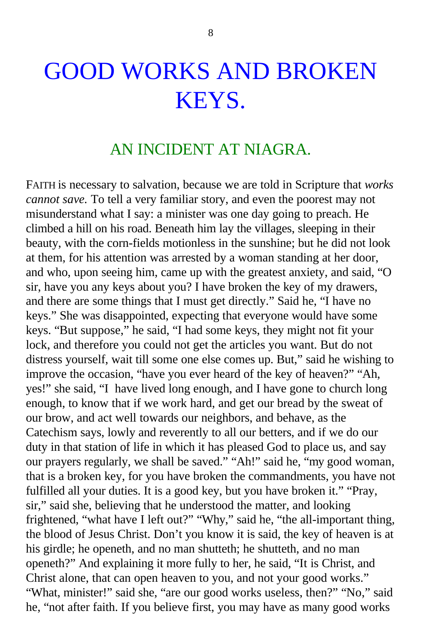# GOOD WORKS AND BROKEN KEYS.

#### AN INCIDENT AT NIAGRA.

FAITH is necessary to salvation, because we are told in Scripture that *works cannot save.* To tell a very familiar story, and even the poorest may not misunderstand what I say: a minister was one day going to preach. He climbed a hill on his road. Beneath him lay the villages, sleeping in their beauty, with the corn-fields motionless in the sunshine; but he did not look at them, for his attention was arrested by a woman standing at her door, and who, upon seeing him, came up with the greatest anxiety, and said, "O sir, have you any keys about you? I have broken the key of my drawers, and there are some things that I must get directly." Said he, "I have no keys." She was disappointed, expecting that everyone would have some keys. "But suppose," he said, "I had some keys, they might not fit your lock, and therefore you could not get the articles you want. But do not distress yourself, wait till some one else comes up. But," said he wishing to improve the occasion, "have you ever heard of the key of heaven?" "Ah, yes!" she said, "I have lived long enough, and I have gone to church long enough, to know that if we work hard, and get our bread by the sweat of our brow, and act well towards our neighbors, and behave, as the Catechism says, lowly and reverently to all our betters, and if we do our duty in that station of life in which it has pleased God to place us, and say our prayers regularly, we shall be saved." "Ah!" said he, "my good woman, that is a broken key, for you have broken the commandments, you have not fulfilled all your duties. It is a good key, but you have broken it." "Pray, sir," said she, believing that he understood the matter, and looking frightened, "what have I left out?" "Why," said he, "the all-important thing, the blood of Jesus Christ. Don't you know it is said, the key of heaven is at his girdle; he openeth, and no man shutteth; he shutteth, and no man openeth?" And explaining it more fully to her, he said, "It is Christ, and Christ alone, that can open heaven to you, and not your good works." "What, minister!" said she, "are our good works useless, then?" "No," said he, "not after faith. If you believe first, you may have as many good works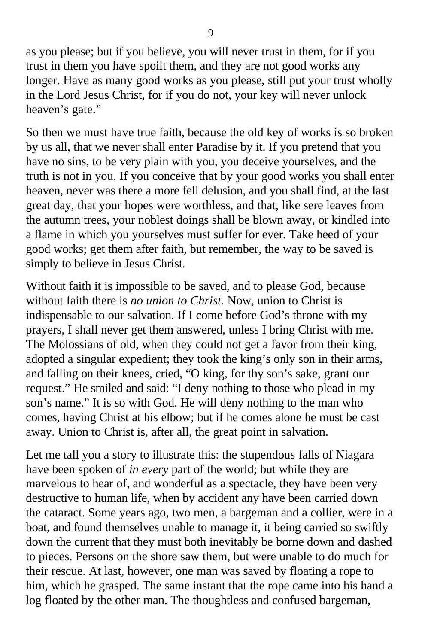as you please; but if you believe, you will never trust in them, for if you trust in them you have spoilt them, and they are not good works any longer. Have as many good works as you please, still put your trust wholly in the Lord Jesus Christ, for if you do not, your key will never unlock heaven's gate."

So then we must have true faith, because the old key of works is so broken by us all, that we never shall enter Paradise by it. If you pretend that you have no sins, to be very plain with you, you deceive yourselves, and the truth is not in you. If you conceive that by your good works you shall enter heaven, never was there a more fell delusion, and you shall find, at the last great day, that your hopes were worthless, and that, like sere leaves from the autumn trees, your noblest doings shall be blown away, or kindled into a flame in which you yourselves must suffer for ever. Take heed of your good works; get them after faith, but remember, the way to be saved is simply to believe in Jesus Christ.

Without faith it is impossible to be saved, and to please God, because without faith there is *no union to Christ.* Now, union to Christ is indispensable to our salvation. If I come before God's throne with my prayers, I shall never get them answered, unless I bring Christ with me. The Molossians of old, when they could not get a favor from their king, adopted a singular expedient; they took the king's only son in their arms, and falling on their knees, cried, "O king, for thy son's sake, grant our request." He smiled and said: "I deny nothing to those who plead in my son's name." It is so with God. He will deny nothing to the man who comes, having Christ at his elbow; but if he comes alone he must be cast away. Union to Christ is, after all, the great point in salvation.

Let me tall you a story to illustrate this: the stupendous falls of Niagara have been spoken of *in every* part of the world; but while they are marvelous to hear of, and wonderful as a spectacle, they have been very destructive to human life, when by accident any have been carried down the cataract. Some years ago, two men, a bargeman and a collier, were in a boat, and found themselves unable to manage it, it being carried so swiftly down the current that they must both inevitably be borne down and dashed to pieces. Persons on the shore saw them, but were unable to do much for their rescue. At last, however, one man was saved by floating a rope to him, which he grasped. The same instant that the rope came into his hand a log floated by the other man. The thoughtless and confused bargeman,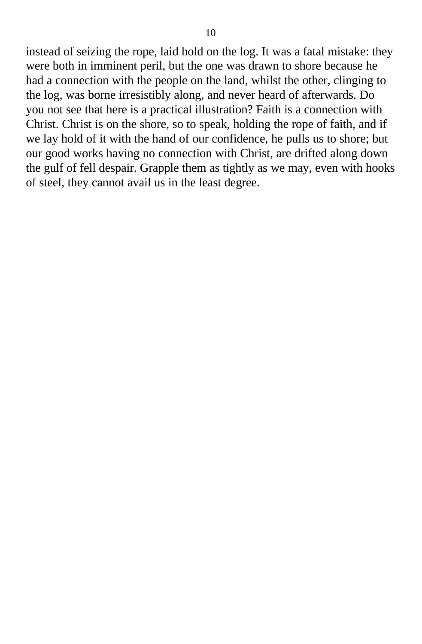instead of seizing the rope, laid hold on the log. It was a fatal mistake: they were both in imminent peril, but the one was drawn to shore because he had a connection with the people on the land, whilst the other, clinging to the log, was borne irresistibly along, and never heard of afterwards. Do you not see that here is a practical illustration? Faith is a connection with Christ. Christ is on the shore, so to speak, holding the rope of faith, and if we lay hold of it with the hand of our confidence, he pulls us to shore; but our good works having no connection with Christ, are drifted along down the gulf of fell despair. Grapple them as tightly as we may, even with hooks of steel, they cannot avail us in the least degree.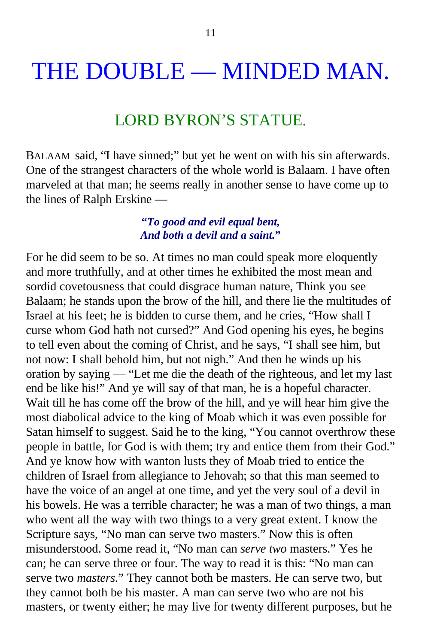## THE DOUBLE — MINDED MAN.

#### LORD BYRON'S STATUE.

BALAAM said, "I have sinned;" but yet he went on with his sin afterwards. One of the strangest characters of the whole world is Balaam. I have often marveled at that man; he seems really in another sense to have come up to the lines of Ralph Erskine —

#### **"***To good and evil equal bent, And both a devil and a saint.***"**

For he did seem to be so. At times no man could speak more eloquently and more truthfully, and at other times he exhibited the most mean and sordid covetousness that could disgrace human nature, Think you see Balaam; he stands upon the brow of the hill, and there lie the multitudes of Israel at his feet; he is bidden to curse them, and he cries, "How shall I curse whom God hath not cursed?" And God opening his eyes, he begins to tell even about the coming of Christ, and he says, "I shall see him, but not now: I shall behold him, but not nigh." And then he winds up his oration by saying — "Let me die the death of the righteous, and let my last end be like his!" And ye will say of that man, he is a hopeful character. Wait till he has come off the brow of the hill, and ye will hear him give the most diabolical advice to the king of Moab which it was even possible for Satan himself to suggest. Said he to the king, "You cannot overthrow these people in battle, for God is with them; try and entice them from their God." And ye know how with wanton lusts they of Moab tried to entice the children of Israel from allegiance to Jehovah; so that this man seemed to have the voice of an angel at one time, and yet the very soul of a devil in his bowels. He was a terrible character; he was a man of two things, a man who went all the way with two things to a very great extent. I know the Scripture says, "No man can serve two masters." Now this is often misunderstood. Some read it, "No man can *serve two* masters." Yes he can; he can serve three or four. The way to read it is this: "No man can serve two *masters.*" They cannot both be masters. He can serve two, but they cannot both be his master. A man can serve two who are not his masters, or twenty either; he may live for twenty different purposes, but he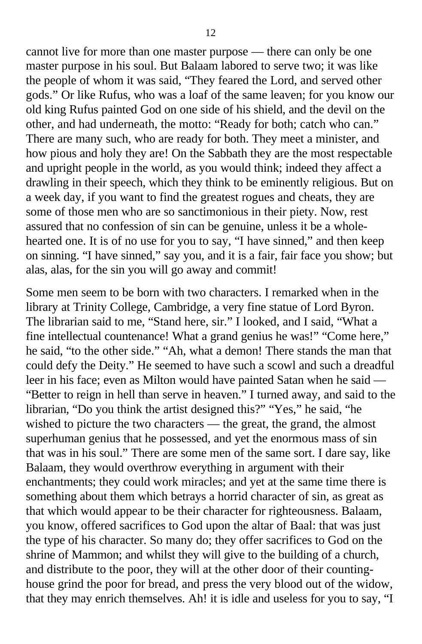cannot live for more than one master purpose — there can only be one master purpose in his soul. But Balaam labored to serve two; it was like the people of whom it was said, "They feared the Lord, and served other gods." Or like Rufus, who was a loaf of the same leaven; for you know our old king Rufus painted God on one side of his shield, and the devil on the other, and had underneath, the motto: "Ready for both; catch who can." There are many such, who are ready for both. They meet a minister, and how pious and holy they are! On the Sabbath they are the most respectable and upright people in the world, as you would think; indeed they affect a drawling in their speech, which they think to be eminently religious. But on a week day, if you want to find the greatest rogues and cheats, they are some of those men who are so sanctimonious in their piety. Now, rest assured that no confession of sin can be genuine, unless it be a wholehearted one. It is of no use for you to say, "I have sinned," and then keep on sinning. "I have sinned," say you, and it is a fair, fair face you show; but alas, alas, for the sin you will go away and commit!

Some men seem to be born with two characters. I remarked when in the library at Trinity College, Cambridge, a very fine statue of Lord Byron. The librarian said to me, "Stand here, sir." I looked, and I said, "What a fine intellectual countenance! What a grand genius he was!" "Come here," he said, "to the other side." "Ah, what a demon! There stands the man that could defy the Deity." He seemed to have such a scowl and such a dreadful leer in his face; even as Milton would have painted Satan when he said — "Better to reign in hell than serve in heaven." I turned away, and said to the librarian, "Do you think the artist designed this?" "Yes," he said, "he wished to picture the two characters — the great, the grand, the almost superhuman genius that he possessed, and yet the enormous mass of sin that was in his soul." There are some men of the same sort. I dare say, like Balaam, they would overthrow everything in argument with their enchantments; they could work miracles; and yet at the same time there is something about them which betrays a horrid character of sin, as great as that which would appear to be their character for righteousness. Balaam, you know, offered sacrifices to God upon the altar of Baal: that was just the type of his character. So many do; they offer sacrifices to God on the shrine of Mammon; and whilst they will give to the building of a church, and distribute to the poor, they will at the other door of their countinghouse grind the poor for bread, and press the very blood out of the widow, that they may enrich themselves. Ah! it is idle and useless for you to say, "I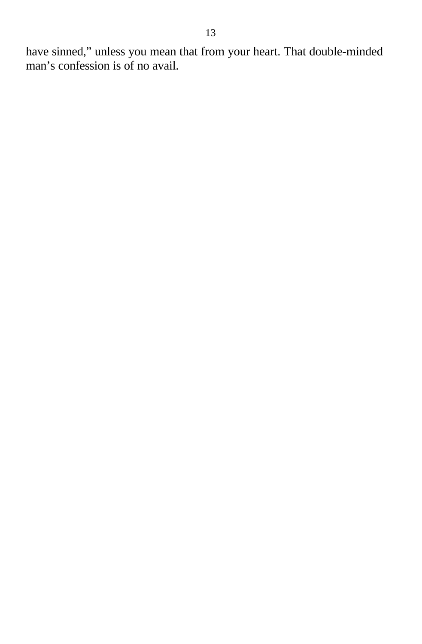have sinned," unless you mean that from your heart. That double-minded man's confession is of no avail.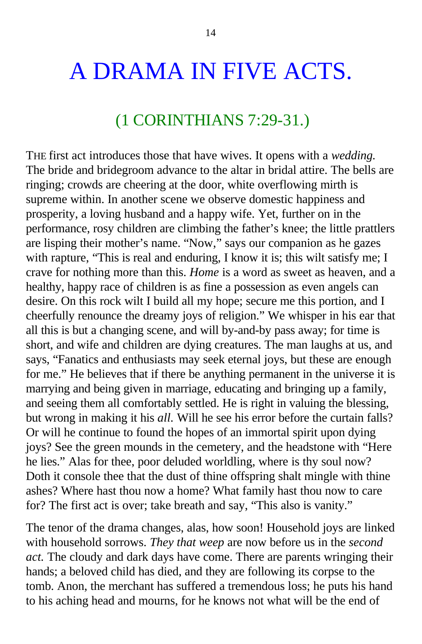## A DRAMA IN FIVE ACTS.

#### (1 CORINTHIANS 7:29-31.)

THE first act introduces those that have wives. It opens with a *wedding.* The bride and bridegroom advance to the altar in bridal attire. The bells are ringing; crowds are cheering at the door, white overflowing mirth is supreme within. In another scene we observe domestic happiness and prosperity, a loving husband and a happy wife. Yet, further on in the performance, rosy children are climbing the father's knee; the little prattlers are lisping their mother's name. "Now," says our companion as he gazes with rapture, "This is real and enduring, I know it is; this wilt satisfy me; I crave for nothing more than this. *Home* is a word as sweet as heaven, and a healthy, happy race of children is as fine a possession as even angels can desire. On this rock wilt I build all my hope; secure me this portion, and I cheerfully renounce the dreamy joys of religion." We whisper in his ear that all this is but a changing scene, and will by-and-by pass away; for time is short, and wife and children are dying creatures. The man laughs at us, and says, "Fanatics and enthusiasts may seek eternal joys, but these are enough for me." He believes that if there be anything permanent in the universe it is marrying and being given in marriage, educating and bringing up a family, and seeing them all comfortably settled. He is right in valuing the blessing, but wrong in making it his *all.* Will he see his error before the curtain falls? Or will he continue to found the hopes of an immortal spirit upon dying joys? See the green mounds in the cemetery, and the headstone with "Here he lies." Alas for thee, poor deluded worldling, where is thy soul now? Doth it console thee that the dust of thine offspring shalt mingle with thine ashes? Where hast thou now a home? What family hast thou now to care for? The first act is over; take breath and say, "This also is vanity."

The tenor of the drama changes, alas, how soon! Household joys are linked with household sorrows. *They that weep* are now before us in the *second act.* The cloudy and dark days have come. There are parents wringing their hands; a beloved child has died, and they are following its corpse to the tomb. Anon, the merchant has suffered a tremendous loss; he puts his hand to his aching head and mourns, for he knows not what will be the end of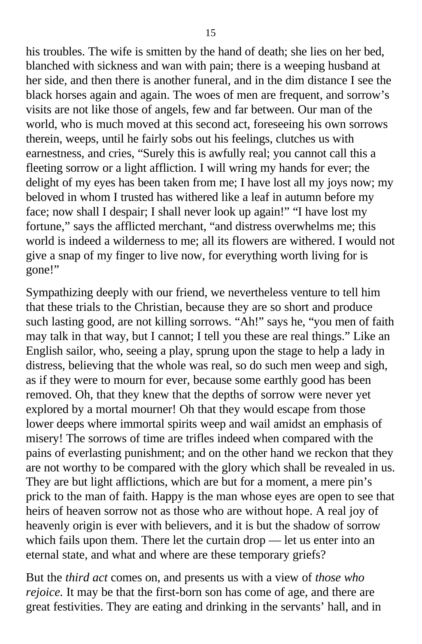his troubles. The wife is smitten by the hand of death; she lies on her bed, blanched with sickness and wan with pain; there is a weeping husband at her side, and then there is another funeral, and in the dim distance I see the black horses again and again. The woes of men are frequent, and sorrow's visits are not like those of angels, few and far between. Our man of the world, who is much moved at this second act, foreseeing his own sorrows therein, weeps, until he fairly sobs out his feelings, clutches us with earnestness, and cries, "Surely this is awfully real; you cannot call this a fleeting sorrow or a light affliction. I will wring my hands for ever; the delight of my eyes has been taken from me; I have lost all my joys now; my beloved in whom I trusted has withered like a leaf in autumn before my face; now shall I despair; I shall never look up again!" "I have lost my fortune," says the afflicted merchant, "and distress overwhelms me; this world is indeed a wilderness to me; all its flowers are withered. I would not give a snap of my finger to live now, for everything worth living for is gone!"

Sympathizing deeply with our friend, we nevertheless venture to tell him that these trials to the Christian, because they are so short and produce such lasting good, are not killing sorrows. "Ah!" says he, "you men of faith may talk in that way, but I cannot; I tell you these are real things." Like an English sailor, who, seeing a play, sprung upon the stage to help a lady in distress, believing that the whole was real, so do such men weep and sigh, as if they were to mourn for ever, because some earthly good has been removed. Oh, that they knew that the depths of sorrow were never yet explored by a mortal mourner! Oh that they would escape from those lower deeps where immortal spirits weep and wail amidst an emphasis of misery! The sorrows of time are trifles indeed when compared with the pains of everlasting punishment; and on the other hand we reckon that they are not worthy to be compared with the glory which shall be revealed in us. They are but light afflictions, which are but for a moment, a mere pin's prick to the man of faith. Happy is the man whose eyes are open to see that heirs of heaven sorrow not as those who are without hope. A real joy of heavenly origin is ever with believers, and it is but the shadow of sorrow which fails upon them. There let the curtain drop — let us enter into an eternal state, and what and where are these temporary griefs?

But the *third act* comes on, and presents us with a view of *those who rejoice.* It may be that the first-born son has come of age, and there are great festivities. They are eating and drinking in the servants' hall, and in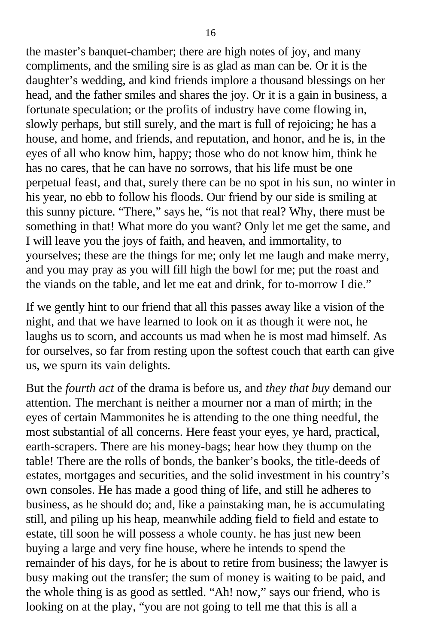the master's banquet-chamber; there are high notes of joy, and many compliments, and the smiling sire is as glad as man can be. Or it is the daughter's wedding, and kind friends implore a thousand blessings on her head, and the father smiles and shares the joy. Or it is a gain in business, a fortunate speculation; or the profits of industry have come flowing in, slowly perhaps, but still surely, and the mart is full of rejoicing; he has a house, and home, and friends, and reputation, and honor, and he is, in the eyes of all who know him, happy; those who do not know him, think he has no cares, that he can have no sorrows, that his life must be one perpetual feast, and that, surely there can be no spot in his sun, no winter in his year, no ebb to follow his floods. Our friend by our side is smiling at this sunny picture. "There," says he, "is not that real? Why, there must be something in that! What more do you want? Only let me get the same, and I will leave you the joys of faith, and heaven, and immortality, to yourselves; these are the things for me; only let me laugh and make merry, and you may pray as you will fill high the bowl for me; put the roast and the viands on the table, and let me eat and drink, for to-morrow I die."

If we gently hint to our friend that all this passes away like a vision of the night, and that we have learned to look on it as though it were not, he laughs us to scorn, and accounts us mad when he is most mad himself. As for ourselves, so far from resting upon the softest couch that earth can give us, we spurn its vain delights.

But the *fourth act* of the drama is before us, and *they that buy* demand our attention. The merchant is neither a mourner nor a man of mirth; in the eyes of certain Mammonites he is attending to the one thing needful, the most substantial of all concerns. Here feast your eyes, ye hard, practical, earth-scrapers. There are his money-bags; hear how they thump on the table! There are the rolls of bonds, the banker's books, the title-deeds of estates, mortgages and securities, and the solid investment in his country's own consoles. He has made a good thing of life, and still he adheres to business, as he should do; and, like a painstaking man, he is accumulating still, and piling up his heap, meanwhile adding field to field and estate to estate, till soon he will possess a whole county. he has just new been buying a large and very fine house, where he intends to spend the remainder of his days, for he is about to retire from business; the lawyer is busy making out the transfer; the sum of money is waiting to be paid, and the whole thing is as good as settled. "Ah! now," says our friend, who is looking on at the play, "you are not going to tell me that this is all a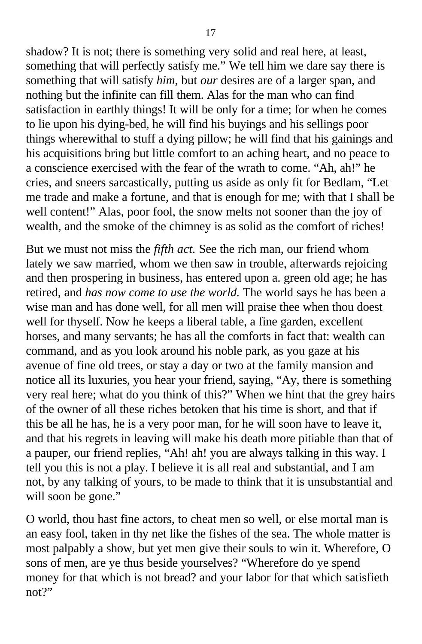shadow? It is not; there is something very solid and real here, at least, something that will perfectly satisfy me." We tell him we dare say there is something that will satisfy *him*, but *our* desires are of a larger span, and nothing but the infinite can fill them. Alas for the man who can find satisfaction in earthly things! It will be only for a time; for when he comes to lie upon his dying-bed, he will find his buyings and his sellings poor things wherewithal to stuff a dying pillow; he will find that his gainings and his acquisitions bring but little comfort to an aching heart, and no peace to a conscience exercised with the fear of the wrath to come. "Ah, ah!" he cries, and sneers sarcastically, putting us aside as only fit for Bedlam, "Let me trade and make a fortune, and that is enough for me; with that I shall be well content!" Alas, poor fool, the snow melts not sooner than the joy of wealth, and the smoke of the chimney is as solid as the comfort of riches!

But we must not miss the *fifth act.* See the rich man, our friend whom lately we saw married, whom we then saw in trouble, afterwards rejoicing and then prospering in business, has entered upon a. green old age; he has retired, and *has now come to use the world.* The world says he has been a wise man and has done well, for all men will praise thee when thou doest well for thyself. Now he keeps a liberal table, a fine garden, excellent horses, and many servants; he has all the comforts in fact that: wealth can command, and as you look around his noble park, as you gaze at his avenue of fine old trees, or stay a day or two at the family mansion and notice all its luxuries, you hear your friend, saying, "Ay, there is something very real here; what do you think of this?" When we hint that the grey hairs of the owner of all these riches betoken that his time is short, and that if this be all he has, he is a very poor man, for he will soon have to leave it, and that his regrets in leaving will make his death more pitiable than that of a pauper, our friend replies, "Ah! ah! you are always talking in this way. I tell you this is not a play. I believe it is all real and substantial, and I am not, by any talking of yours, to be made to think that it is unsubstantial and will soon be gone."

O world, thou hast fine actors, to cheat men so well, or else mortal man is an easy fool, taken in thy net like the fishes of the sea. The whole matter is most palpably a show, but yet men give their souls to win it. Wherefore, O sons of men, are ye thus beside yourselves? "Wherefore do ye spend money for that which is not bread? and your labor for that which satisfieth not?"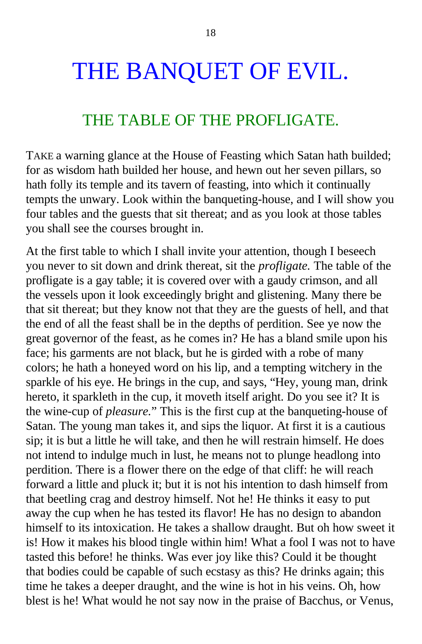# THE BANQUET OF EVIL.

#### THE TABLE OF THE PROFLIGATE.

TAKE a warning glance at the House of Feasting which Satan hath builded; for as wisdom hath builded her house, and hewn out her seven pillars, so hath folly its temple and its tavern of feasting, into which it continually tempts the unwary. Look within the banqueting-house, and I will show you four tables and the guests that sit thereat; and as you look at those tables you shall see the courses brought in.

At the first table to which I shall invite your attention, though I beseech you never to sit down and drink thereat, sit the *profligate.* The table of the profligate is a gay table; it is covered over with a gaudy crimson, and all the vessels upon it look exceedingly bright and glistening. Many there be that sit thereat; but they know not that they are the guests of hell, and that the end of all the feast shall be in the depths of perdition. See ye now the great governor of the feast, as he comes in? He has a bland smile upon his face; his garments are not black, but he is girded with a robe of many colors; he hath a honeyed word on his lip, and a tempting witchery in the sparkle of his eye. He brings in the cup, and says, "Hey, young man, drink hereto, it sparkleth in the cup, it moveth itself aright. Do you see it? It is the wine-cup of *pleasure.*" This is the first cup at the banqueting-house of Satan. The young man takes it, and sips the liquor. At first it is a cautious sip; it is but a little he will take, and then he will restrain himself. He does not intend to indulge much in lust, he means not to plunge headlong into perdition. There is a flower there on the edge of that cliff: he will reach forward a little and pluck it; but it is not his intention to dash himself from that beetling crag and destroy himself. Not he! He thinks it easy to put away the cup when he has tested its flavor! He has no design to abandon himself to its intoxication. He takes a shallow draught. But oh how sweet it is! How it makes his blood tingle within him! What a fool I was not to have tasted this before! he thinks. Was ever joy like this? Could it be thought that bodies could be capable of such ecstasy as this? He drinks again; this time he takes a deeper draught, and the wine is hot in his veins. Oh, how blest is he! What would he not say now in the praise of Bacchus, or Venus,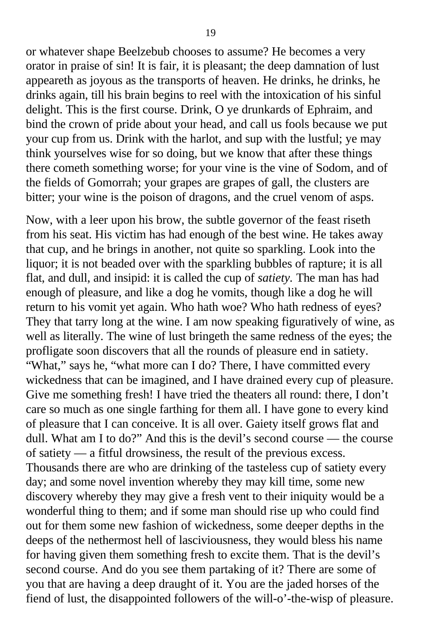or whatever shape Beelzebub chooses to assume? He becomes a very orator in praise of sin! It is fair, it is pleasant; the deep damnation of lust appeareth as joyous as the transports of heaven. He drinks, he drinks, he drinks again, till his brain begins to reel with the intoxication of his sinful delight. This is the first course. Drink, O ye drunkards of Ephraim, and bind the crown of pride about your head, and call us fools because we put your cup from us. Drink with the harlot, and sup with the lustful; ye may think yourselves wise for so doing, but we know that after these things there cometh something worse; for your vine is the vine of Sodom, and of the fields of Gomorrah; your grapes are grapes of gall, the clusters are bitter; your wine is the poison of dragons, and the cruel venom of asps.

Now, with a leer upon his brow, the subtle governor of the feast riseth from his seat. His victim has had enough of the best wine. He takes away that cup, and he brings in another, not quite so sparkling. Look into the liquor; it is not beaded over with the sparkling bubbles of rapture; it is all flat, and dull, and insipid: it is called the cup of *satiety.* The man has had enough of pleasure, and like a dog he vomits, though like a dog he will return to his vomit yet again. Who hath woe? Who hath redness of eyes? They that tarry long at the wine. I am now speaking figuratively of wine, as well as literally. The wine of lust bringeth the same redness of the eyes; the profligate soon discovers that all the rounds of pleasure end in satiety. "What," says he, "what more can I do? There, I have committed every wickedness that can be imagined, and I have drained every cup of pleasure. Give me something fresh! I have tried the theaters all round: there, I don't care so much as one single farthing for them all. I have gone to every kind of pleasure that I can conceive. It is all over. Gaiety itself grows flat and dull. What am I to do?" And this is the devil's second course — the course of satiety — a fitful drowsiness, the result of the previous excess. Thousands there are who are drinking of the tasteless cup of satiety every day; and some novel invention whereby they may kill time, some new discovery whereby they may give a fresh vent to their iniquity would be a wonderful thing to them; and if some man should rise up who could find out for them some new fashion of wickedness, some deeper depths in the deeps of the nethermost hell of lasciviousness, they would bless his name for having given them something fresh to excite them. That is the devil's second course. And do you see them partaking of it? There are some of you that are having a deep draught of it. You are the jaded horses of the fiend of lust, the disappointed followers of the will-o'-the-wisp of pleasure.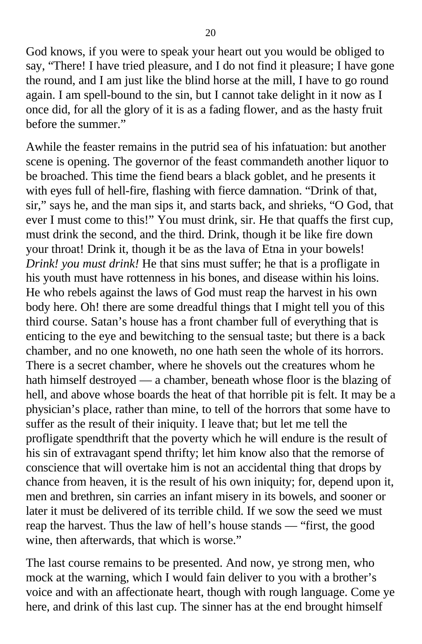God knows, if you were to speak your heart out you would be obliged to say, "There! I have tried pleasure, and I do not find it pleasure; I have gone the round, and I am just like the blind horse at the mill, I have to go round again. I am spell-bound to the sin, but I cannot take delight in it now as I once did, for all the glory of it is as a fading flower, and as the hasty fruit before the summer."

Awhile the feaster remains in the putrid sea of his infatuation: but another scene is opening. The governor of the feast commandeth another liquor to be broached. This time the fiend bears a black goblet, and he presents it with eyes full of hell-fire, flashing with fierce damnation. "Drink of that, sir," says he, and the man sips it, and starts back, and shrieks, "O God, that ever I must come to this!" You must drink, sir. He that quaffs the first cup, must drink the second, and the third. Drink, though it be like fire down your throat! Drink it, though it be as the lava of Etna in your bowels! *Drink! you must drink!* He that sins must suffer; he that is a profligate in his youth must have rottenness in his bones, and disease within his loins. He who rebels against the laws of God must reap the harvest in his own body here. Oh! there are some dreadful things that I might tell you of this third course. Satan's house has a front chamber full of everything that is enticing to the eye and bewitching to the sensual taste; but there is a back chamber, and no one knoweth, no one hath seen the whole of its horrors. There is a secret chamber, where he shovels out the creatures whom he hath himself destroyed — a chamber, beneath whose floor is the blazing of hell, and above whose boards the heat of that horrible pit is felt. It may be a physician's place, rather than mine, to tell of the horrors that some have to suffer as the result of their iniquity. I leave that; but let me tell the profligate spendthrift that the poverty which he will endure is the result of his sin of extravagant spend thrifty; let him know also that the remorse of conscience that will overtake him is not an accidental thing that drops by chance from heaven, it is the result of his own iniquity; for, depend upon it, men and brethren, sin carries an infant misery in its bowels, and sooner or later it must be delivered of its terrible child. If we sow the seed we must reap the harvest. Thus the law of hell's house stands — "first, the good wine, then afterwards, that which is worse."

The last course remains to be presented. And now, ye strong men, who mock at the warning, which I would fain deliver to you with a brother's voice and with an affectionate heart, though with rough language. Come ye here, and drink of this last cup. The sinner has at the end brought himself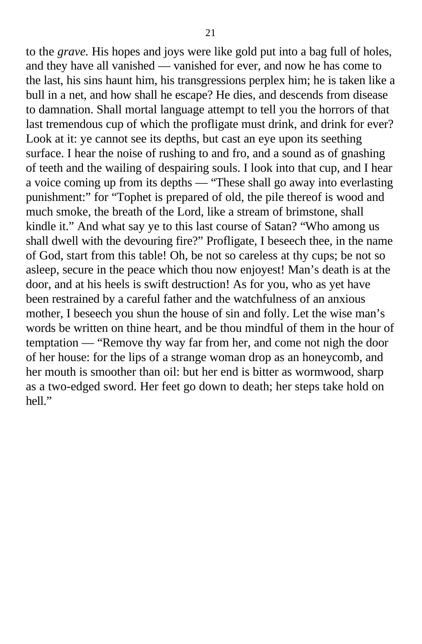to the *grave.* His hopes and joys were like gold put into a bag full of holes, and they have all vanished — vanished for ever, and now he has come to the last, his sins haunt him, his transgressions perplex him; he is taken like a bull in a net, and how shall he escape? He dies, and descends from disease to damnation. Shall mortal language attempt to tell you the horrors of that last tremendous cup of which the profligate must drink, and drink for ever? Look at it: ye cannot see its depths, but cast an eye upon its seething surface. I hear the noise of rushing to and fro, and a sound as of gnashing of teeth and the wailing of despairing souls. I look into that cup, and I hear a voice coming up from its depths — "These shall go away into everlasting punishment:" for "Tophet is prepared of old, the pile thereof is wood and much smoke, the breath of the Lord, like a stream of brimstone, shall kindle it." And what say ye to this last course of Satan? "Who among us shall dwell with the devouring fire?" Profligate, I beseech thee, in the name of God, start from this table! Oh, be not so careless at thy cups; be not so asleep, secure in the peace which thou now enjoyest! Man's death is at the door, and at his heels is swift destruction! As for you, who as yet have been restrained by a careful father and the watchfulness of an anxious mother, I beseech you shun the house of sin and folly. Let the wise man's words be written on thine heart, and be thou mindful of them in the hour of temptation — "Remove thy way far from her, and come not nigh the door of her house: for the lips of a strange woman drop as an honeycomb, and her mouth is smoother than oil: but her end is bitter as wormwood, sharp as a two-edged sword. Her feet go down to death; her steps take hold on hell."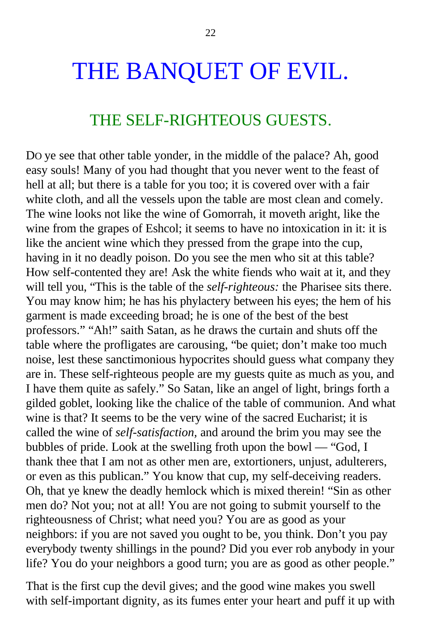## THE BANQUET OF EVIL.

#### THE SELF-RIGHTEOUS GUESTS.

DO ye see that other table yonder, in the middle of the palace? Ah, good easy souls! Many of you had thought that you never went to the feast of hell at all; but there is a table for you too; it is covered over with a fair white cloth, and all the vessels upon the table are most clean and comely. The wine looks not like the wine of Gomorrah, it moveth aright, like the wine from the grapes of Eshcol; it seems to have no intoxication in it: it is like the ancient wine which they pressed from the grape into the cup, having in it no deadly poison. Do you see the men who sit at this table? How self-contented they are! Ask the white fiends who wait at it, and they will tell you, "This is the table of the *self-righteous:* the Pharisee sits there. You may know him; he has his phylactery between his eyes; the hem of his garment is made exceeding broad; he is one of the best of the best professors." "Ah!" saith Satan, as he draws the curtain and shuts off the table where the profligates are carousing, "be quiet; don't make too much noise, lest these sanctimonious hypocrites should guess what company they are in. These self-righteous people are my guests quite as much as you, and I have them quite as safely." So Satan, like an angel of light, brings forth a gilded goblet, looking like the chalice of the table of communion. And what wine is that? It seems to be the very wine of the sacred Eucharist; it is called the wine of *self-satisfaction,* and around the brim you may see the bubbles of pride. Look at the swelling froth upon the bowl — "God, I thank thee that I am not as other men are, extortioners, unjust, adulterers, or even as this publican." You know that cup, my self-deceiving readers. Oh, that ye knew the deadly hemlock which is mixed therein! "Sin as other men do? Not you; not at all! You are not going to submit yourself to the righteousness of Christ; what need you? You are as good as your neighbors: if you are not saved you ought to be, you think. Don't you pay everybody twenty shillings in the pound? Did you ever rob anybody in your life? You do your neighbors a good turn; you are as good as other people."

That is the first cup the devil gives; and the good wine makes you swell with self-important dignity, as its fumes enter your heart and puff it up with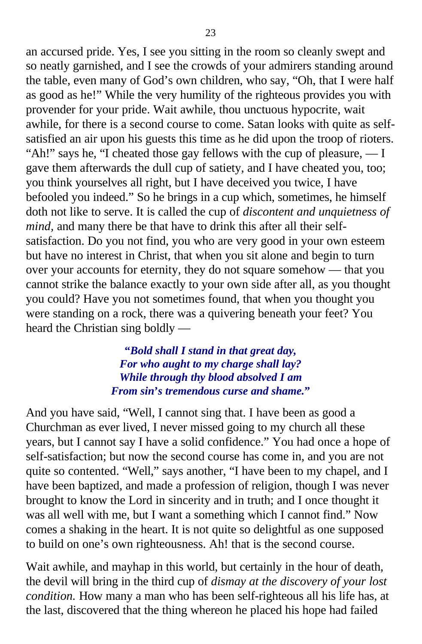an accursed pride. Yes, I see you sitting in the room so cleanly swept and so neatly garnished, and I see the crowds of your admirers standing around the table, even many of God's own children, who say, "Oh, that I were half as good as he!" While the very humility of the righteous provides you with provender for your pride. Wait awhile, thou unctuous hypocrite, wait awhile, for there is a second course to come. Satan looks with quite as selfsatisfied an air upon his guests this time as he did upon the troop of rioters. "Ah!" says he, "I cheated those gay fellows with the cup of pleasure, — I gave them afterwards the dull cup of satiety, and I have cheated you, too; you think yourselves all right, but I have deceived you twice, I have befooled you indeed." So he brings in a cup which, sometimes, he himself doth not like to serve. It is called the cup of *discontent and unquietness of mind,* and many there be that have to drink this after all their selfsatisfaction. Do you not find, you who are very good in your own esteem but have no interest in Christ, that when you sit alone and begin to turn over your accounts for eternity, they do not square somehow — that you cannot strike the balance exactly to your own side after all, as you thought you could? Have you not sometimes found, that when you thought you were standing on a rock, there was a quivering beneath your feet? You heard the Christian sing boldly —

> **"***Bold shall I stand in that great day, For who aught to my charge shall lay? While through thy blood absolved I am From sin***'***s tremendous curse and shame.***"**

And you have said, "Well, I cannot sing that. I have been as good a Churchman as ever lived, I never missed going to my church all these years, but I cannot say I have a solid confidence." You had once a hope of self-satisfaction; but now the second course has come in, and you are not quite so contented. "Well," says another, "I have been to my chapel, and I have been baptized, and made a profession of religion, though I was never brought to know the Lord in sincerity and in truth; and I once thought it was all well with me, but I want a something which I cannot find." Now comes a shaking in the heart. It is not quite so delightful as one supposed to build on one's own righteousness. Ah! that is the second course.

Wait awhile, and mayhap in this world, but certainly in the hour of death, the devil will bring in the third cup of *dismay at the discovery of your lost condition.* How many a man who has been self-righteous all his life has, at the last, discovered that the thing whereon he placed his hope had failed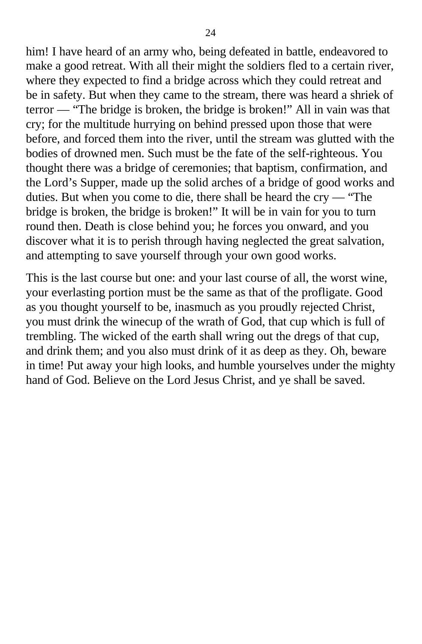him! I have heard of an army who, being defeated in battle, endeavored to make a good retreat. With all their might the soldiers fled to a certain river, where they expected to find a bridge across which they could retreat and be in safety. But when they came to the stream, there was heard a shriek of terror — "The bridge is broken, the bridge is broken!" All in vain was that cry; for the multitude hurrying on behind pressed upon those that were before, and forced them into the river, until the stream was glutted with the bodies of drowned men. Such must be the fate of the self-righteous. You thought there was a bridge of ceremonies; that baptism, confirmation, and the Lord's Supper, made up the solid arches of a bridge of good works and duties. But when you come to die, there shall be heard the cry — "The bridge is broken, the bridge is broken!" It will be in vain for you to turn round then. Death is close behind you; he forces you onward, and you discover what it is to perish through having neglected the great salvation, and attempting to save yourself through your own good works.

This is the last course but one: and your last course of all, the worst wine, your everlasting portion must be the same as that of the profligate. Good as you thought yourself to be, inasmuch as you proudly rejected Christ, you must drink the winecup of the wrath of God, that cup which is full of trembling. The wicked of the earth shall wring out the dregs of that cup, and drink them; and you also must drink of it as deep as they. Oh, beware in time! Put away your high looks, and humble yourselves under the mighty hand of God. Believe on the Lord Jesus Christ, and ye shall be saved.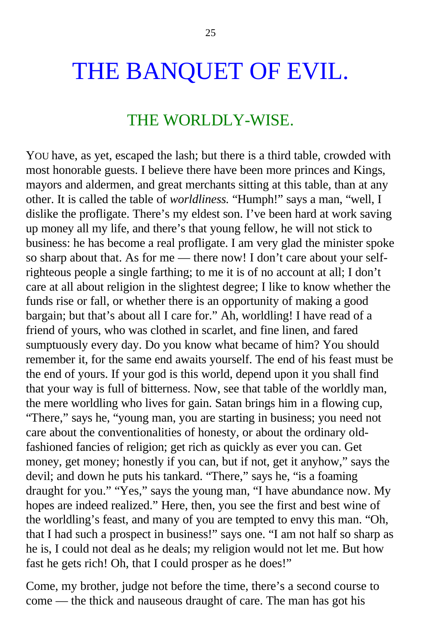## THE BANQUET OF EVIL.

#### THE WORLDLY-WISE.

YOU have, as yet, escaped the lash; but there is a third table, crowded with most honorable guests. I believe there have been more princes and Kings, mayors and aldermen, and great merchants sitting at this table, than at any other. It is called the table of *worldliness.* "Humph!" says a man, "well, I dislike the profligate. There's my eldest son. I've been hard at work saving up money all my life, and there's that young fellow, he will not stick to business: he has become a real profligate. I am very glad the minister spoke so sharp about that. As for me — there now! I don't care about your selfrighteous people a single farthing; to me it is of no account at all; I don't care at all about religion in the slightest degree; I like to know whether the funds rise or fall, or whether there is an opportunity of making a good bargain; but that's about all I care for." Ah, worldling! I have read of a friend of yours, who was clothed in scarlet, and fine linen, and fared sumptuously every day. Do you know what became of him? You should remember it, for the same end awaits yourself. The end of his feast must be the end of yours. If your god is this world, depend upon it you shall find that your way is full of bitterness. Now, see that table of the worldly man, the mere worldling who lives for gain. Satan brings him in a flowing cup, "There," says he, "young man, you are starting in business; you need not care about the conventionalities of honesty, or about the ordinary oldfashioned fancies of religion; get rich as quickly as ever you can. Get money, get money; honestly if you can, but if not, get it anyhow," says the devil; and down he puts his tankard. "There," says he, "is a foaming draught for you." "Yes," says the young man, "I have abundance now. My hopes are indeed realized." Here, then, you see the first and best wine of the worldling's feast, and many of you are tempted to envy this man. "Oh, that I had such a prospect in business!" says one. "I am not half so sharp as he is, I could not deal as he deals; my religion would not let me. But how fast he gets rich! Oh, that I could prosper as he does!"

Come, my brother, judge not before the time, there's a second course to come — the thick and nauseous draught of care. The man has got his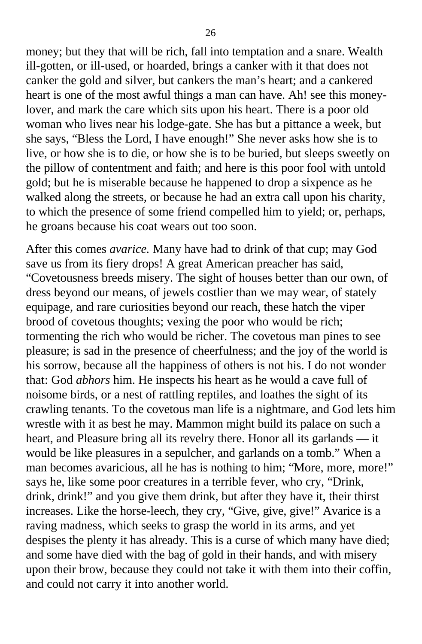money; but they that will be rich, fall into temptation and a snare. Wealth ill-gotten, or ill-used, or hoarded, brings a canker with it that does not canker the gold and silver, but cankers the man's heart; and a cankered heart is one of the most awful things a man can have. Ah! see this moneylover, and mark the care which sits upon his heart. There is a poor old woman who lives near his lodge-gate. She has but a pittance a week, but she says, "Bless the Lord, I have enough!" She never asks how she is to live, or how she is to die, or how she is to be buried, but sleeps sweetly on the pillow of contentment and faith; and here is this poor fool with untold gold; but he is miserable because he happened to drop a sixpence as he walked along the streets, or because he had an extra call upon his charity, to which the presence of some friend compelled him to yield; or, perhaps, he groans because his coat wears out too soon.

After this comes *avarice.* Many have had to drink of that cup; may God save us from its fiery drops! A great American preacher has said, "Covetousness breeds misery. The sight of houses better than our own, of dress beyond our means, of jewels costlier than we may wear, of stately equipage, and rare curiosities beyond our reach, these hatch the viper brood of covetous thoughts; vexing the poor who would be rich; tormenting the rich who would be richer. The covetous man pines to see pleasure; is sad in the presence of cheerfulness; and the joy of the world is his sorrow, because all the happiness of others is not his. I do not wonder that: God *abhors* him. He inspects his heart as he would a cave full of noisome birds, or a nest of rattling reptiles, and loathes the sight of its crawling tenants. To the covetous man life is a nightmare, and God lets him wrestle with it as best he may. Mammon might build its palace on such a heart, and Pleasure bring all its revelry there. Honor all its garlands — it would be like pleasures in a sepulcher, and garlands on a tomb." When a man becomes avaricious, all he has is nothing to him; "More, more, more!" says he, like some poor creatures in a terrible fever, who cry, "Drink, drink, drink!" and you give them drink, but after they have it, their thirst increases. Like the horse-leech, they cry, "Give, give, give!" Avarice is a raving madness, which seeks to grasp the world in its arms, and yet despises the plenty it has already. This is a curse of which many have died; and some have died with the bag of gold in their hands, and with misery upon their brow, because they could not take it with them into their coffin, and could not carry it into another world.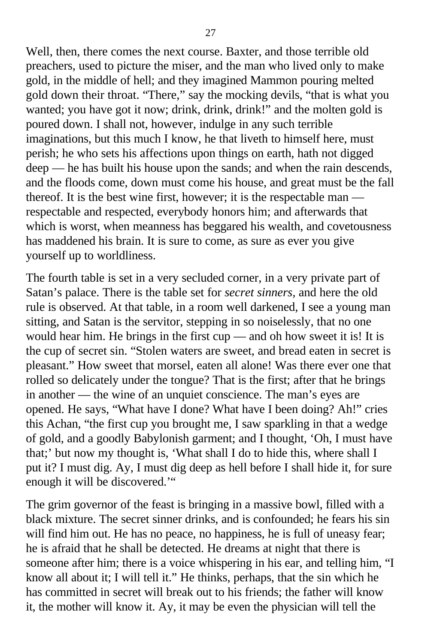Well, then, there comes the next course. Baxter, and those terrible old preachers, used to picture the miser, and the man who lived only to make gold, in the middle of hell; and they imagined Mammon pouring melted gold down their throat. "There," say the mocking devils, "that is what you wanted; you have got it now; drink, drink, drink!" and the molten gold is poured down. I shall not, however, indulge in any such terrible imaginations, but this much I know, he that liveth to himself here, must perish; he who sets his affections upon things on earth, hath not digged deep — he has built his house upon the sands; and when the rain descends, and the floods come, down must come his house, and great must be the fall thereof. It is the best wine first, however; it is the respectable man respectable and respected, everybody honors him; and afterwards that which is worst, when meanness has beggared his wealth, and covetousness has maddened his brain. It is sure to come, as sure as ever you give yourself up to worldliness.

The fourth table is set in a very secluded corner, in a very private part of Satan's palace. There is the table set for *secret sinners,* and here the old rule is observed. At that table, in a room well darkened, I see a young man sitting, and Satan is the servitor, stepping in so noiselessly, that no one would hear him. He brings in the first cup — and oh how sweet it is! It is the cup of secret sin. "Stolen waters are sweet, and bread eaten in secret is pleasant." How sweet that morsel, eaten all alone! Was there ever one that rolled so delicately under the tongue? That is the first; after that he brings in another — the wine of an unquiet conscience. The man's eyes are opened. He says, "What have I done? What have I been doing? Ah!" cries this Achan, "the first cup you brought me, I saw sparkling in that a wedge of gold, and a goodly Babylonish garment; and I thought, 'Oh, I must have that;' but now my thought is, 'What shall I do to hide this, where shall I put it? I must dig. Ay, I must dig deep as hell before I shall hide it, for sure enough it will be discovered."

The grim governor of the feast is bringing in a massive bowl, filled with a black mixture. The secret sinner drinks, and is confounded; he fears his sin will find him out. He has no peace, no happiness, he is full of uneasy fear; he is afraid that he shall be detected. He dreams at night that there is someone after him; there is a voice whispering in his ear, and telling him, "I know all about it; I will tell it." He thinks, perhaps, that the sin which he has committed in secret will break out to his friends; the father will know it, the mother will know it. Ay, it may be even the physician will tell the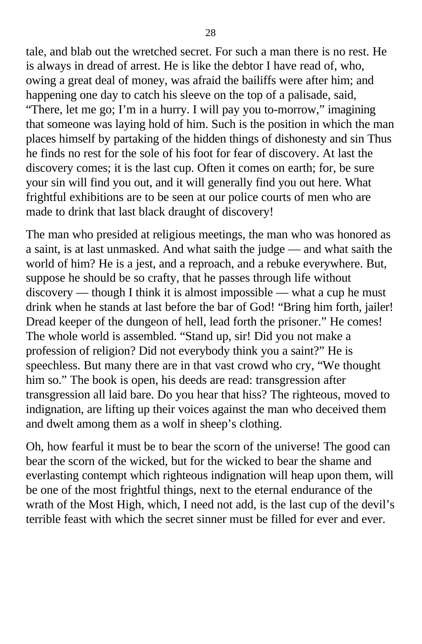tale, and blab out the wretched secret. For such a man there is no rest. He is always in dread of arrest. He is like the debtor I have read of, who, owing a great deal of money, was afraid the bailiffs were after him; and happening one day to catch his sleeve on the top of a palisade, said, "There, let me go; I'm in a hurry. I will pay you to-morrow," imagining that someone was laying hold of him. Such is the position in which the man places himself by partaking of the hidden things of dishonesty and sin Thus he finds no rest for the sole of his foot for fear of discovery. At last the discovery comes; it is the last cup. Often it comes on earth; for, be sure your sin will find you out, and it will generally find you out here. What frightful exhibitions are to be seen at our police courts of men who are made to drink that last black draught of discovery!

The man who presided at religious meetings, the man who was honored as a saint, is at last unmasked. And what saith the judge — and what saith the world of him? He is a jest, and a reproach, and a rebuke everywhere. But, suppose he should be so crafty, that he passes through life without discovery — though I think it is almost impossible — what a cup he must drink when he stands at last before the bar of God! "Bring him forth, jailer! Dread keeper of the dungeon of hell, lead forth the prisoner." He comes! The whole world is assembled. "Stand up, sir! Did you not make a profession of religion? Did not everybody think you a saint?" He is speechless. But many there are in that vast crowd who cry, "We thought him so." The book is open, his deeds are read: transgression after transgression all laid bare. Do you hear that hiss? The righteous, moved to indignation, are lifting up their voices against the man who deceived them and dwelt among them as a wolf in sheep's clothing.

Oh, how fearful it must be to bear the scorn of the universe! The good can bear the scorn of the wicked, but for the wicked to bear the shame and everlasting contempt which righteous indignation will heap upon them, will be one of the most frightful things, next to the eternal endurance of the wrath of the Most High, which, I need not add, is the last cup of the devil's terrible feast with which the secret sinner must be filled for ever and ever.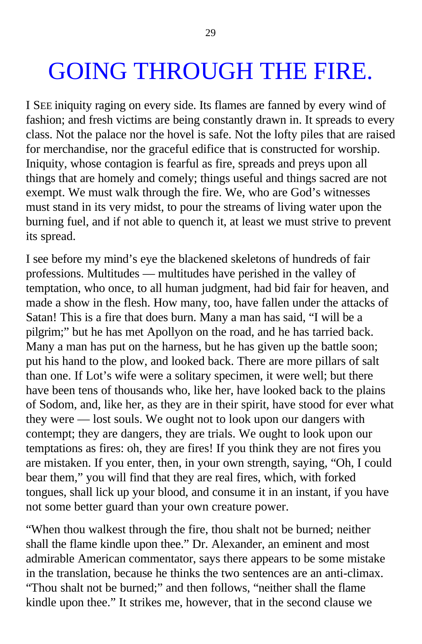# GOING THROUGH THE FIRE.

I SEE iniquity raging on every side. Its flames are fanned by every wind of fashion; and fresh victims are being constantly drawn in. It spreads to every class. Not the palace nor the hovel is safe. Not the lofty piles that are raised for merchandise, nor the graceful edifice that is constructed for worship. Iniquity, whose contagion is fearful as fire, spreads and preys upon all things that are homely and comely; things useful and things sacred are not exempt. We must walk through the fire. We, who are God's witnesses must stand in its very midst, to pour the streams of living water upon the burning fuel, and if not able to quench it, at least we must strive to prevent its spread.

I see before my mind's eye the blackened skeletons of hundreds of fair professions. Multitudes — multitudes have perished in the valley of temptation, who once, to all human judgment, had bid fair for heaven, and made a show in the flesh. How many, too, have fallen under the attacks of Satan! This is a fire that does burn. Many a man has said, "I will be a pilgrim;" but he has met Apollyon on the road, and he has tarried back. Many a man has put on the harness, but he has given up the battle soon; put his hand to the plow, and looked back. There are more pillars of salt than one. If Lot's wife were a solitary specimen, it were well; but there have been tens of thousands who, like her, have looked back to the plains of Sodom, and, like her, as they are in their spirit, have stood for ever what they were — lost souls. We ought not to look upon our dangers with contempt; they are dangers, they are trials. We ought to look upon our temptations as fires: oh, they are fires! If you think they are not fires you are mistaken. If you enter, then, in your own strength, saying, "Oh, I could bear them," you will find that they are real fires, which, with forked tongues, shall lick up your blood, and consume it in an instant, if you have not some better guard than your own creature power.

"When thou walkest through the fire, thou shalt not be burned; neither shall the flame kindle upon thee." Dr. Alexander, an eminent and most admirable American commentator, says there appears to be some mistake in the translation, because he thinks the two sentences are an anti-climax. "Thou shalt not be burned;" and then follows, "neither shall the flame kindle upon thee." It strikes me, however, that in the second clause we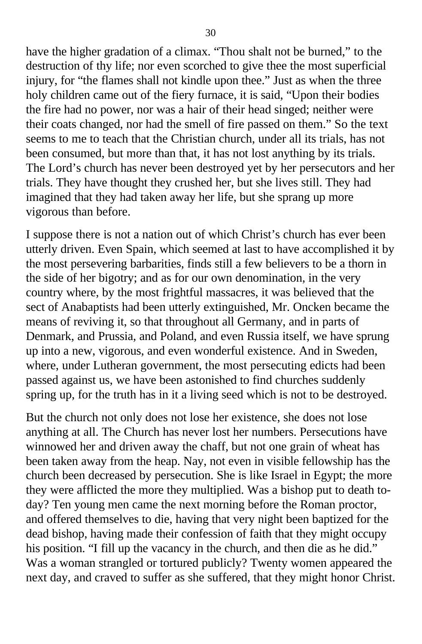have the higher gradation of a climax. "Thou shalt not be burned," to the destruction of thy life; nor even scorched to give thee the most superficial injury, for "the flames shall not kindle upon thee." Just as when the three holy children came out of the fiery furnace, it is said, "Upon their bodies the fire had no power, nor was a hair of their head singed; neither were their coats changed, nor had the smell of fire passed on them." So the text seems to me to teach that the Christian church, under all its trials, has not been consumed, but more than that, it has not lost anything by its trials. The Lord's church has never been destroyed yet by her persecutors and her trials. They have thought they crushed her, but she lives still. They had imagined that they had taken away her life, but she sprang up more vigorous than before.

I suppose there is not a nation out of which Christ's church has ever been utterly driven. Even Spain, which seemed at last to have accomplished it by the most persevering barbarities, finds still a few believers to be a thorn in the side of her bigotry; and as for our own denomination, in the very country where, by the most frightful massacres, it was believed that the sect of Anabaptists had been utterly extinguished, Mr. Oncken became the means of reviving it, so that throughout all Germany, and in parts of Denmark, and Prussia, and Poland, and even Russia itself, we have sprung up into a new, vigorous, and even wonderful existence. And in Sweden, where, under Lutheran government, the most persecuting edicts had been passed against us, we have been astonished to find churches suddenly spring up, for the truth has in it a living seed which is not to be destroyed.

But the church not only does not lose her existence, she does not lose anything at all. The Church has never lost her numbers. Persecutions have winnowed her and driven away the chaff, but not one grain of wheat has been taken away from the heap. Nay, not even in visible fellowship has the church been decreased by persecution. She is like Israel in Egypt; the more they were afflicted the more they multiplied. Was a bishop put to death today? Ten young men came the next morning before the Roman proctor, and offered themselves to die, having that very night been baptized for the dead bishop, having made their confession of faith that they might occupy his position. "I fill up the vacancy in the church, and then die as he did." Was a woman strangled or tortured publicly? Twenty women appeared the next day, and craved to suffer as she suffered, that they might honor Christ.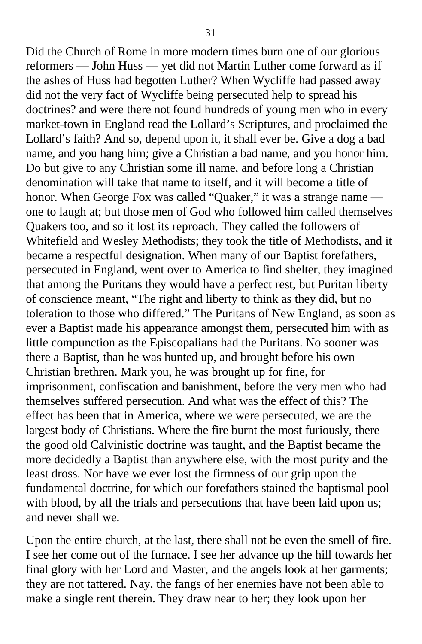Did the Church of Rome in more modern times burn one of our glorious reformers — John Huss — yet did not Martin Luther come forward as if the ashes of Huss had begotten Luther? When Wycliffe had passed away did not the very fact of Wycliffe being persecuted help to spread his doctrines? and were there not found hundreds of young men who in every market-town in England read the Lollard's Scriptures, and proclaimed the Lollard's faith? And so, depend upon it, it shall ever be. Give a dog a bad name, and you hang him; give a Christian a bad name, and you honor him. Do but give to any Christian some ill name, and before long a Christian denomination will take that name to itself, and it will become a title of honor. When George Fox was called "Quaker," it was a strange name one to laugh at; but those men of God who followed him called themselves Quakers too, and so it lost its reproach. They called the followers of Whitefield and Wesley Methodists; they took the title of Methodists, and it became a respectful designation. When many of our Baptist forefathers, persecuted in England, went over to America to find shelter, they imagined that among the Puritans they would have a perfect rest, but Puritan liberty of conscience meant, "The right and liberty to think as they did, but no toleration to those who differed." The Puritans of New England, as soon as ever a Baptist made his appearance amongst them, persecuted him with as little compunction as the Episcopalians had the Puritans. No sooner was there a Baptist, than he was hunted up, and brought before his own Christian brethren. Mark you, he was brought up for fine, for imprisonment, confiscation and banishment, before the very men who had themselves suffered persecution. And what was the effect of this? The effect has been that in America, where we were persecuted, we are the largest body of Christians. Where the fire burnt the most furiously, there the good old Calvinistic doctrine was taught, and the Baptist became the more decidedly a Baptist than anywhere else, with the most purity and the least dross. Nor have we ever lost the firmness of our grip upon the fundamental doctrine, for which our forefathers stained the baptismal pool with blood, by all the trials and persecutions that have been laid upon us; and never shall we.

Upon the entire church, at the last, there shall not be even the smell of fire. I see her come out of the furnace. I see her advance up the hill towards her final glory with her Lord and Master, and the angels look at her garments; they are not tattered. Nay, the fangs of her enemies have not been able to make a single rent therein. They draw near to her; they look upon her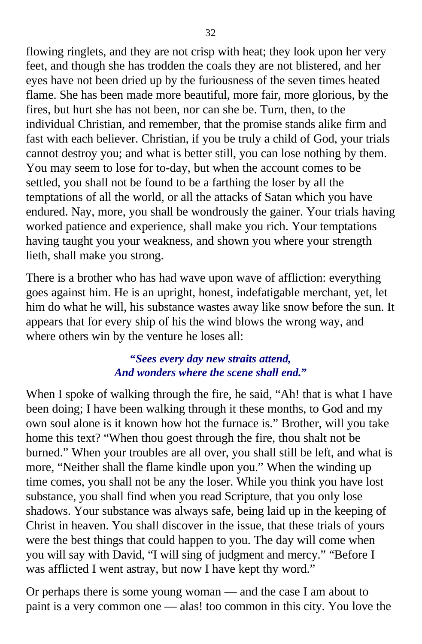flowing ringlets, and they are not crisp with heat; they look upon her very feet, and though she has trodden the coals they are not blistered, and her eyes have not been dried up by the furiousness of the seven times heated flame. She has been made more beautiful, more fair, more glorious, by the fires, but hurt she has not been, nor can she be. Turn, then, to the individual Christian, and remember, that the promise stands alike firm and fast with each believer. Christian, if you be truly a child of God, your trials cannot destroy you; and what is better still, you can lose nothing by them. You may seem to lose for to-day, but when the account comes to be settled, you shall not be found to be a farthing the loser by all the temptations of all the world, or all the attacks of Satan which you have endured. Nay, more, you shall be wondrously the gainer. Your trials having worked patience and experience, shall make you rich. Your temptations having taught you your weakness, and shown you where your strength lieth, shall make you strong.

There is a brother who has had wave upon wave of affliction: everything goes against him. He is an upright, honest, indefatigable merchant, yet, let him do what he will, his substance wastes away like snow before the sun. It appears that for every ship of his the wind blows the wrong way, and where others win by the venture he loses all:

#### **"***Sees every day new straits attend, And wonders where the scene shall end.***"**

When I spoke of walking through the fire, he said, "Ah! that is what I have been doing; I have been walking through it these months, to God and my own soul alone is it known how hot the furnace is." Brother, will you take home this text? "When thou goest through the fire, thou shalt not be burned." When your troubles are all over, you shall still be left, and what is more, "Neither shall the flame kindle upon you." When the winding up time comes, you shall not be any the loser. While you think you have lost substance, you shall find when you read Scripture, that you only lose shadows. Your substance was always safe, being laid up in the keeping of Christ in heaven. You shall discover in the issue, that these trials of yours were the best things that could happen to you. The day will come when you will say with David, "I will sing of judgment and mercy." "Before I was afflicted I went astray, but now I have kept thy word."

Or perhaps there is some young woman — and the case I am about to paint is a very common one — alas! too common in this city. You love the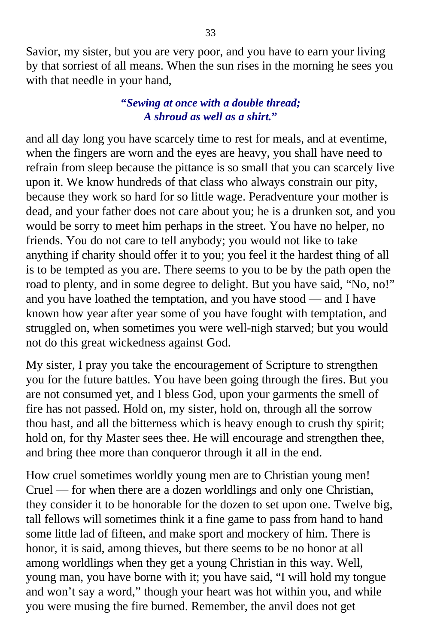Savior, my sister, but you are very poor, and you have to earn your living by that sorriest of all means. When the sun rises in the morning he sees you with that needle in your hand,

#### **"***Sewing at once with a double thread; A shroud as well as a shirt.***"**

and all day long you have scarcely time to rest for meals, and at eventime, when the fingers are worn and the eyes are heavy, you shall have need to refrain from sleep because the pittance is so small that you can scarcely live upon it. We know hundreds of that class who always constrain our pity, because they work so hard for so little wage. Peradventure your mother is dead, and your father does not care about you; he is a drunken sot, and you would be sorry to meet him perhaps in the street. You have no helper, no friends. You do not care to tell anybody; you would not like to take anything if charity should offer it to you; you feel it the hardest thing of all is to be tempted as you are. There seems to you to be by the path open the road to plenty, and in some degree to delight. But you have said, "No, no!" and you have loathed the temptation, and you have stood — and I have known how year after year some of you have fought with temptation, and struggled on, when sometimes you were well-nigh starved; but you would not do this great wickedness against God.

My sister, I pray you take the encouragement of Scripture to strengthen you for the future battles. You have been going through the fires. But you are not consumed yet, and I bless God, upon your garments the smell of fire has not passed. Hold on, my sister, hold on, through all the sorrow thou hast, and all the bitterness which is heavy enough to crush thy spirit; hold on, for thy Master sees thee. He will encourage and strengthen thee, and bring thee more than conqueror through it all in the end.

How cruel sometimes worldly young men are to Christian young men! Cruel — for when there are a dozen worldlings and only one Christian, they consider it to be honorable for the dozen to set upon one. Twelve big, tall fellows will sometimes think it a fine game to pass from hand to hand some little lad of fifteen, and make sport and mockery of him. There is honor, it is said, among thieves, but there seems to be no honor at all among worldlings when they get a young Christian in this way. Well, young man, you have borne with it; you have said, "I will hold my tongue and won't say a word," though your heart was hot within you, and while you were musing the fire burned. Remember, the anvil does not get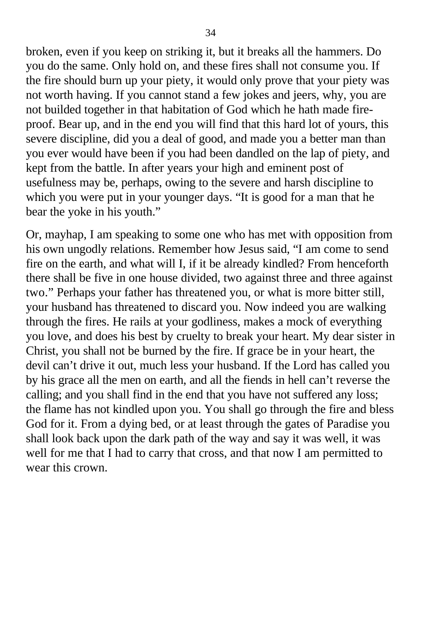broken, even if you keep on striking it, but it breaks all the hammers. Do you do the same. Only hold on, and these fires shall not consume you. If the fire should burn up your piety, it would only prove that your piety was not worth having. If you cannot stand a few jokes and jeers, why, you are not builded together in that habitation of God which he hath made fireproof. Bear up, and in the end you will find that this hard lot of yours, this severe discipline, did you a deal of good, and made you a better man than you ever would have been if you had been dandled on the lap of piety, and kept from the battle. In after years your high and eminent post of usefulness may be, perhaps, owing to the severe and harsh discipline to which you were put in your younger days. "It is good for a man that he bear the yoke in his youth."

Or, mayhap, I am speaking to some one who has met with opposition from his own ungodly relations. Remember how Jesus said, "I am come to send fire on the earth, and what will I, if it be already kindled? From henceforth there shall be five in one house divided, two against three and three against two." Perhaps your father has threatened you, or what is more bitter still, your husband has threatened to discard you. Now indeed you are walking through the fires. He rails at your godliness, makes a mock of everything you love, and does his best by cruelty to break your heart. My dear sister in Christ, you shall not be burned by the fire. If grace be in your heart, the devil can't drive it out, much less your husband. If the Lord has called you by his grace all the men on earth, and all the fiends in hell can't reverse the calling; and you shall find in the end that you have not suffered any loss; the flame has not kindled upon you. You shall go through the fire and bless God for it. From a dying bed, or at least through the gates of Paradise you shall look back upon the dark path of the way and say it was well, it was well for me that I had to carry that cross, and that now I am permitted to wear this crown.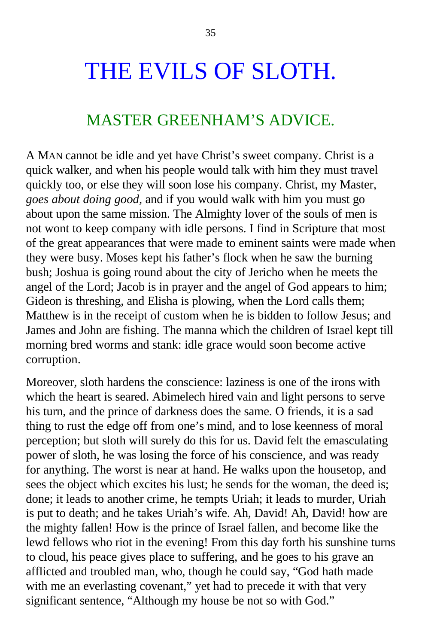## THE EVILS OF SLOTH.

#### MASTER GREENHAM'S ADVICE.

A MAN cannot be idle and yet have Christ's sweet company. Christ is a quick walker, and when his people would talk with him they must travel quickly too, or else they will soon lose his company. Christ, my Master, *goes about doing good,* and if you would walk with him you must go about upon the same mission. The Almighty lover of the souls of men is not wont to keep company with idle persons. I find in Scripture that most of the great appearances that were made to eminent saints were made when they were busy. Moses kept his father's flock when he saw the burning bush; Joshua is going round about the city of Jericho when he meets the angel of the Lord; Jacob is in prayer and the angel of God appears to him; Gideon is threshing, and Elisha is plowing, when the Lord calls them; Matthew is in the receipt of custom when he is bidden to follow Jesus; and James and John are fishing. The manna which the children of Israel kept till morning bred worms and stank: idle grace would soon become active corruption.

Moreover, sloth hardens the conscience: laziness is one of the irons with which the heart is seared. Abimelech hired vain and light persons to serve his turn, and the prince of darkness does the same. O friends, it is a sad thing to rust the edge off from one's mind, and to lose keenness of moral perception; but sloth will surely do this for us. David felt the emasculating power of sloth, he was losing the force of his conscience, and was ready for anything. The worst is near at hand. He walks upon the housetop, and sees the object which excites his lust; he sends for the woman, the deed is; done; it leads to another crime, he tempts Uriah; it leads to murder, Uriah is put to death; and he takes Uriah's wife. Ah, David! Ah, David! how are the mighty fallen! How is the prince of Israel fallen, and become like the lewd fellows who riot in the evening! From this day forth his sunshine turns to cloud, his peace gives place to suffering, and he goes to his grave an afflicted and troubled man, who, though he could say, "God hath made with me an everlasting covenant," yet had to precede it with that very significant sentence, "Although my house be not so with God."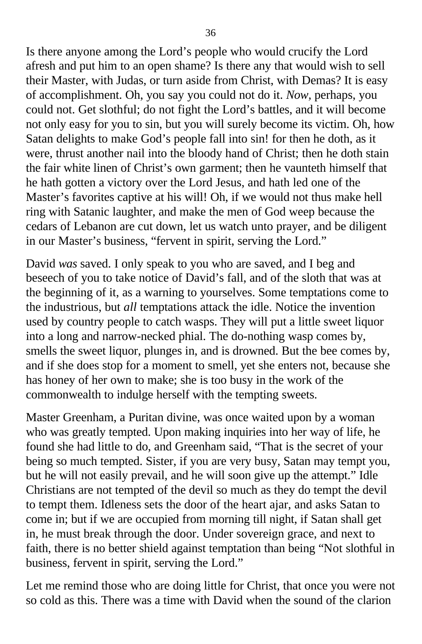Is there anyone among the Lord's people who would crucify the Lord afresh and put him to an open shame? Is there any that would wish to sell their Master, with Judas, or turn aside from Christ, with Demas? It is easy of accomplishment. Oh, you say you could not do it. *Now,* perhaps, you could not. Get slothful; do not fight the Lord's battles, and it will become not only easy for you to sin, but you will surely become its victim. Oh, how Satan delights to make God's people fall into sin! for then he doth, as it were, thrust another nail into the bloody hand of Christ; then he doth stain the fair white linen of Christ's own garment; then he vaunteth himself that he hath gotten a victory over the Lord Jesus, and hath led one of the Master's favorites captive at his will! Oh, if we would not thus make hell ring with Satanic laughter, and make the men of God weep because the cedars of Lebanon are cut down, let us watch unto prayer, and be diligent in our Master's business, "fervent in spirit, serving the Lord."

David *was* saved. I only speak to you who are saved, and I beg and beseech of you to take notice of David's fall, and of the sloth that was at the beginning of it, as a warning to yourselves. Some temptations come to the industrious, but *all* temptations attack the idle. Notice the invention used by country people to catch wasps. They will put a little sweet liquor into a long and narrow-necked phial. The do-nothing wasp comes by, smells the sweet liquor, plunges in, and is drowned. But the bee comes by, and if she does stop for a moment to smell, yet she enters not, because she has honey of her own to make; she is too busy in the work of the commonwealth to indulge herself with the tempting sweets.

Master Greenham, a Puritan divine, was once waited upon by a woman who was greatly tempted. Upon making inquiries into her way of life, he found she had little to do, and Greenham said, "That is the secret of your being so much tempted. Sister, if you are very busy, Satan may tempt you, but he will not easily prevail, and he will soon give up the attempt." Idle Christians are not tempted of the devil so much as they do tempt the devil to tempt them. Idleness sets the door of the heart ajar, and asks Satan to come in; but if we are occupied from morning till night, if Satan shall get in, he must break through the door. Under sovereign grace, and next to faith, there is no better shield against temptation than being "Not slothful in business, fervent in spirit, serving the Lord."

Let me remind those who are doing little for Christ, that once you were not so cold as this. There was a time with David when the sound of the clarion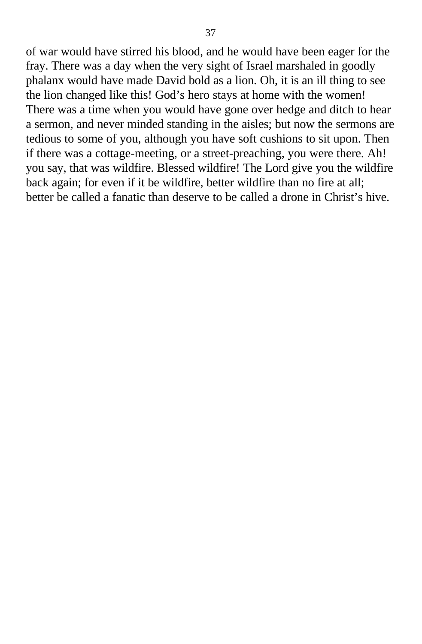of war would have stirred his blood, and he would have been eager for the fray. There was a day when the very sight of Israel marshaled in goodly phalanx would have made David bold as a lion. Oh, it is an ill thing to see the lion changed like this! God's hero stays at home with the women! There was a time when you would have gone over hedge and ditch to hear a sermon, and never minded standing in the aisles; but now the sermons are tedious to some of you, although you have soft cushions to sit upon. Then if there was a cottage-meeting, or a street-preaching, you were there. Ah! you say, that was wildfire. Blessed wildfire! The Lord give you the wildfire back again; for even if it be wildfire, better wildfire than no fire at all; better be called a fanatic than deserve to be called a drone in Christ's hive.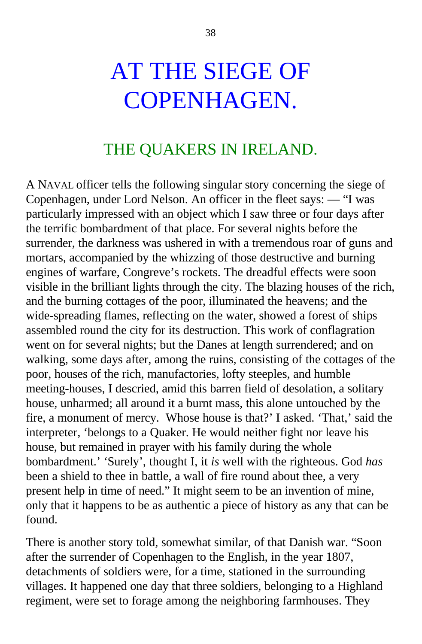# AT THE SIEGE OF COPENHAGEN.

#### THE QUAKERS IN IRELAND.

A NAVAL officer tells the following singular story concerning the siege of Copenhagen, under Lord Nelson. An officer in the fleet says: — "I was particularly impressed with an object which I saw three or four days after the terrific bombardment of that place. For several nights before the surrender, the darkness was ushered in with a tremendous roar of guns and mortars, accompanied by the whizzing of those destructive and burning engines of warfare, Congreve's rockets. The dreadful effects were soon visible in the brilliant lights through the city. The blazing houses of the rich, and the burning cottages of the poor, illuminated the heavens; and the wide-spreading flames, reflecting on the water, showed a forest of ships assembled round the city for its destruction. This work of conflagration went on for several nights; but the Danes at length surrendered; and on walking, some days after, among the ruins, consisting of the cottages of the poor, houses of the rich, manufactories, lofty steeples, and humble meeting-houses, I descried, amid this barren field of desolation, a solitary house, unharmed; all around it a burnt mass, this alone untouched by the fire, a monument of mercy. Whose house is that?' I asked. 'That,' said the interpreter, 'belongs to a Quaker. He would neither fight nor leave his house, but remained in prayer with his family during the whole bombardment.' 'Surely', thought I, it *is* well with the righteous. God *has* been a shield to thee in battle, a wall of fire round about thee, a very present help in time of need." It might seem to be an invention of mine, only that it happens to be as authentic a piece of history as any that can be found.

There is another story told, somewhat similar, of that Danish war. "Soon after the surrender of Copenhagen to the English, in the year 1807, detachments of soldiers were, for a time, stationed in the surrounding villages. It happened one day that three soldiers, belonging to a Highland regiment, were set to forage among the neighboring farmhouses. They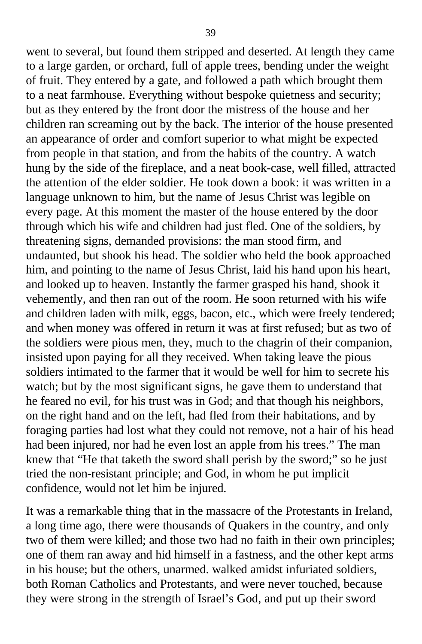went to several, but found them stripped and deserted. At length they came to a large garden, or orchard, full of apple trees, bending under the weight of fruit. They entered by a gate, and followed a path which brought them to a neat farmhouse. Everything without bespoke quietness and security; but as they entered by the front door the mistress of the house and her children ran screaming out by the back. The interior of the house presented an appearance of order and comfort superior to what might be expected from people in that station, and from the habits of the country. A watch hung by the side of the fireplace, and a neat book-case, well filled, attracted the attention of the elder soldier. He took down a book: it was written in a language unknown to him, but the name of Jesus Christ was legible on every page. At this moment the master of the house entered by the door through which his wife and children had just fled. One of the soldiers, by threatening signs, demanded provisions: the man stood firm, and undaunted, but shook his head. The soldier who held the book approached him, and pointing to the name of Jesus Christ, laid his hand upon his heart, and looked up to heaven. Instantly the farmer grasped his hand, shook it vehemently, and then ran out of the room. He soon returned with his wife and children laden with milk, eggs, bacon, etc., which were freely tendered; and when money was offered in return it was at first refused; but as two of the soldiers were pious men, they, much to the chagrin of their companion, insisted upon paying for all they received. When taking leave the pious soldiers intimated to the farmer that it would be well for him to secrete his watch; but by the most significant signs, he gave them to understand that he feared no evil, for his trust was in God; and that though his neighbors, on the right hand and on the left, had fled from their habitations, and by foraging parties had lost what they could not remove, not a hair of his head had been injured, nor had he even lost an apple from his trees." The man knew that "He that taketh the sword shall perish by the sword;" so he just tried the non-resistant principle; and God, in whom he put implicit confidence, would not let him be injured.

It was a remarkable thing that in the massacre of the Protestants in Ireland, a long time ago, there were thousands of Quakers in the country, and only two of them were killed; and those two had no faith in their own principles; one of them ran away and hid himself in a fastness, and the other kept arms in his house; but the others, unarmed. walked amidst infuriated soldiers, both Roman Catholics and Protestants, and were never touched, because they were strong in the strength of Israel's God, and put up their sword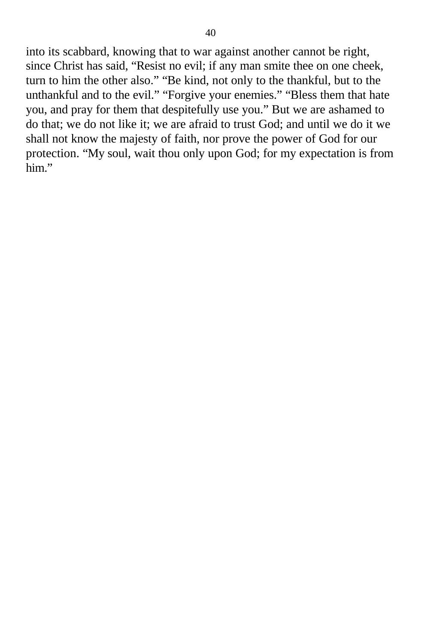into its scabbard, knowing that to war against another cannot be right, since Christ has said, "Resist no evil; if any man smite thee on one cheek, turn to him the other also." "Be kind, not only to the thankful, but to the unthankful and to the evil." "Forgive your enemies." "Bless them that hate you, and pray for them that despitefully use you." But we are ashamed to do that; we do not like it; we are afraid to trust God; and until we do it we shall not know the majesty of faith, nor prove the power of God for our protection. "My soul, wait thou only upon God; for my expectation is from him."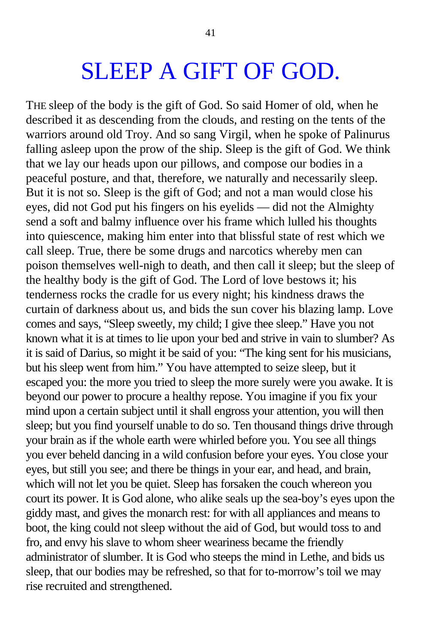#### SLEEP A GIFT OF GOD.

THE sleep of the body is the gift of God. So said Homer of old, when he described it as descending from the clouds, and resting on the tents of the warriors around old Troy. And so sang Virgil, when he spoke of Palinurus falling asleep upon the prow of the ship. Sleep is the gift of God. We think that we lay our heads upon our pillows, and compose our bodies in a peaceful posture, and that, therefore, we naturally and necessarily sleep. But it is not so. Sleep is the gift of God; and not a man would close his eyes, did not God put his fingers on his eyelids — did not the Almighty send a soft and balmy influence over his frame which lulled his thoughts into quiescence, making him enter into that blissful state of rest which we call sleep. True, there be some drugs and narcotics whereby men can poison themselves well-nigh to death, and then call it sleep; but the sleep of the healthy body is the gift of God. The Lord of love bestows it; his tenderness rocks the cradle for us every night; his kindness draws the curtain of darkness about us, and bids the sun cover his blazing lamp. Love comes and says, "Sleep sweetly, my child; I give thee sleep." Have you not known what it is at times to lie upon your bed and strive in vain to slumber? As it is said of Darius, so might it be said of you: "The king sent for his musicians, but his sleep went from him." You have attempted to seize sleep, but it escaped you: the more you tried to sleep the more surely were you awake. It is beyond our power to procure a healthy repose. You imagine if you fix your mind upon a certain subject until it shall engross your attention, you will then sleep; but you find yourself unable to do so. Ten thousand things drive through your brain as if the whole earth were whirled before you. You see all things you ever beheld dancing in a wild confusion before your eyes. You close your eyes, but still you see; and there be things in your ear, and head, and brain, which will not let you be quiet. Sleep has forsaken the couch whereon you court its power. It is God alone, who alike seals up the sea-boy's eyes upon the giddy mast, and gives the monarch rest: for with all appliances and means to boot, the king could not sleep without the aid of God, but would toss to and fro, and envy his slave to whom sheer weariness became the friendly administrator of slumber. It is God who steeps the mind in Lethe, and bids us sleep, that our bodies may be refreshed, so that for to-morrow's toil we may rise recruited and strengthened.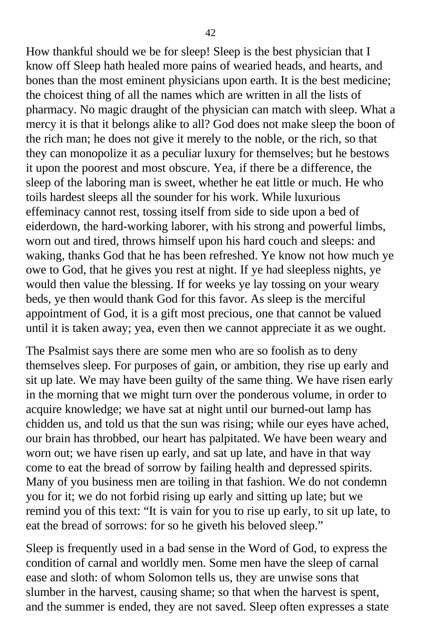How thankful should we be for sleep! Sleep is the best physician that I know off Sleep hath healed more pains of wearied heads, and hearts, and bones than the most eminent physicians upon earth. It is the best medicine; the choicest thing of all the names which are written in all the lists of pharmacy. No magic draught of the physician can match with sleep. What a mercy it is that it belongs alike to all? God does not make sleep the boon of the rich man; he does not give it merely to the noble, or the rich, so that they can monopolize it as a peculiar luxury for themselves; but he bestows it upon the poorest and most obscure. Yea, if there be a difference, the sleep of the laboring man is sweet, whether he eat little or much. He who toils hardest sleeps all the sounder for his work. While luxurious effeminacy cannot rest, tossing itself from side to side upon a bed of eiderdown, the hard-working laborer, with his strong and powerful limbs, worn out and tired, throws himself upon his hard couch and sleeps: and waking, thanks God that he has been refreshed. Ye know not how much ye owe to God, that he gives you rest at night. If ye had sleepless nights, ye would then value the blessing. If for weeks ye lay tossing on your weary beds, ye then would thank God for this favor. As sleep is the merciful appointment of God, it is a gift most precious, one that cannot be valued until it is taken away; yea, even then we cannot appreciate it as we ought.

The Psalmist says there are some men who are so foolish as to deny themselves sleep. For purposes of gain, or ambition, they rise up early and sit up late. We may have been guilty of the same thing. We have risen early in the morning that we might turn over the ponderous volume, in order to acquire knowledge; we have sat at night until our burned-out lamp has chidden us, and told us that the sun was rising; while our eyes have ached, our brain has throbbed, our heart has palpitated. We have been weary and worn out; we have risen up early, and sat up late, and have in that way come to eat the bread of sorrow by failing health and depressed spirits. Many of you business men are toiling in that fashion. We do not condemn you for it; we do not forbid rising up early and sitting up late; but we remind you of this text: "It is vain for you to rise up early, to sit up late, to eat the bread of sorrows: for so he giveth his beloved sleep."

Sleep is frequently used in a bad sense in the Word of God, to express the condition of carnal and worldly men. Some men have the sleep of carnal ease and sloth: of whom Solomon tells us, they are unwise sons that slumber in the harvest, causing shame; so that when the harvest is spent, and the summer is ended, they are not saved. Sleep often expresses a state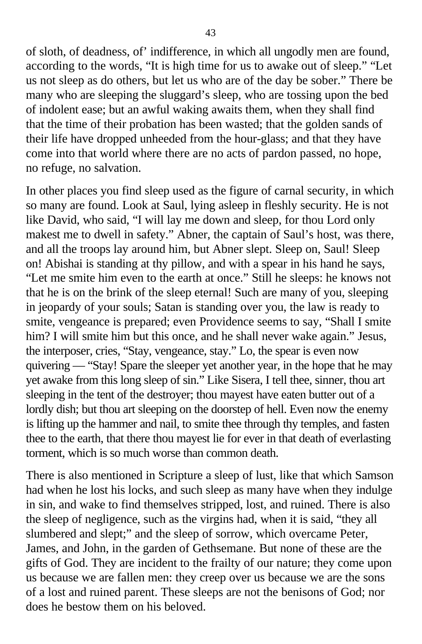of sloth, of deadness, of' indifference, in which all ungodly men are found, according to the words, "It is high time for us to awake out of sleep." "Let us not sleep as do others, but let us who are of the day be sober." There be many who are sleeping the sluggard's sleep, who are tossing upon the bed of indolent ease; but an awful waking awaits them, when they shall find that the time of their probation has been wasted; that the golden sands of their life have dropped unheeded from the hour-glass; and that they have come into that world where there are no acts of pardon passed, no hope, no refuge, no salvation.

In other places you find sleep used as the figure of carnal security, in which so many are found. Look at Saul, lying asleep in fleshly security. He is not like David, who said, "I will lay me down and sleep, for thou Lord only makest me to dwell in safety." Abner, the captain of Saul's host, was there, and all the troops lay around him, but Abner slept. Sleep on, Saul! Sleep on! Abishai is standing at thy pillow, and with a spear in his hand he says, "Let me smite him even to the earth at once." Still he sleeps: he knows not that he is on the brink of the sleep eternal! Such are many of you, sleeping in jeopardy of your souls; Satan is standing over you, the law is ready to smite, vengeance is prepared; even Providence seems to say, "Shall I smite him? I will smite him but this once, and he shall never wake again." Jesus, the interposer, cries, "Stay, vengeance, stay." Lo, the spear is even now quivering — "Stay! Spare the sleeper yet another year, in the hope that he may yet awake from this long sleep of sin." Like Sisera, I tell thee, sinner, thou art sleeping in the tent of the destroyer; thou mayest have eaten butter out of a lordly dish; but thou art sleeping on the doorstep of hell. Even now the enemy is lifting up the hammer and nail, to smite thee through thy temples, and fasten thee to the earth, that there thou mayest lie for ever in that death of everlasting torment, which is so much worse than common death.

There is also mentioned in Scripture a sleep of lust, like that which Samson had when he lost his locks, and such sleep as many have when they indulge in sin, and wake to find themselves stripped, lost, and ruined. There is also the sleep of negligence, such as the virgins had, when it is said, "they all slumbered and slept;" and the sleep of sorrow, which overcame Peter, James, and John, in the garden of Gethsemane. But none of these are the gifts of God. They are incident to the frailty of our nature; they come upon us because we are fallen men: they creep over us because we are the sons of a lost and ruined parent. These sleeps are not the benisons of God; nor does he bestow them on his beloved.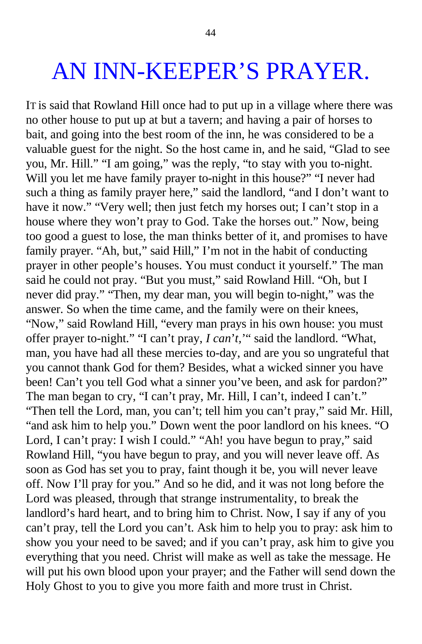### AN INN-KEEPER'S PRAYER.

IT is said that Rowland Hill once had to put up in a village where there was no other house to put up at but a tavern; and having a pair of horses to bait, and going into the best room of the inn, he was considered to be a valuable guest for the night. So the host came in, and he said, "Glad to see you, Mr. Hill." "I am going," was the reply, "to stay with you to-night. Will you let me have family prayer to-night in this house?" "I never had such a thing as family prayer here," said the landlord, "and I don't want to have it now." "Very well; then just fetch my horses out; I can't stop in a house where they won't pray to God. Take the horses out." Now, being too good a guest to lose, the man thinks better of it, and promises to have family prayer. "Ah, but," said Hill," I'm not in the habit of conducting prayer in other people's houses. You must conduct it yourself." The man said he could not pray. "But you must," said Rowland Hill. "Oh, but I never did pray." "Then, my dear man, you will begin to-night," was the answer. So when the time came, and the family were on their knees, "Now," said Rowland Hill, "every man prays in his own house: you must offer prayer to-night." "I can't pray, *I can*'*t,*'" said the landlord. "What, man, you have had all these mercies to-day, and are you so ungrateful that you cannot thank God for them? Besides, what a wicked sinner you have been! Can't you tell God what a sinner you've been, and ask for pardon?" The man began to cry, "I can't pray, Mr. Hill, I can't, indeed I can't." "Then tell the Lord, man, you can't; tell him you can't pray," said Mr. Hill, "and ask him to help you." Down went the poor landlord on his knees. "O Lord, I can't pray: I wish I could." "Ah! you have begun to pray," said Rowland Hill, "you have begun to pray, and you will never leave off. As soon as God has set you to pray, faint though it be, you will never leave off. Now I'll pray for you." And so he did, and it was not long before the Lord was pleased, through that strange instrumentality, to break the landlord's hard heart, and to bring him to Christ. Now, I say if any of you can't pray, tell the Lord you can't. Ask him to help you to pray: ask him to show you your need to be saved; and if you can't pray, ask him to give you everything that you need. Christ will make as well as take the message. He will put his own blood upon your prayer; and the Father will send down the Holy Ghost to you to give you more faith and more trust in Christ.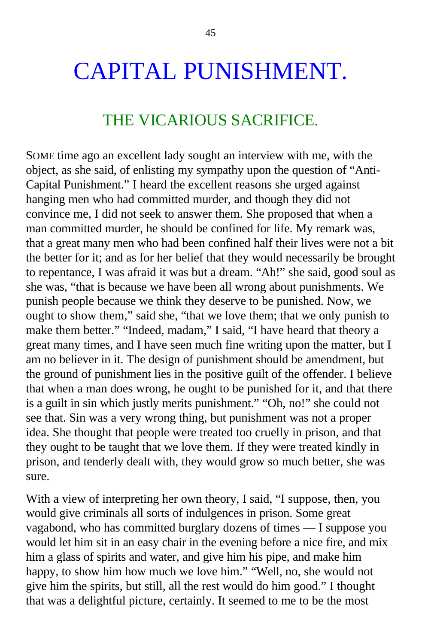### CAPITAL PUNISHMENT.

#### THE VICARIOUS SACRIFICE.

SOME time ago an excellent lady sought an interview with me, with the object, as she said, of enlisting my sympathy upon the question of "Anti-Capital Punishment." I heard the excellent reasons she urged against hanging men who had committed murder, and though they did not convince me, I did not seek to answer them. She proposed that when a man committed murder, he should be confined for life. My remark was, that a great many men who had been confined half their lives were not a bit the better for it; and as for her belief that they would necessarily be brought to repentance, I was afraid it was but a dream. "Ah!" she said, good soul as she was, "that is because we have been all wrong about punishments. We punish people because we think they deserve to be punished. Now, we ought to show them," said she, "that we love them; that we only punish to make them better." "Indeed, madam," I said, "I have heard that theory a great many times, and I have seen much fine writing upon the matter, but I am no believer in it. The design of punishment should be amendment, but the ground of punishment lies in the positive guilt of the offender. I believe that when a man does wrong, he ought to be punished for it, and that there is a guilt in sin which justly merits punishment." "Oh, no!" she could not see that. Sin was a very wrong thing, but punishment was not a proper idea. She thought that people were treated too cruelly in prison, and that they ought to be taught that we love them. If they were treated kindly in prison, and tenderly dealt with, they would grow so much better, she was sure.

With a view of interpreting her own theory, I said, "I suppose, then, you would give criminals all sorts of indulgences in prison. Some great vagabond, who has committed burglary dozens of times — I suppose you would let him sit in an easy chair in the evening before a nice fire, and mix him a glass of spirits and water, and give him his pipe, and make him happy, to show him how much we love him." "Well, no, she would not give him the spirits, but still, all the rest would do him good." I thought that was a delightful picture, certainly. It seemed to me to be the most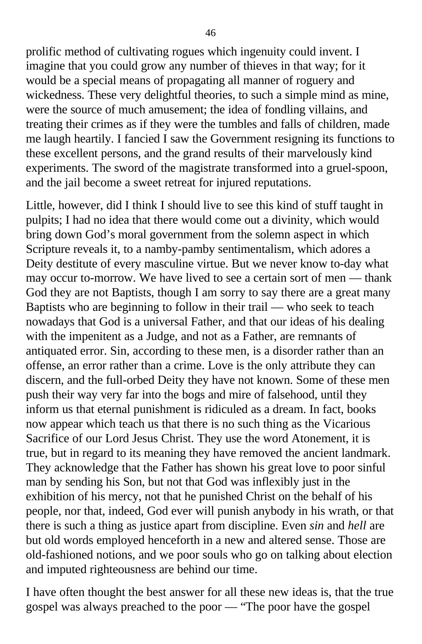prolific method of cultivating rogues which ingenuity could invent. I imagine that you could grow any number of thieves in that way; for it would be a special means of propagating all manner of roguery and wickedness. These very delightful theories, to such a simple mind as mine, were the source of much amusement; the idea of fondling villains, and treating their crimes as if they were the tumbles and falls of children, made me laugh heartily. I fancied I saw the Government resigning its functions to these excellent persons, and the grand results of their marvelously kind experiments. The sword of the magistrate transformed into a gruel-spoon, and the jail become a sweet retreat for injured reputations.

Little, however, did I think I should live to see this kind of stuff taught in pulpits; I had no idea that there would come out a divinity, which would bring down God's moral government from the solemn aspect in which Scripture reveals it, to a namby-pamby sentimentalism, which adores a Deity destitute of every masculine virtue. But we never know to-day what may occur to-morrow. We have lived to see a certain sort of men — thank God they are not Baptists, though I am sorry to say there are a great many Baptists who are beginning to follow in their trail — who seek to teach nowadays that God is a universal Father, and that our ideas of his dealing with the impenitent as a Judge, and not as a Father, are remnants of antiquated error. Sin, according to these men, is a disorder rather than an offense, an error rather than a crime. Love is the only attribute they can discern, and the full-orbed Deity they have not known. Some of these men push their way very far into the bogs and mire of falsehood, until they inform us that eternal punishment is ridiculed as a dream. In fact, books now appear which teach us that there is no such thing as the Vicarious Sacrifice of our Lord Jesus Christ. They use the word Atonement, it is true, but in regard to its meaning they have removed the ancient landmark. They acknowledge that the Father has shown his great love to poor sinful man by sending his Son, but not that God was inflexibly just in the exhibition of his mercy, not that he punished Christ on the behalf of his people, nor that, indeed, God ever will punish anybody in his wrath, or that there is such a thing as justice apart from discipline. Even *sin* and *hell* are but old words employed henceforth in a new and altered sense. Those are old-fashioned notions, and we poor souls who go on talking about election and imputed righteousness are behind our time.

I have often thought the best answer for all these new ideas is, that the true gospel was always preached to the poor — "The poor have the gospel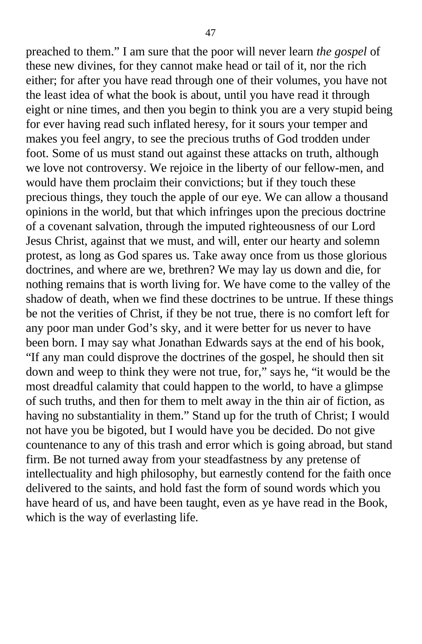preached to them." I am sure that the poor will never learn *the gospel* of these new divines, for they cannot make head or tail of it, nor the rich either; for after you have read through one of their volumes, you have not the least idea of what the book is about, until you have read it through eight or nine times, and then you begin to think you are a very stupid being for ever having read such inflated heresy, for it sours your temper and makes you feel angry, to see the precious truths of God trodden under foot. Some of us must stand out against these attacks on truth, although we love not controversy. We rejoice in the liberty of our fellow-men, and would have them proclaim their convictions; but if they touch these precious things, they touch the apple of our eye. We can allow a thousand opinions in the world, but that which infringes upon the precious doctrine of a covenant salvation, through the imputed righteousness of our Lord Jesus Christ, against that we must, and will, enter our hearty and solemn protest, as long as God spares us. Take away once from us those glorious doctrines, and where are we, brethren? We may lay us down and die, for nothing remains that is worth living for. We have come to the valley of the shadow of death, when we find these doctrines to be untrue. If these things be not the verities of Christ, if they be not true, there is no comfort left for any poor man under God's sky, and it were better for us never to have been born. I may say what Jonathan Edwards says at the end of his book, "If any man could disprove the doctrines of the gospel, he should then sit down and weep to think they were not true, for," says he, "it would be the most dreadful calamity that could happen to the world, to have a glimpse of such truths, and then for them to melt away in the thin air of fiction, as having no substantiality in them." Stand up for the truth of Christ; I would not have you be bigoted, but I would have you be decided. Do not give countenance to any of this trash and error which is going abroad, but stand firm. Be not turned away from your steadfastness by any pretense of intellectuality and high philosophy, but earnestly contend for the faith once delivered to the saints, and hold fast the form of sound words which you have heard of us, and have been taught, even as ye have read in the Book, which is the way of everlasting life.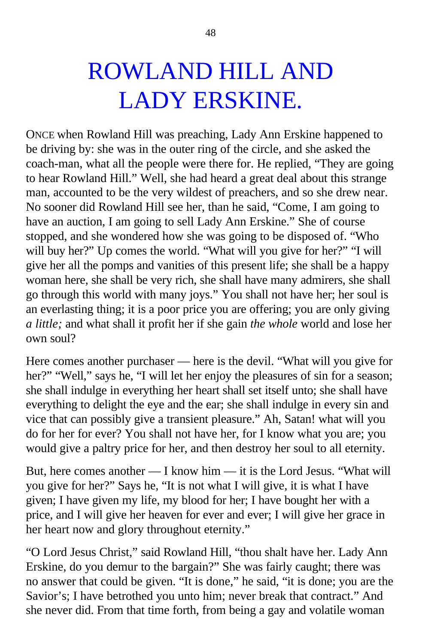# ROWLAND HILL AND LADY ERSKINE.

ONCE when Rowland Hill was preaching, Lady Ann Erskine happened to be driving by: she was in the outer ring of the circle, and she asked the coach-man, what all the people were there for. He replied, "They are going to hear Rowland Hill." Well, she had heard a great deal about this strange man, accounted to be the very wildest of preachers, and so she drew near. No sooner did Rowland Hill see her, than he said, "Come, I am going to have an auction, I am going to sell Lady Ann Erskine." She of course stopped, and she wondered how she was going to be disposed of. "Who will buy her?" Up comes the world. "What will you give for her?" "I will give her all the pomps and vanities of this present life; she shall be a happy woman here, she shall be very rich, she shall have many admirers, she shall go through this world with many joys." You shall not have her; her soul is an everlasting thing; it is a poor price you are offering; you are only giving *a little;* and what shall it profit her if she gain *the whole* world and lose her own soul?

Here comes another purchaser — here is the devil. "What will you give for her?" "Well," says he, "I will let her enjoy the pleasures of sin for a season; she shall indulge in everything her heart shall set itself unto; she shall have everything to delight the eye and the ear; she shall indulge in every sin and vice that can possibly give a transient pleasure." Ah, Satan! what will you do for her for ever? You shall not have her, for I know what you are; you would give a paltry price for her, and then destroy her soul to all eternity.

But, here comes another — I know him — it is the Lord Jesus. "What will you give for her?" Says he, "It is not what I will give, it is what I have given; I have given my life, my blood for her; I have bought her with a price, and I will give her heaven for ever and ever; I will give her grace in her heart now and glory throughout eternity."

"O Lord Jesus Christ," said Rowland Hill, "thou shalt have her. Lady Ann Erskine, do you demur to the bargain?" She was fairly caught; there was no answer that could be given. "It is done," he said, "it is done; you are the Savior's; I have betrothed you unto him; never break that contract." And she never did. From that time forth, from being a gay and volatile woman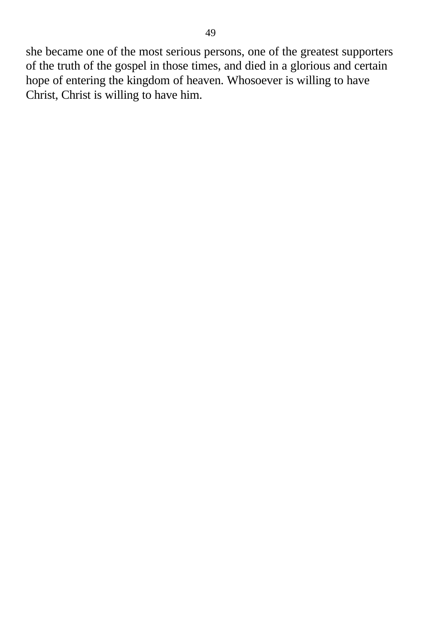she became one of the most serious persons, one of the greatest supporters of the truth of the gospel in those times, and died in a glorious and certain hope of entering the kingdom of heaven. Whosoever is willing to have Christ, Christ is willing to have him.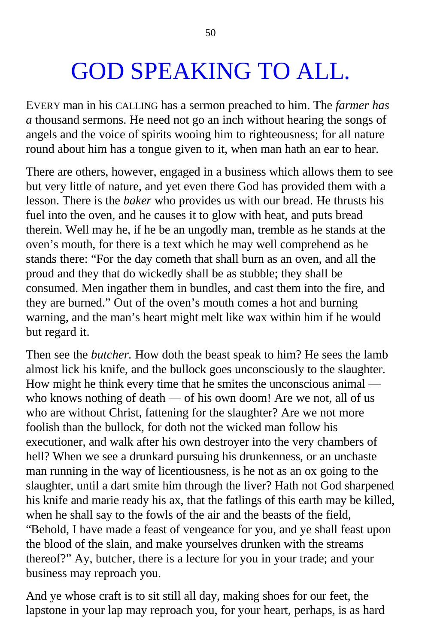# GOD SPEAKING TO ALL.

EVERY man in his CALLING has a sermon preached to him. The *farmer has a* thousand sermons. He need not go an inch without hearing the songs of angels and the voice of spirits wooing him to righteousness; for all nature round about him has a tongue given to it, when man hath an ear to hear.

There are others, however, engaged in a business which allows them to see but very little of nature, and yet even there God has provided them with a lesson. There is the *baker* who provides us with our bread. He thrusts his fuel into the oven, and he causes it to glow with heat, and puts bread therein. Well may he, if he be an ungodly man, tremble as he stands at the oven's mouth, for there is a text which he may well comprehend as he stands there: "For the day cometh that shall burn as an oven, and all the proud and they that do wickedly shall be as stubble; they shall be consumed. Men ingather them in bundles, and cast them into the fire, and they are burned." Out of the oven's mouth comes a hot and burning warning, and the man's heart might melt like wax within him if he would but regard it.

Then see the *butcher*. How doth the beast speak to him? He sees the lamb almost lick his knife, and the bullock goes unconsciously to the slaughter. How might he think every time that he smites the unconscious animal who knows nothing of death — of his own doom! Are we not, all of us who are without Christ, fattening for the slaughter? Are we not more foolish than the bullock, for doth not the wicked man follow his executioner, and walk after his own destroyer into the very chambers of hell? When we see a drunkard pursuing his drunkenness, or an unchaste man running in the way of licentiousness, is he not as an ox going to the slaughter, until a dart smite him through the liver? Hath not God sharpened his knife and marie ready his ax, that the fatlings of this earth may be killed, when he shall say to the fowls of the air and the beasts of the field, "Behold, I have made a feast of vengeance for you, and ye shall feast upon the blood of the slain, and make yourselves drunken with the streams thereof?" Ay, butcher, there is a lecture for you in your trade; and your business may reproach you.

And ye whose craft is to sit still all day, making shoes for our feet, the lapstone in your lap may reproach you, for your heart, perhaps, is as hard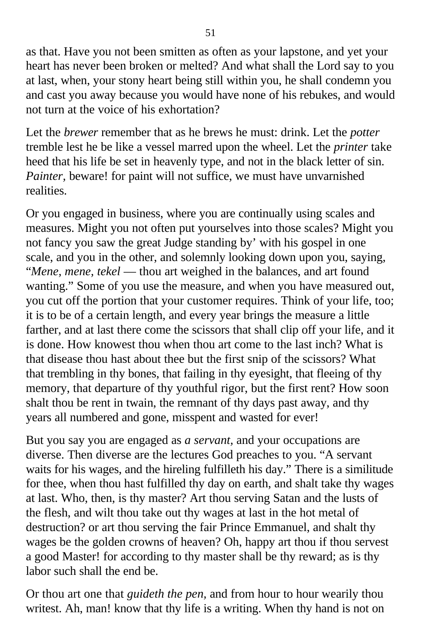as that. Have you not been smitten as often as your lapstone, and yet your heart has never been broken or melted? And what shall the Lord say to you at last, when, your stony heart being still within you, he shall condemn you and cast you away because you would have none of his rebukes, and would not turn at the voice of his exhortation?

Let the *brewer* remember that as he brews he must: drink. Let the *potter* tremble lest he be like a vessel marred upon the wheel. Let the *printer* take heed that his life be set in heavenly type, and not in the black letter of sin. *Painter,* beware! for paint will not suffice, we must have unvarnished realities.

Or you engaged in business, where you are continually using scales and measures. Might you not often put yourselves into those scales? Might you not fancy you saw the great Judge standing by' with his gospel in one scale, and you in the other, and solemnly looking down upon you, saying, "*Mene, mene, tekel* — thou art weighed in the balances, and art found wanting." Some of you use the measure, and when you have measured out, you cut off the portion that your customer requires. Think of your life, too; it is to be of a certain length, and every year brings the measure a little farther, and at last there come the scissors that shall clip off your life, and it is done. How knowest thou when thou art come to the last inch? What is that disease thou hast about thee but the first snip of the scissors? What that trembling in thy bones, that failing in thy eyesight, that fleeing of thy memory, that departure of thy youthful rigor, but the first rent? How soon shalt thou be rent in twain, the remnant of thy days past away, and thy years all numbered and gone, misspent and wasted for ever!

But you say you are engaged as *a servant,* and your occupations are diverse. Then diverse are the lectures God preaches to you. "A servant waits for his wages, and the hireling fulfilleth his day." There is a similitude for thee, when thou hast fulfilled thy day on earth, and shalt take thy wages at last. Who, then, is thy master? Art thou serving Satan and the lusts of the flesh, and wilt thou take out thy wages at last in the hot metal of destruction? or art thou serving the fair Prince Emmanuel, and shalt thy wages be the golden crowns of heaven? Oh, happy art thou if thou servest a good Master! for according to thy master shall be thy reward; as is thy labor such shall the end be.

Or thou art one that *guideth the pen,* and from hour to hour wearily thou writest. Ah, man! know that thy life is a writing. When thy hand is not on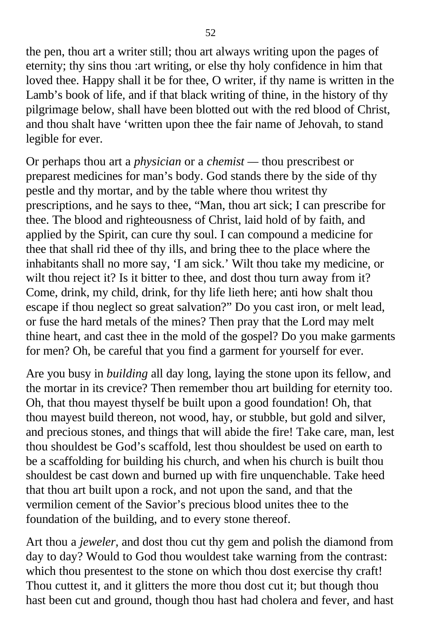the pen, thou art a writer still; thou art always writing upon the pages of eternity; thy sins thou :art writing, or else thy holy confidence in him that loved thee. Happy shall it be for thee, O writer, if thy name is written in the Lamb's book of life, and if that black writing of thine, in the history of thy pilgrimage below, shall have been blotted out with the red blood of Christ, and thou shalt have 'written upon thee the fair name of Jehovah, to stand legible for ever.

Or perhaps thou art a *physician* or a *chemist —* thou prescribest or preparest medicines for man's body. God stands there by the side of thy pestle and thy mortar, and by the table where thou writest thy prescriptions, and he says to thee, "Man, thou art sick; I can prescribe for thee. The blood and righteousness of Christ, laid hold of by faith, and applied by the Spirit, can cure thy soul. I can compound a medicine for thee that shall rid thee of thy ills, and bring thee to the place where the inhabitants shall no more say, 'I am sick.' Wilt thou take my medicine, or wilt thou reject it? Is it bitter to thee, and dost thou turn away from it? Come, drink, my child, drink, for thy life lieth here; anti how shalt thou escape if thou neglect so great salvation?" Do you cast iron, or melt lead, or fuse the hard metals of the mines? Then pray that the Lord may melt thine heart, and cast thee in the mold of the gospel? Do you make garments for men? Oh, be careful that you find a garment for yourself for ever.

Are you busy in *building* all day long, laying the stone upon its fellow, and the mortar in its crevice? Then remember thou art building for eternity too. Oh, that thou mayest thyself be built upon a good foundation! Oh, that thou mayest build thereon, not wood, hay, or stubble, but gold and silver, and precious stones, and things that will abide the fire! Take care, man, lest thou shouldest be God's scaffold, lest thou shouldest be used on earth to be a scaffolding for building his church, and when his church is built thou shouldest be cast down and burned up with fire unquenchable. Take heed that thou art built upon a rock, and not upon the sand, and that the vermilion cement of the Savior's precious blood unites thee to the foundation of the building, and to every stone thereof.

Art thou a *jeweler,* and dost thou cut thy gem and polish the diamond from day to day? Would to God thou wouldest take warning from the contrast: which thou presentest to the stone on which thou dost exercise thy craft! Thou cuttest it, and it glitters the more thou dost cut it; but though thou hast been cut and ground, though thou hast had cholera and fever, and hast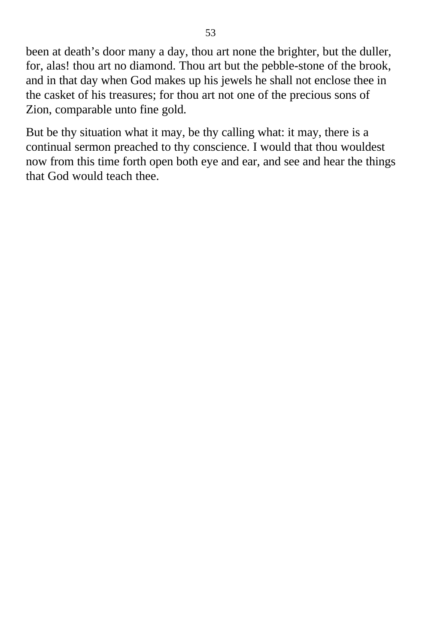been at death's door many a day, thou art none the brighter, but the duller, for, alas! thou art no diamond. Thou art but the pebble-stone of the brook, and in that day when God makes up his jewels he shall not enclose thee in the casket of his treasures; for thou art not one of the precious sons of Zion, comparable unto fine gold.

But be thy situation what it may, be thy calling what: it may, there is a continual sermon preached to thy conscience. I would that thou wouldest now from this time forth open both eye and ear, and see and hear the things that God would teach thee.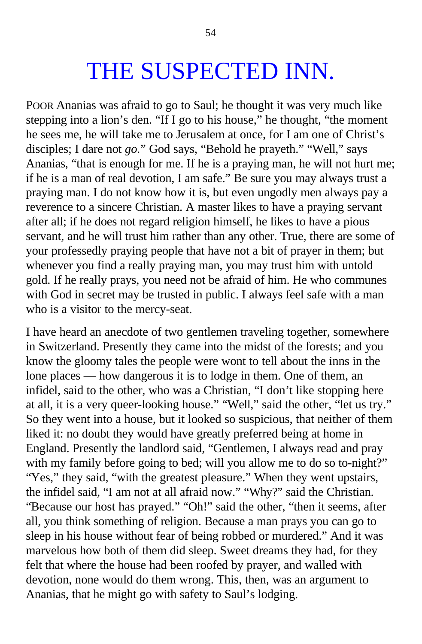## THE SUSPECTED INN.

POOR Ananias was afraid to go to Saul; he thought it was very much like stepping into a lion's den. "If I go to his house," he thought, "the moment he sees me, he will take me to Jerusalem at once, for I am one of Christ's disciples; I dare not *go.*" God says, "Behold he prayeth." "Well," says Ananias, "that is enough for me. If he is a praying man, he will not hurt me; if he is a man of real devotion, I am safe." Be sure you may always trust a praying man. I do not know how it is, but even ungodly men always pay a reverence to a sincere Christian. A master likes to have a praying servant after all; if he does not regard religion himself, he likes to have a pious servant, and he will trust him rather than any other. True, there are some of your professedly praying people that have not a bit of prayer in them; but whenever you find a really praying man, you may trust him with untold gold. If he really prays, you need not be afraid of him. He who communes with God in secret may be trusted in public. I always feel safe with a man who is a visitor to the mercy-seat.

I have heard an anecdote of two gentlemen traveling together, somewhere in Switzerland. Presently they came into the midst of the forests; and you know the gloomy tales the people were wont to tell about the inns in the lone places — how dangerous it is to lodge in them. One of them, an infidel, said to the other, who was a Christian, "I don't like stopping here at all, it is a very queer-looking house." "Well," said the other, "let us try." So they went into a house, but it looked so suspicious, that neither of them liked it: no doubt they would have greatly preferred being at home in England. Presently the landlord said, "Gentlemen, I always read and pray with my family before going to bed; will you allow me to do so to-night?" "Yes," they said, "with the greatest pleasure." When they went upstairs, the infidel said, "I am not at all afraid now." "Why?" said the Christian. "Because our host has prayed." "Oh!" said the other, "then it seems, after all, you think something of religion. Because a man prays you can go to sleep in his house without fear of being robbed or murdered." And it was marvelous how both of them did sleep. Sweet dreams they had, for they felt that where the house had been roofed by prayer, and walled with devotion, none would do them wrong. This, then, was an argument to Ananias, that he might go with safety to Saul's lodging.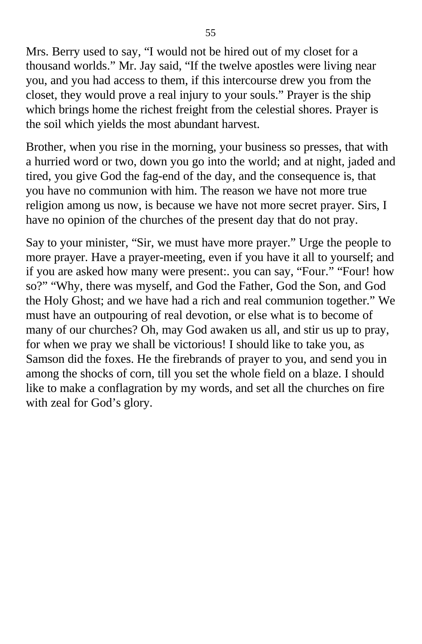Mrs. Berry used to say, "I would not be hired out of my closet for a thousand worlds." Mr. Jay said, "If the twelve apostles were living near you, and you had access to them, if this intercourse drew you from the closet, they would prove a real injury to your souls." Prayer is the ship which brings home the richest freight from the celestial shores. Prayer is the soil which yields the most abundant harvest.

Brother, when you rise in the morning, your business so presses, that with a hurried word or two, down you go into the world; and at night, jaded and tired, you give God the fag-end of the day, and the consequence is, that you have no communion with him. The reason we have not more true religion among us now, is because we have not more secret prayer. Sirs, I have no opinion of the churches of the present day that do not pray.

Say to your minister, "Sir, we must have more prayer." Urge the people to more prayer. Have a prayer-meeting, even if you have it all to yourself; and if you are asked how many were present:. you can say, "Four." "Four! how so?" "Why, there was myself, and God the Father, God the Son, and God the Holy Ghost; and we have had a rich and real communion together." We must have an outpouring of real devotion, or else what is to become of many of our churches? Oh, may God awaken us all, and stir us up to pray, for when we pray we shall be victorious! I should like to take you, as Samson did the foxes. He the firebrands of prayer to you, and send you in among the shocks of corn, till you set the whole field on a blaze. I should like to make a conflagration by my words, and set all the churches on fire with zeal for God's glory.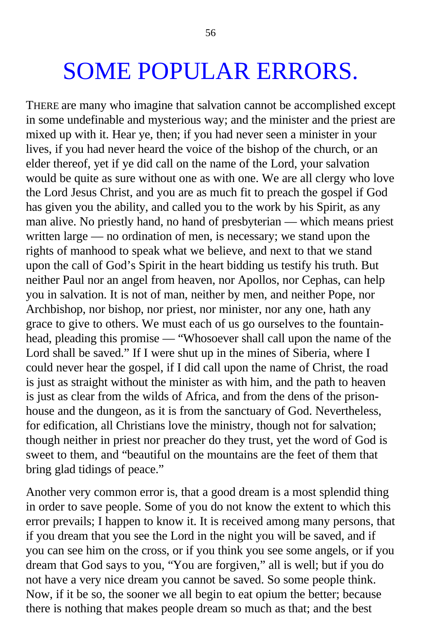## SOME POPULAR ERRORS.

THERE are many who imagine that salvation cannot be accomplished except in some undefinable and mysterious way; and the minister and the priest are mixed up with it. Hear ye, then; if you had never seen a minister in your lives, if you had never heard the voice of the bishop of the church, or an elder thereof, yet if ye did call on the name of the Lord, your salvation would be quite as sure without one as with one. We are all clergy who love the Lord Jesus Christ, and you are as much fit to preach the gospel if God has given you the ability, and called you to the work by his Spirit, as any man alive. No priestly hand, no hand of presbyterian — which means priest written large — no ordination of men, is necessary; we stand upon the rights of manhood to speak what we believe, and next to that we stand upon the call of God's Spirit in the heart bidding us testify his truth. But neither Paul nor an angel from heaven, nor Apollos, nor Cephas, can help you in salvation. It is not of man, neither by men, and neither Pope, nor Archbishop, nor bishop, nor priest, nor minister, nor any one, hath any grace to give to others. We must each of us go ourselves to the fountainhead, pleading this promise — "Whosoever shall call upon the name of the Lord shall be saved." If I were shut up in the mines of Siberia, where I could never hear the gospel, if I did call upon the name of Christ, the road is just as straight without the minister as with him, and the path to heaven is just as clear from the wilds of Africa, and from the dens of the prisonhouse and the dungeon, as it is from the sanctuary of God. Nevertheless, for edification, all Christians love the ministry, though not for salvation; though neither in priest nor preacher do they trust, yet the word of God is sweet to them, and "beautiful on the mountains are the feet of them that bring glad tidings of peace."

Another very common error is, that a good dream is a most splendid thing in order to save people. Some of you do not know the extent to which this error prevails; I happen to know it. It is received among many persons, that if you dream that you see the Lord in the night you will be saved, and if you can see him on the cross, or if you think you see some angels, or if you dream that God says to you, "You are forgiven," all is well; but if you do not have a very nice dream you cannot be saved. So some people think. Now, if it be so, the sooner we all begin to eat opium the better; because there is nothing that makes people dream so much as that; and the best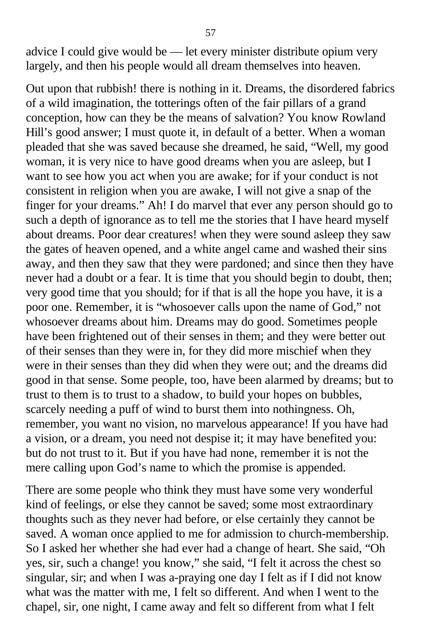advice I could give would be — let every minister distribute opium very largely, and then his people would all dream themselves into heaven.

Out upon that rubbish! there is nothing in it. Dreams, the disordered fabrics of a wild imagination, the totterings often of the fair pillars of a grand conception, how can they be the means of salvation? You know Rowland Hill's good answer; I must quote it, in default of a better. When a woman pleaded that she was saved because she dreamed, he said, "Well, my good woman, it is very nice to have good dreams when you are asleep, but I want to see how you act when you are awake; for if your conduct is not consistent in religion when you are awake, I will not give a snap of the finger for your dreams." Ah! I do marvel that ever any person should go to such a depth of ignorance as to tell me the stories that I have heard myself about dreams. Poor dear creatures! when they were sound asleep they saw the gates of heaven opened, and a white angel came and washed their sins away, and then they saw that they were pardoned; and since then they have never had a doubt or a fear. It is time that you should begin to doubt, then; very good time that you should; for if that is all the hope you have, it is a poor one. Remember, it is "whosoever calls upon the name of God," not whosoever dreams about him. Dreams may do good. Sometimes people have been frightened out of their senses in them; and they were better out of their senses than they were in, for they did more mischief when they were in their senses than they did when they were out; and the dreams did good in that sense. Some people, too, have been alarmed by dreams; but to trust to them is to trust to a shadow, to build your hopes on bubbles, scarcely needing a puff of wind to burst them into nothingness. Oh, remember, you want no vision, no marvelous appearance! If you have had a vision, or a dream, you need not despise it; it may have benefited you: but do not trust to it. But if you have had none, remember it is not the mere calling upon God's name to which the promise is appended.

There are some people who think they must have some very wonderful kind of feelings, or else they cannot be saved; some most extraordinary thoughts such as they never had before, or else certainly they cannot be saved. A woman once applied to me for admission to church-membership. So I asked her whether she had ever had a change of heart. She said, "Oh yes, sir, such a change! you know," she said, "I felt it across the chest so singular, sir; and when I was a-praying one day I felt as if I did not know what was the matter with me, I felt so different. And when I went to the chapel, sir, one night, I came away and felt so different from what I felt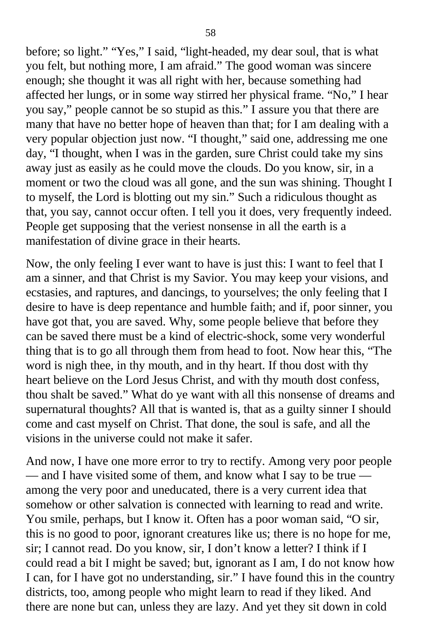before; so light." "Yes," I said, "light-headed, my dear soul, that is what you felt, but nothing more, I am afraid." The good woman was sincere enough; she thought it was all right with her, because something had affected her lungs, or in some way stirred her physical frame. "No," I hear you say," people cannot be so stupid as this." I assure you that there are many that have no better hope of heaven than that; for I am dealing with a very popular objection just now. "I thought," said one, addressing me one day, "I thought, when I was in the garden, sure Christ could take my sins away just as easily as he could move the clouds. Do you know, sir, in a moment or two the cloud was all gone, and the sun was shining. Thought I to myself, the Lord is blotting out my sin." Such a ridiculous thought as that, you say, cannot occur often. I tell you it does, very frequently indeed. People get supposing that the veriest nonsense in all the earth is a manifestation of divine grace in their hearts.

Now, the only feeling I ever want to have is just this: I want to feel that I am a sinner, and that Christ is my Savior. You may keep your visions, and ecstasies, and raptures, and dancings, to yourselves; the only feeling that I desire to have is deep repentance and humble faith; and if, poor sinner, you have got that, you are saved. Why, some people believe that before they can be saved there must be a kind of electric-shock, some very wonderful thing that is to go all through them from head to foot. Now hear this, "The word is nigh thee, in thy mouth, and in thy heart. If thou dost with thy heart believe on the Lord Jesus Christ, and with thy mouth dost confess, thou shalt be saved." What do ye want with all this nonsense of dreams and supernatural thoughts? All that is wanted is, that as a guilty sinner I should come and cast myself on Christ. That done, the soul is safe, and all the visions in the universe could not make it safer.

And now, I have one more error to try to rectify. Among very poor people — and I have visited some of them, and know what I say to be true among the very poor and uneducated, there is a very current idea that somehow or other salvation is connected with learning to read and write. You smile, perhaps, but I know it. Often has a poor woman said, "O sir, this is no good to poor, ignorant creatures like us; there is no hope for me, sir; I cannot read. Do you know, sir, I don't know a letter? I think if I could read a bit I might be saved; but, ignorant as I am, I do not know how I can, for I have got no understanding, sir." I have found this in the country districts, too, among people who might learn to read if they liked. And there are none but can, unless they are lazy. And yet they sit down in cold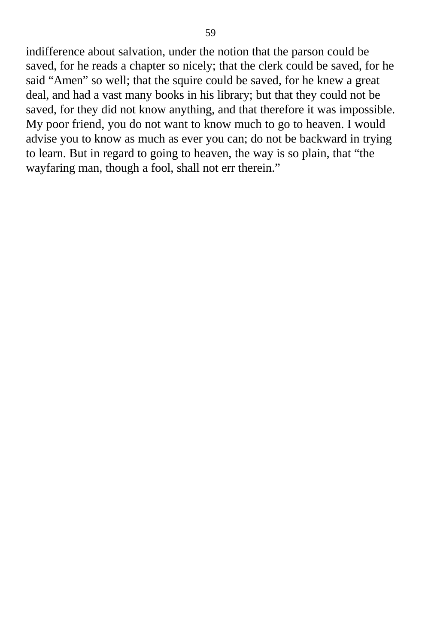indifference about salvation, under the notion that the parson could be saved, for he reads a chapter so nicely; that the clerk could be saved, for he said "Amen" so well; that the squire could be saved, for he knew a great deal, and had a vast many books in his library; but that they could not be saved, for they did not know anything, and that therefore it was impossible. My poor friend, you do not want to know much to go to heaven. I would advise you to know as much as ever you can; do not be backward in trying to learn. But in regard to going to heaven, the way is so plain, that "the wayfaring man, though a fool, shall not err therein."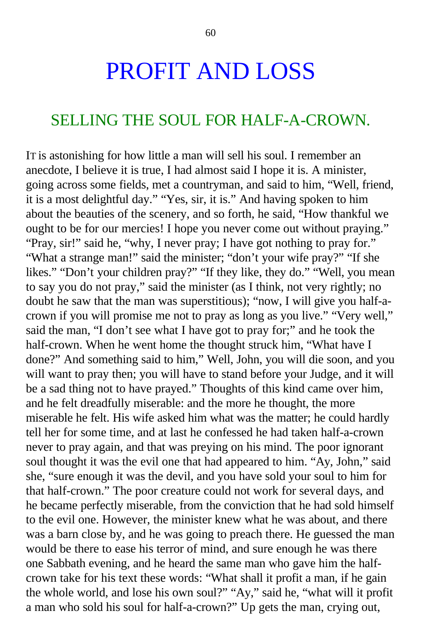### PROFIT AND LOSS

#### SELLING THE SOUL FOR HALF-A-CROWN.

IT is astonishing for how little a man will sell his soul. I remember an anecdote, I believe it is true, I had almost said I hope it is. A minister, going across some fields, met a countryman, and said to him, "Well, friend, it is a most delightful day." "Yes, sir, it is." And having spoken to him about the beauties of the scenery, and so forth, he said, "How thankful we ought to be for our mercies! I hope you never come out without praying." "Pray, sir!" said he, "why, I never pray; I have got nothing to pray for." "What a strange man!" said the minister; "don't your wife pray?" "If she likes." "Don't your children pray?" "If they like, they do." "Well, you mean to say you do not pray," said the minister (as I think, not very rightly; no doubt he saw that the man was superstitious); "now, I will give you half-acrown if you will promise me not to pray as long as you live." "Very well," said the man, "I don't see what I have got to pray for;" and he took the half-crown. When he went home the thought struck him, "What have I done?" And something said to him," Well, John, you will die soon, and you will want to pray then; you will have to stand before your Judge, and it will be a sad thing not to have prayed." Thoughts of this kind came over him, and he felt dreadfully miserable: and the more he thought, the more miserable he felt. His wife asked him what was the matter; he could hardly tell her for some time, and at last he confessed he had taken half-a-crown never to pray again, and that was preying on his mind. The poor ignorant soul thought it was the evil one that had appeared to him. "Ay*,* John," said she, "sure enough it was the devil, and you have sold your soul to him for that half-crown." The poor creature could not work for several days, and he became perfectly miserable, from the conviction that he had sold himself to the evil one. However, the minister knew what he was about, and there was a barn close by, and he was going to preach there. He guessed the man would be there to ease his terror of mind, and sure enough he was there one Sabbath evening, and he heard the same man who gave him the halfcrown take for his text these words: "What shall it profit a man, if he gain the whole world, and lose his own soul?" "Ay," said he, "what will it profit a man who sold his soul for half-a-crown?" Up gets the man, crying out,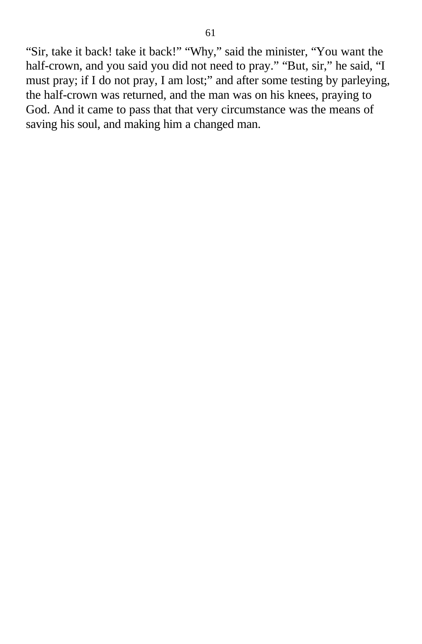"Sir, take it back! take it back!" "Why," said the minister, "You want the

half-crown, and you said you did not need to pray." "But, sir," he said, "I must pray; if I do not pray, I am lost;" and after some testing by parleying, the half-crown was returned, and the man was on his knees, praying to God. And it came to pass that that very circumstance was the means of saving his soul, and making him a changed man.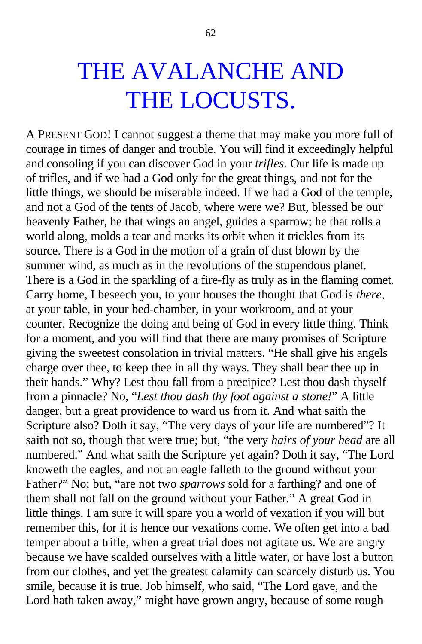## THE AVALANCHE AND THE LOCUSTS.

A PRESENT GOD! I cannot suggest a theme that may make you more full of courage in times of danger and trouble. You will find it exceedingly helpful and consoling if you can discover God in your *trifles.* Our life is made up of trifles, and if we had a God only for the great things, and not for the little things, we should be miserable indeed. If we had a God of the temple, and not a God of the tents of Jacob, where were we? But, blessed be our heavenly Father, he that wings an angel, guides a sparrow; he that rolls a world along, molds a tear and marks its orbit when it trickles from its source. There is a God in the motion of a grain of dust blown by the summer wind, as much as in the revolutions of the stupendous planet. There is a God in the sparkling of a fire-fly as truly as in the flaming comet. Carry home, I beseech you, to your houses the thought that God is *there,* at your table, in your bed-chamber, in your workroom, and at your counter. Recognize the doing and being of God in every little thing. Think for a moment, and you will find that there are many promises of Scripture giving the sweetest consolation in trivial matters. "He shall give his angels charge over thee, to keep thee in all thy ways. They shall bear thee up in their hands." Why? Lest thou fall from a precipice? Lest thou dash thyself from a pinnacle? No, "*Lest thou dash thy foot against a stone!*" A little danger, but a great providence to ward us from it. And what saith the Scripture also? Doth it say, "The very days of your life are numbered"? It saith not so, though that were true; but, "the very *hairs of your head* are all numbered." And what saith the Scripture yet again? Doth it say, "The Lord knoweth the eagles, and not an eagle falleth to the ground without your Father?" No; but, "are not two *sparrows* sold for a farthing? and one of them shall not fall on the ground without your Father." A great God in little things. I am sure it will spare you a world of vexation if you will but remember this, for it is hence our vexations come. We often get into a bad temper about a trifle, when a great trial does not agitate us. We are angry because we have scalded ourselves with a little water, or have lost a button from our clothes, and yet the greatest calamity can scarcely disturb us. You smile, because it is true. Job himself, who said, "The Lord gave, and the Lord hath taken away," might have grown angry, because of some rough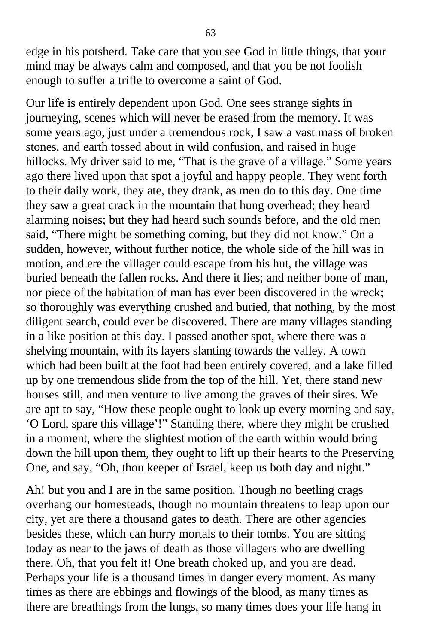edge in his potsherd. Take care that you see God in little things, that your mind may be always calm and composed, and that you be not foolish enough to suffer a trifle to overcome a saint of God.

Our life is entirely dependent upon God. One sees strange sights in journeying, scenes which will never be erased from the memory. It was some years ago, just under a tremendous rock, I saw a vast mass of broken stones, and earth tossed about in wild confusion, and raised in huge hillocks. My driver said to me, "That is the grave of a village." Some years ago there lived upon that spot a joyful and happy people. They went forth to their daily work, they ate, they drank, as men do to this day. One time they saw a great crack in the mountain that hung overhead; they heard alarming noises; but they had heard such sounds before, and the old men said, "There might be something coming, but they did not know." On a sudden, however, without further notice, the whole side of the hill was in motion, and ere the villager could escape from his hut, the village was buried beneath the fallen rocks. And there it lies; and neither bone of man, nor piece of the habitation of man has ever been discovered in the wreck; so thoroughly was everything crushed and buried, that nothing, by the most diligent search, could ever be discovered. There are many villages standing in a like position at this day. I passed another spot, where there was a shelving mountain, with its layers slanting towards the valley. A town which had been built at the foot had been entirely covered, and a lake filled up by one tremendous slide from the top of the hill. Yet, there stand new houses still, and men venture to live among the graves of their sires. We are apt to say, "How these people ought to look up every morning and say, 'O Lord, spare this village'!" Standing there, where they might be crushed in a moment, where the slightest motion of the earth within would bring down the hill upon them, they ought to lift up their hearts to the Preserving One, and say, "Oh, thou keeper of Israel, keep us both day and night."

Ah! but you and I are in the same position. Though no beetling crags overhang our homesteads, though no mountain threatens to leap upon our city, yet are there a thousand gates to death. There are other agencies besides these, which can hurry mortals to their tombs. You are sitting today as near to the jaws of death as those villagers who are dwelling there. Oh, that you felt it! One breath choked up, and you are dead. Perhaps your life is a thousand times in danger every moment. As many times as there are ebbings and flowings of the blood, as many times as there are breathings from the lungs, so many times does your life hang in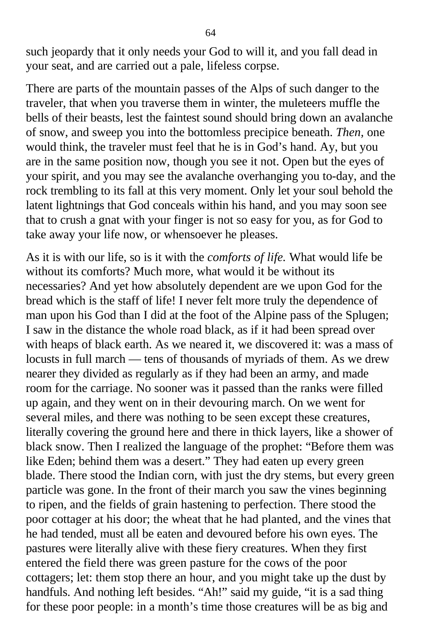such jeopardy that it only needs your God to will it, and you fall dead in your seat, and are carried out a pale, lifeless corpse.

There are parts of the mountain passes of the Alps of such danger to the traveler, that when you traverse them in winter, the muleteers muffle the bells of their beasts, lest the faintest sound should bring down an avalanche of snow, and sweep you into the bottomless precipice beneath. *Then,* one would think, the traveler must feel that he is in God's hand. Ay, but you are in the same position now, though you see it not. Open but the eyes of your spirit, and you may see the avalanche overhanging you to-day, and the rock trembling to its fall at this very moment. Only let your soul behold the latent lightnings that God conceals within his hand, and you may soon see that to crush a gnat with your finger is not so easy for you, as for God to take away your life now, or whensoever he pleases.

As it is with our life, so is it with the *comforts of life.* What would life be without its comforts? Much more, what would it be without its necessaries? And yet how absolutely dependent are we upon God for the bread which is the staff of life! I never felt more truly the dependence of man upon his God than I did at the foot of the Alpine pass of the Splugen; I saw in the distance the whole road black, as if it had been spread over with heaps of black earth. As we neared it, we discovered it: was a mass of locusts in full march — tens of thousands of myriads of them. As we drew nearer they divided as regularly as if they had been an army, and made room for the carriage. No sooner was it passed than the ranks were filled up again, and they went on in their devouring march. On we went for several miles, and there was nothing to be seen except these creatures, literally covering the ground here and there in thick layers, like a shower of black snow. Then I realized the language of the prophet: "Before them was like Eden; behind them was a desert." They had eaten up every green blade. There stood the Indian corn, with just the dry stems, but every green particle was gone. In the front of their march you saw the vines beginning to ripen, and the fields of grain hastening to perfection. There stood the poor cottager at his door; the wheat that he had planted, and the vines that he had tended, must all be eaten and devoured before his own eyes. The pastures were literally alive with these fiery creatures. When they first entered the field there was green pasture for the cows of the poor cottagers; let: them stop there an hour, and you might take up the dust by handfuls. And nothing left besides. "Ah!" said my guide, "it is a sad thing for these poor people: in a month's time those creatures will be as big and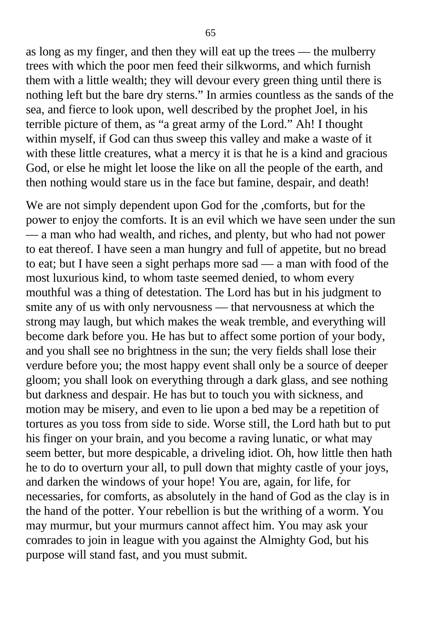as long as my finger, and then they will eat up the trees — the mulberry trees with which the poor men feed their silkworms, and which furnish them with a little wealth; they will devour every green thing until there is nothing left but the bare dry sterns." In armies countless as the sands of the sea, and fierce to look upon, well described by the prophet Joel, in his terrible picture of them, as "a great army of the Lord." Ah! I thought within myself, if God can thus sweep this valley and make a waste of it with these little creatures, what a mercy it is that he is a kind and gracious God, or else he might let loose the like on all the people of the earth, and then nothing would stare us in the face but famine, despair, and death!

We are not simply dependent upon God for the , comforts, but for the power to enjoy the comforts. It is an evil which we have seen under the sun — a man who had wealth, and riches, and plenty, but who had not power to eat thereof. I have seen a man hungry and full of appetite, but no bread to eat; but I have seen a sight perhaps more sad — a man with food of the most luxurious kind, to whom taste seemed denied, to whom every mouthful was a thing of detestation. The Lord has but in his judgment to smite any of us with only nervousness — that nervousness at which the strong may laugh, but which makes the weak tremble, and everything will become dark before you. He has but to affect some portion of your body, and you shall see no brightness in the sun; the very fields shall lose their verdure before you; the most happy event shall only be a source of deeper gloom; you shall look on everything through a dark glass, and see nothing but darkness and despair. He has but to touch you with sickness, and motion may be misery, and even to lie upon a bed may be a repetition of tortures as you toss from side to side. Worse still, the Lord hath but to put his finger on your brain, and you become a raving lunatic, or what may seem better, but more despicable, a driveling idiot. Oh, how little then hath he to do to overturn your all, to pull down that mighty castle of your joys, and darken the windows of your hope! You are, again, for life, for necessaries, for comforts, as absolutely in the hand of God as the clay is in the hand of the potter. Your rebellion is but the writhing of a worm. You may murmur, but your murmurs cannot affect him. You may ask your comrades to join in league with you against the Almighty God, but his purpose will stand fast, and you must submit.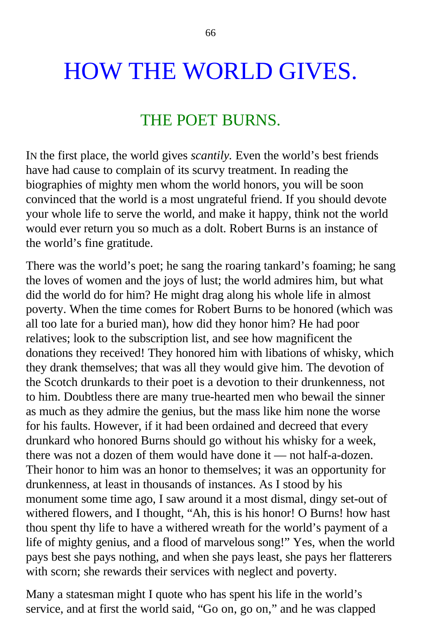## HOW THE WORLD GIVES.

#### THE POET BURNS.

IN the first place, the world gives *scantily.* Even the world's best friends have had cause to complain of its scurvy treatment. In reading the biographies of mighty men whom the world honors, you will be soon convinced that the world is a most ungrateful friend. If you should devote your whole life to serve the world, and make it happy, think not the world would ever return you so much as a dolt. Robert Burns is an instance of the world's fine gratitude.

There was the world's poet; he sang the roaring tankard's foaming; he sang the loves of women and the joys of lust; the world admires him, but what did the world do for him? He might drag along his whole life in almost poverty. When the time comes for Robert Burns to be honored (which was all too late for a buried man), how did they honor him? He had poor relatives; look to the subscription list, and see how magnificent the donations they received! They honored him with libations of whisky, which they drank themselves; that was all they would give him. The devotion of the Scotch drunkards to their poet is a devotion to their drunkenness, not to him. Doubtless there are many true-hearted men who bewail the sinner as much as they admire the genius, but the mass like him none the worse for his faults. However, if it had been ordained and decreed that every drunkard who honored Burns should go without his whisky for a week, there was not a dozen of them would have done it — not half-a-dozen. Their honor to him was an honor to themselves; it was an opportunity for drunkenness, at least in thousands of instances. As I stood by his monument some time ago, I saw around it a most dismal, dingy set-out of withered flowers, and I thought, "Ah, this is his honor! O Burns! how hast thou spent thy life to have a withered wreath for the world's payment of a life of mighty genius, and a flood of marvelous song!" Yes, when the world pays best she pays nothing, and when she pays least, she pays her flatterers with scorn; she rewards their services with neglect and poverty.

Many a statesman might I quote who has spent his life in the world's service, and at first the world said, "Go on, go on," and he was clapped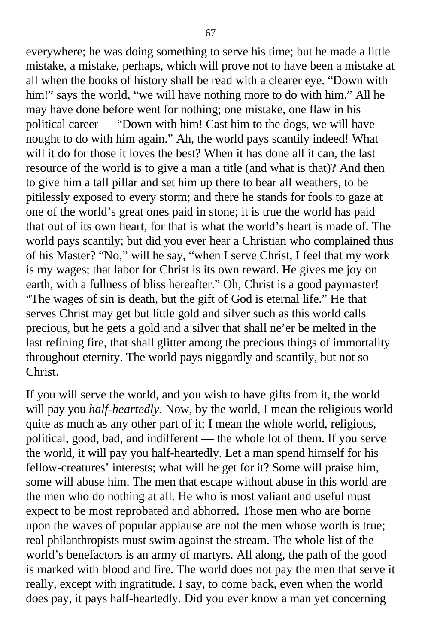everywhere; he was doing something to serve his time; but he made a little mistake, a mistake, perhaps, which will prove not to have been a mistake at all when the books of history shall be read with a clearer eye. "Down with him!" says the world, "we will have nothing more to do with him." All he may have done before went for nothing; one mistake, one flaw in his political career — "Down with him! Cast him to the dogs, we will have nought to do with him again." Ah, the world pays scantily indeed! What will it do for those it loves the best? When it has done all it can, the last resource of the world is to give a man a title (and what is that)? And then to give him a tall pillar and set him up there to bear all weathers, to be pitilessly exposed to every storm; and there he stands for fools to gaze at one of the world's great ones paid in stone; it is true the world has paid that out of its own heart, for that is what the world's heart is made of. The world pays scantily; but did you ever hear a Christian who complained thus of his Master? "No," will he say, "when I serve Christ, I feel that my work is my wages; that labor for Christ is its own reward. He gives me joy on earth, with a fullness of bliss hereafter." Oh, Christ is a good paymaster! "The wages of sin is death, but the gift of God is eternal life." He that serves Christ may get but little gold and silver such as this world calls precious, but he gets a gold and a silver that shall ne'er be melted in the last refining fire, that shall glitter among the precious things of immortality throughout eternity. The world pays niggardly and scantily, but not so Christ.

If you will serve the world, and you wish to have gifts from it, the world will pay you *half-heartedly.* Now, by the world, I mean the religious world quite as much as any other part of it; I mean the whole world, religious, political, good, bad, and indifferent — the whole lot of them. If you serve the world, it will pay you half-heartedly. Let a man spend himself for his fellow-creatures' interests; what will he get for it? Some will praise him, some will abuse him. The men that escape without abuse in this world are the men who do nothing at all. He who is most valiant and useful must expect to be most reprobated and abhorred. Those men who are borne upon the waves of popular applause are not the men whose worth is true; real philanthropists must swim against the stream. The whole list of the world's benefactors is an army of martyrs. All along, the path of the good is marked with blood and fire. The world does not pay the men that serve it really, except with ingratitude. I say, to come back, even when the world does pay, it pays half-heartedly. Did you ever know a man yet concerning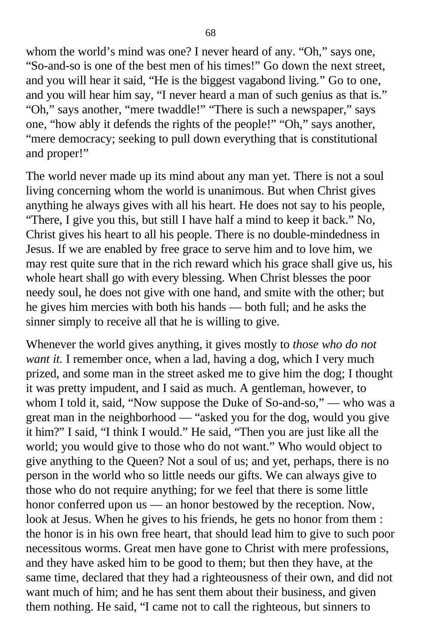whom the world's mind was one? I never heard of any. "Oh*,*" says one, "So-and-so is one of the best men of his times!" Go down the next street, and you will hear it said, "He is the biggest vagabond living*.*" Go to one, and you will hear him say, "I never heard a man of such genius as that is." "Oh*,*" says another, "mere twaddle!" "There is such a newspaper," says one, "how ably it defends the rights of the people!" "Oh," says another, "mere democracy; seeking to pull down everything that is constitutional and proper!"

The world never made up its mind about any man yet. There is not a soul living concerning whom the world is unanimous. But when Christ gives anything he always gives with all his heart. He does not say to his people, "There, I give you this, but still I have half a mind to keep it back." No, Christ gives his heart to all his people. There is no double-mindedness in Jesus. If we are enabled by free grace to serve him and to love him, we may rest quite sure that in the rich reward which his grace shall give us, his whole heart shall go with every blessing. When Christ blesses the poor needy soul, he does not give with one hand, and smite with the other; but he gives him mercies with both his hands — both full; and he asks the sinner simply to receive all that he is willing to give.

Whenever the world gives anything, it gives mostly to *those who do not want it.* I remember once, when a lad, having a dog, which I very much prized, and some man in the street asked me to give him the dog; I thought it was pretty impudent, and I said as much. A gentleman, however, to whom I told it, said, "Now suppose the Duke of So-and-so," — who was a great man in the neighborhood — "asked you for the dog, would you give it him?" I said, "I think I would." He said, "Then you are just like all the world; you would give to those who do not want." Who would object to give anything to the Queen? Not a soul of us; and yet, perhaps, there is no person in the world who so little needs our gifts. We can always give to those who do not require anything; for we feel that there is some little honor conferred upon us — an honor bestowed by the reception. Now, look at Jesus. When he gives to his friends, he gets no honor from them : the honor is in his own free heart, that should lead him to give to such poor necessitous worms. Great men have gone to Christ with mere professions, and they have asked him to be good to them; but then they have, at the same time, declared that they had a righteousness of their own, and did not want much of him; and he has sent them about their business, and given them nothing. He said, "I came not to call the righteous, but sinners to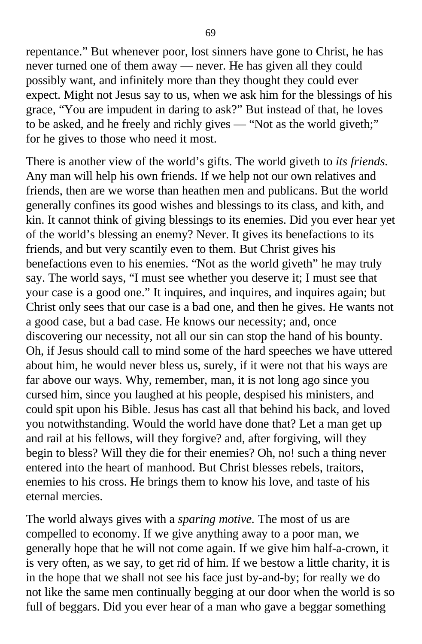repentance." But whenever poor, lost sinners have gone to Christ, he has never turned one of them away — never. He has given all they could possibly want, and infinitely more than they thought they could ever expect. Might not Jesus say to us, when we ask him for the blessings of his grace, "You are impudent in daring to ask?" But instead of that, he loves to be asked, and he freely and richly gives — "Not as the world giveth;" for he gives to those who need it most.

There is another view of the world's gifts. The world giveth to *its friends.* Any man will help his own friends. If we help not our own relatives and friends, then are we worse than heathen men and publicans. But the world generally confines its good wishes and blessings to its class, and kith, and kin. It cannot think of giving blessings to its enemies. Did you ever hear yet of the world's blessing an enemy? Never. It gives its benefactions to its friends, and but very scantily even to them. But Christ gives his benefactions even to his enemies. "Not as the world giveth" he may truly say. The world says, "I must see whether you deserve it; I must see that your case is a good one." It inquires, and inquires, and inquires again; but Christ only sees that our case is a bad one, and then he gives. He wants not a good case, but a bad case. He knows our necessity; and, once discovering our necessity, not all our sin can stop the hand of his bounty. Oh, if Jesus should call to mind some of the hard speeches we have uttered about him, he would never bless us, surely, if it were not that his ways are far above our ways. Why, remember, man, it is not long ago since you cursed him, since you laughed at his people, despised his ministers, and could spit upon his Bible. Jesus has cast all that behind his back, and loved you notwithstanding. Would the world have done that? Let a man get up and rail at his fellows, will they forgive? and, after forgiving, will they begin to bless? Will they die for their enemies? Oh, no! such a thing never entered into the heart of manhood. But Christ blesses rebels, traitors, enemies to his cross. He brings them to know his love, and taste of his eternal mercies.

The world always gives with a *sparing motive.* The most of us are compelled to economy. If we give anything away to a poor man, we generally hope that he will not come again. If we give him half-a-crown, it is very often, as we say, to get rid of him. If we bestow a little charity, it is in the hope that we shall not see his face just by-and-by; for really we do not like the same men continually begging at our door when the world is so full of beggars. Did you ever hear of a man who gave a beggar something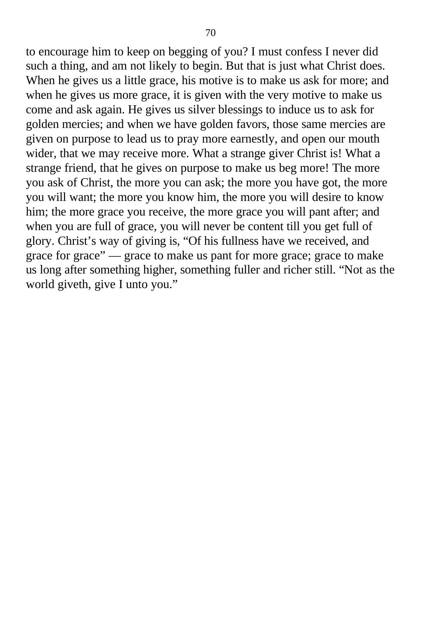to encourage him to keep on begging of you? I must confess I never did such a thing, and am not likely to begin. But that is just what Christ does. When he gives us a little grace, his motive is to make us ask for more; and when he gives us more grace, it is given with the very motive to make us come and ask again. He gives us silver blessings to induce us to ask for golden mercies; and when we have golden favors, those same mercies are given on purpose to lead us to pray more earnestly, and open our mouth wider, that we may receive more. What a strange giver Christ is! What a strange friend, that he gives on purpose to make us beg more! The more you ask of Christ, the more you can ask; the more you have got, the more you will want; the more you know him, the more you will desire to know him; the more grace you receive, the more grace you will pant after; and when you are full of grace, you will never be content till you get full of glory. Christ's way of giving is, "Of his fullness have we received, and grace for grace" — grace to make us pant for more grace; grace to make us long after something higher, something fuller and richer still. "Not as the world giveth, give I unto you."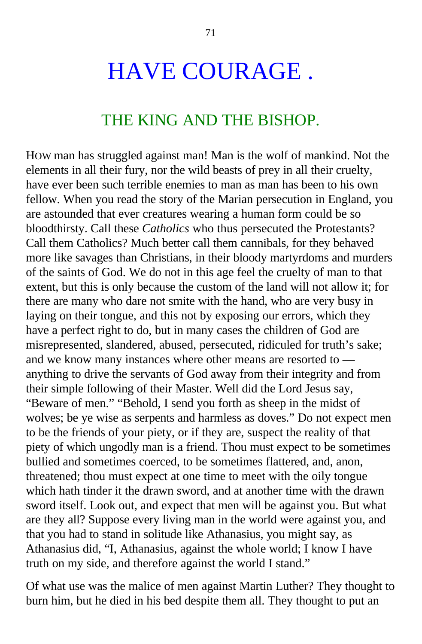## HAVE COURAGE .

#### THE KING AND THE BISHOP.

HOW man has struggled against man! Man is the wolf of mankind. Not the elements in all their fury, nor the wild beasts of prey in all their cruelty, have ever been such terrible enemies to man as man has been to his own fellow. When you read the story of the Marian persecution in England, you are astounded that ever creatures wearing a human form could be so bloodthirsty. Call these *Catholics* who thus persecuted the Protestants? Call them Catholics? Much better call them cannibals, for they behaved more like savages than Christians, in their bloody martyrdoms and murders of the saints of God. We do not in this age feel the cruelty of man to that extent, but this is only because the custom of the land will not allow it; for there are many who dare not smite with the hand, who are very busy in laying on their tongue, and this not by exposing our errors, which they have a perfect right to do, but in many cases the children of God are misrepresented, slandered, abused, persecuted, ridiculed for truth's sake; and we know many instances where other means are resorted to anything to drive the servants of God away from their integrity and from their simple following of their Master. Well did the Lord Jesus say, "Beware of men." "Behold, I send you forth as sheep in the midst of wolves; be ye wise as serpents and harmless as doves." Do not expect men to be the friends of your piety, or if they are, suspect the reality of that piety of which ungodly man is a friend. Thou must expect to be sometimes bullied and sometimes coerced, to be sometimes flattered, and, anon, threatened; thou must expect at one time to meet with the oily tongue which hath tinder it the drawn sword, and at another time with the drawn sword itself. Look out, and expect that men will be against you. But what are they all? Suppose every living man in the world were against you, and that you had to stand in solitude like Athanasius, you might say, as Athanasius did, "I, Athanasius, against the whole world; I know I have truth on my side, and therefore against the world I stand."

Of what use was the malice of men against Martin Luther? They thought to burn him, but he died in his bed despite them all. They thought to put an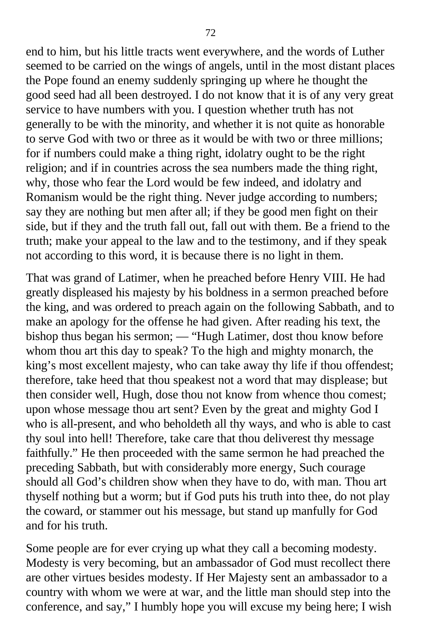end to him, but his little tracts went everywhere, and the words of Luther seemed to be carried on the wings of angels, until in the most distant places the Pope found an enemy suddenly springing up where he thought the good seed had all been destroyed. I do not know that it is of any very great service to have numbers with you. I question whether truth has not generally to be with the minority, and whether it is not quite as honorable to serve God with two or three as it would be with two or three millions; for if numbers could make a thing right, idolatry ought to be the right religion; and if in countries across the sea numbers made the thing right, why, those who fear the Lord would be few indeed, and idolatry and Romanism would be the right thing. Never judge according to numbers; say they are nothing but men after all; if they be good men fight on their side, but if they and the truth fall out, fall out with them. Be a friend to the truth; make your appeal to the law and to the testimony, and if they speak not according to this word, it is because there is no light in them.

That was grand of Latimer, when he preached before Henry VIII. He had greatly displeased his majesty by his boldness in a sermon preached before the king, and was ordered to preach again on the following Sabbath, and to make an apology for the offense he had given. After reading his text, the bishop thus began his sermon; — "Hugh Latimer, dost thou know before whom thou art this day to speak? To the high and mighty monarch, the king's most excellent majesty, who can take away thy life if thou offendest; therefore, take heed that thou speakest not a word that may displease; but then consider well, Hugh, dose thou not know from whence thou comest; upon whose message thou art sent? Even by the great and mighty God I who is all-present, and who beholdeth all thy ways, and who is able to cast thy soul into hell! Therefore, take care that thou deliverest thy message faithfully." He then proceeded with the same sermon he had preached the preceding Sabbath, but with considerably more energy, Such courage should all God's children show when they have to do, with man. Thou art thyself nothing but a worm; but if God puts his truth into thee, do not play the coward, or stammer out his message, but stand up manfully for God and for his truth.

Some people are for ever crying up what they call a becoming modesty. Modesty is very becoming, but an ambassador of God must recollect there are other virtues besides modesty. If Her Majesty sent an ambassador to a country with whom we were at war, and the little man should step into the conference, and say," I humbly hope you will excuse my being here; I wish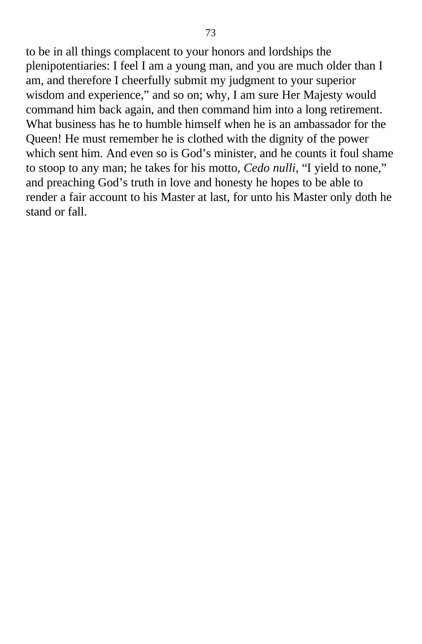to be in all things complacent to your honors and lordships the plenipotentiaries: I feel I am a young man, and you are much older than I am, and therefore I cheerfully submit my judgment to your superior wisdom and experience," and so on; why, I am sure Her Majesty would command him back again, and then command him into a long retirement. What business has he to humble himself when he is an ambassador for the Queen! He must remember he is clothed with the dignity of the power which sent him. And even so is God's minister, and he counts it foul shame to stoop to any man; he takes for his motto, *Cedo nulli,* "I yield to none," and preaching God's truth in love and honesty he hopes to be able to render a fair account to his Master at last, for unto his Master only doth he stand or fall.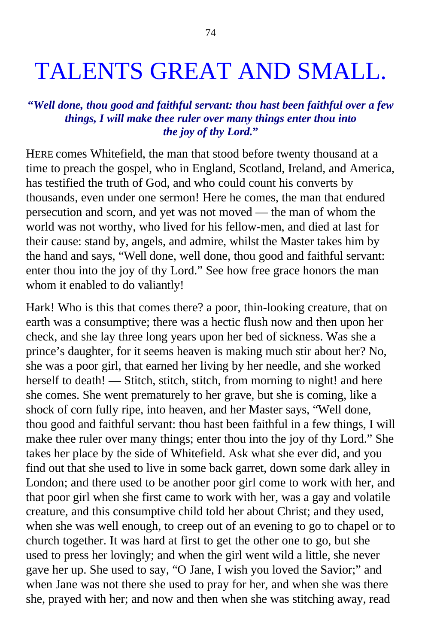### TALENTS GREAT AND SMALL.

#### **"***Well done, thou good and faithful servant: thou hast been faithful over a few things, I will make thee ruler over many things enter thou into the joy of thy Lord.***"**

HERE comes Whitefield, the man that stood before twenty thousand at a time to preach the gospel, who in England, Scotland, Ireland, and America, has testified the truth of God, and who could count his converts by thousands, even under one sermon! Here he comes, the man that endured persecution and scorn, and yet was not moved — the man of whom the world was not worthy, who lived for his fellow-men, and died at last for their cause: stand by, angels, and admire, whilst the Master takes him by the hand and says, "Well done, well done, thou good and faithful servant: enter thou into the joy of thy Lord." See how free grace honors the man whom it enabled to do valiantly!

Hark! Who is this that comes there? a poor, thin-looking creature, that on earth was a consumptive; there was a hectic flush now and then upon her check, and she lay three long years upon her bed of sickness. Was she a prince's daughter, for it seems heaven is making much stir about her? No, she was a poor girl, that earned her living by her needle, and she worked herself to death! — Stitch, stitch, stitch, from morning to night! and here she comes. She went prematurely to her grave, but she is coming, like a shock of corn fully ripe, into heaven, and her Master says, "Well done, thou good and faithful servant: thou hast been faithful in a few things, I will make thee ruler over many things; enter thou into the joy of thy Lord." She takes her place by the side of Whitefield. Ask what she ever did, and you find out that she used to live in some back garret, down some dark alley in London; and there used to be another poor girl come to work with her, and that poor girl when she first came to work with her, was a gay and volatile creature, and this consumptive child told her about Christ; and they used, when she was well enough, to creep out of an evening to go to chapel or to church together. It was hard at first to get the other one to go, but she used to press her lovingly; and when the girl went wild a little, she never gave her up. She used to say, "O Jane, I wish you loved the Savior;" and when Jane was not there she used to pray for her, and when she was there she, prayed with her; and now and then when she was stitching away, read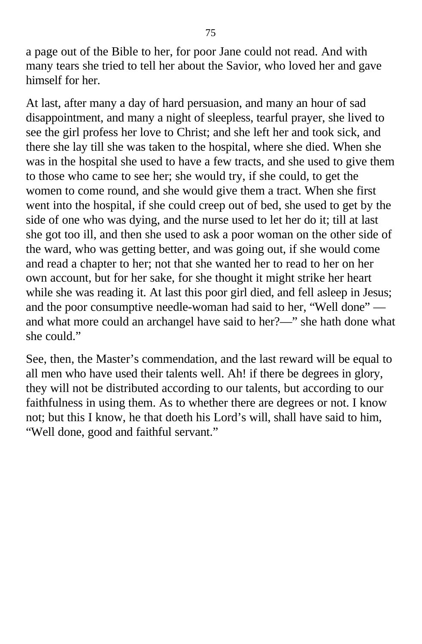a page out of the Bible to her, for poor Jane could not read. And with many tears she tried to tell her about the Savior, who loved her and gave himself for her.

At last, after many a day of hard persuasion, and many an hour of sad disappointment, and many a night of sleepless, tearful prayer, she lived to see the girl profess her love to Christ; and she left her and took sick, and there she lay till she was taken to the hospital, where she died. When she was in the hospital she used to have a few tracts, and she used to give them to those who came to see her; she would try, if she could, to get the women to come round, and she would give them a tract. When she first went into the hospital, if she could creep out of bed, she used to get by the side of one who was dying, and the nurse used to let her do it; till at last she got too ill, and then she used to ask a poor woman on the other side of the ward, who was getting better, and was going out, if she would come and read a chapter to her; not that she wanted her to read to her on her own account, but for her sake, for she thought it might strike her heart while she was reading it. At last this poor girl died, and fell asleep in Jesus; and the poor consumptive needle-woman had said to her, "Well done" and what more could an archangel have said to her?—" she hath done what she could."

See, then, the Master's commendation, and the last reward will be equal to all men who have used their talents well. Ah! if there be degrees in glory, they will not be distributed according to our talents, but according to our faithfulness in using them. As to whether there are degrees or not. I know not; but this I know, he that doeth his Lord's will, shall have said to him, "Well done, good and faithful servant."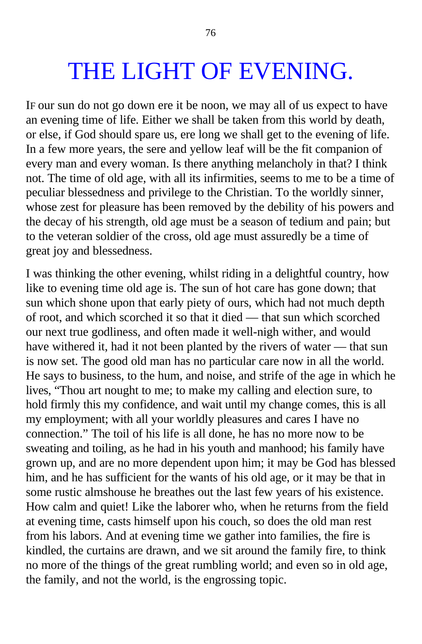## THE LIGHT OF EVENING.

IF our sun do not go down ere it be noon, we may all of us expect to have an evening time of life. Either we shall be taken from this world by death, or else, if God should spare us, ere long we shall get to the evening of life. In a few more years, the sere and yellow leaf will be the fit companion of every man and every woman. Is there anything melancholy in that? I think not. The time of old age, with all its infirmities, seems to me to be a time of peculiar blessedness and privilege to the Christian. To the worldly sinner, whose zest for pleasure has been removed by the debility of his powers and the decay of his strength, old age must be a season of tedium and pain; but to the veteran soldier of the cross, old age must assuredly be a time of great joy and blessedness.

I was thinking the other evening, whilst riding in a delightful country, how like to evening time old age is. The sun of hot care has gone down; that sun which shone upon that early piety of ours, which had not much depth of root, and which scorched it so that it died — that sun which scorched our next true godliness, and often made it well-nigh wither, and would have withered it, had it not been planted by the rivers of water — that sun is now set. The good old man has no particular care now in all the world. He says to business, to the hum, and noise, and strife of the age in which he lives, "Thou art nought to me; to make my calling and election sure, to hold firmly this my confidence, and wait until my change comes, this is all my employment; with all your worldly pleasures and cares I have no connection." The toil of his life is all done, he has no more now to be sweating and toiling, as he had in his youth and manhood; his family have grown up, and are no more dependent upon him; it may be God has blessed him, and he has sufficient for the wants of his old age, or it may be that in some rustic almshouse he breathes out the last few years of his existence. How calm and quiet! Like the laborer who, when he returns from the field at evening time, casts himself upon his couch, so does the old man rest from his labors. And at evening time we gather into families, the fire is kindled, the curtains are drawn, and we sit around the family fire, to think no more of the things of the great rumbling world; and even so in old age, the family, and not the world, is the engrossing topic.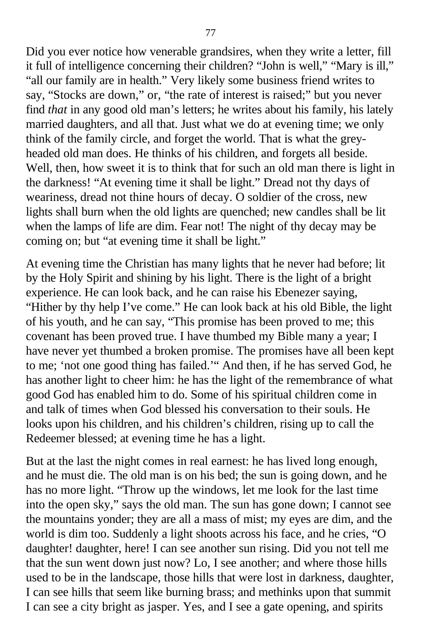Did you ever notice how venerable grandsires, when they write a letter, fill it full of intelligence concerning their children? "John is well," "Mary is ill," "all our family are in health." Very likely some business friend writes to say, "Stocks are down," or, "the rate of interest is raised;" but you never find *that* in any good old man's letters; he writes about his family, his lately married daughters, and all that. Just what we do at evening time; we only think of the family circle, and forget the world. That is what the greyheaded old man does. He thinks of his children, and forgets all beside. Well, then, how sweet it is to think that for such an old man there is light in the darkness! "At evening time it shall be light." Dread not thy days of weariness, dread not thine hours of decay. O soldier of the cross, new lights shall burn when the old lights are quenched; new candles shall be lit when the lamps of life are dim. Fear not! The night of thy decay may be coming on; but "at evening time it shall be light."

At evening time the Christian has many lights that he never had before; lit by the Holy Spirit and shining by his light. There is the light of a bright experience. He can look back, and he can raise his Ebenezer saying, "Hither by thy help I've come." He can look back at his old Bible, the light of his youth, and he can say, "This promise has been proved to me; this covenant has been proved true. I have thumbed my Bible many a year; I have never yet thumbed a broken promise. The promises have all been kept to me; 'not one good thing has failed.'" And then, if he has served God, he has another light to cheer him: he has the light of the remembrance of what good God has enabled him to do. Some of his spiritual children come in and talk of times when God blessed his conversation to their souls. He looks upon his children, and his children's children, rising up to call the Redeemer blessed; at evening time he has a light.

But at the last the night comes in real earnest: he has lived long enough, and he must die. The old man is on his bed; the sun is going down, and he has no more light. "Throw up the windows, let me look for the last time into the open sky," says the old man. The sun has gone down; I cannot see the mountains yonder; they are all a mass of mist; my eyes are dim, and the world is dim too. Suddenly a light shoots across his face, and he cries, "O daughter! daughter, here! I can see another sun rising. Did you not tell me that the sun went down just now? Lo, I see another; and where those hills used to be in the landscape, those hills that were lost in darkness, daughter, I can see hills that seem like burning brass; and methinks upon that summit I can see a city bright as jasper. Yes, and I see a gate opening, and spirits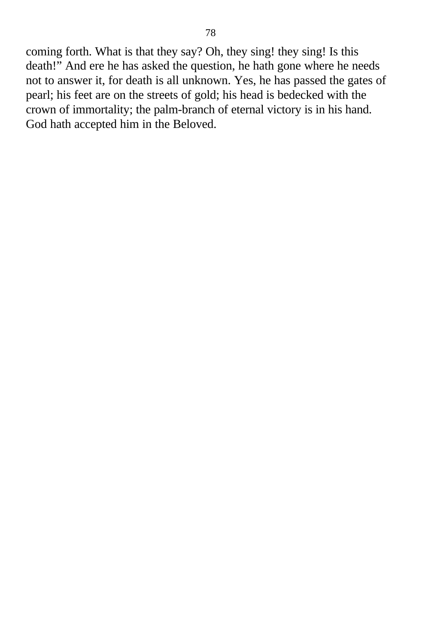coming forth. What is that they say? Oh, they sing! they sing! Is this death!" And ere he has asked the question, he hath gone where he needs not to answer it, for death is all unknown. Yes, he has passed the gates of pearl; his feet are on the streets of gold; his head is bedecked with the crown of immortality; the palm-branch of eternal victory is in his hand. God hath accepted him in the Beloved.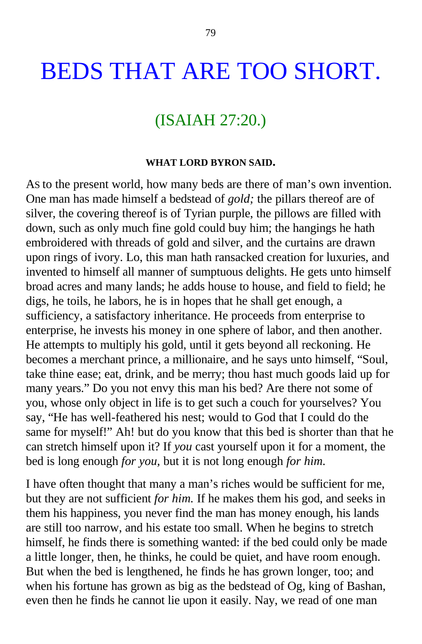#### BEDS THAT ARE TOO SHORT.

#### (ISAIAH 27:20.)

#### **WHAT LORD BYRON SAID.**

AS to the present world, how many beds are there of man's own invention. One man has made himself a bedstead of *gold;* the pillars thereof are of silver, the covering thereof is of Tyrian purple, the pillows are filled with down, such as only much fine gold could buy him; the hangings he hath embroidered with threads of gold and silver, and the curtains are drawn upon rings of ivory. Lo, this man hath ransacked creation for luxuries, and invented to himself all manner of sumptuous delights. He gets unto himself broad acres and many lands; he adds house to house, and field to field; he digs, he toils, he labors, he is in hopes that he shall get enough, a sufficiency, a satisfactory inheritance. He proceeds from enterprise to enterprise, he invests his money in one sphere of labor, and then another. He attempts to multiply his gold, until it gets beyond all reckoning. He becomes a merchant prince, a millionaire, and he says unto himself, "Soul, take thine ease; eat, drink, and be merry; thou hast much goods laid up for many years." Do you not envy this man his bed? Are there not some of you, whose only object in life is to get such a couch for yourselves? You say, "He has well-feathered his nest; would to God that I could do the same for myself!" Ah! but do you know that this bed is shorter than that he can stretch himself upon it? If *you* cast yourself upon it for a moment, the bed is long enough *for you,* but it is not long enough *for him.*

I have often thought that many a man's riches would be sufficient for me, but they are not sufficient *for him.* If he makes them his god, and seeks in them his happiness, you never find the man has money enough, his lands are still too narrow, and his estate too small. When he begins to stretch himself, he finds there is something wanted: if the bed could only be made a little longer, then, he thinks, he could be quiet, and have room enough. But when the bed is lengthened, he finds he has grown longer, too; and when his fortune has grown as big as the bedstead of Og, king of Bashan, even then he finds he cannot lie upon it easily. Nay, we read of one man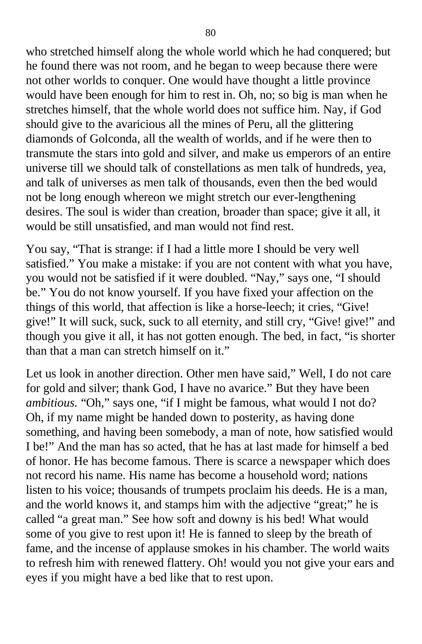who stretched himself along the whole world which he had conquered; but he found there was not room, and he began to weep because there were not other worlds to conquer. One would have thought a little province would have been enough for him to rest in. Oh, no; so big is man when he stretches himself, that the whole world does not suffice him. Nay, if God should give to the avaricious all the mines of Peru, all the glittering diamonds of Golconda, all the wealth of worlds, and if he were then to transmute the stars into gold and silver, and make us emperors of an entire universe till we should talk of constellations as men talk of hundreds, yea, and talk of universes as men talk of thousands, even then the bed would not be long enough whereon we might stretch our ever-lengthening desires. The soul is wider than creation, broader than space; give it all, it would be still unsatisfied, and man would not find rest.

You say, "That is strange: if I had a little more I should be very well satisfied." You make a mistake: if you are not content with what you have, you would not be satisfied if it were doubled. "Nay," says one, "I should be." You do not know yourself. If you have fixed your affection on the things of this world, that affection is like a horse-leech; it cries, "Give! give!" It will suck, suck, suck to all eternity, and still cry, "Give! give!" and though you give it all, it has not gotten enough. The bed, in fact, "is shorter than that a man can stretch himself on it."

Let us look in another direction. Other men have said," Well, I do not care for gold and silver; thank God, I have no avarice." But they have been *ambitious.* "Oh," says one, "if I might be famous, what would I not do? Oh, if my name might be handed down to posterity, as having done something, and having been somebody, a man of note, how satisfied would I be!" And the man has so acted, that he has at last made for himself a bed of honor. He has become famous. There is scarce a newspaper which does not record his name. His name has become a household word; nations listen to his voice; thousands of trumpets proclaim his deeds. He is a man, and the world knows it, and stamps him with the adjective "great;" he is called "a great man." See how soft and downy is his bed! What would some of you give to rest upon it! He is fanned to sleep by the breath of fame, and the incense of applause smokes in his chamber. The world waits to refresh him with renewed flattery. Oh! would you not give your ears and eyes if you might have a bed like that to rest upon.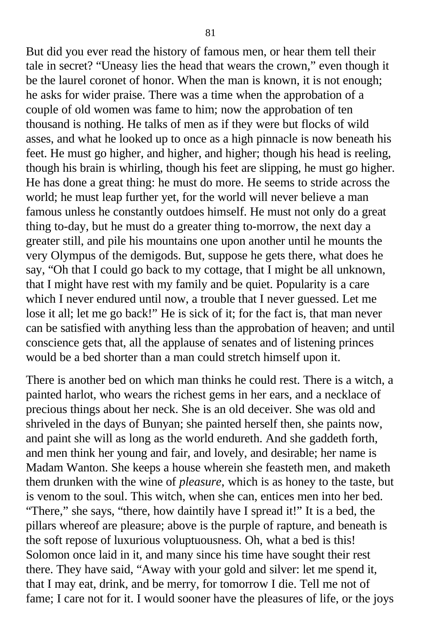But did you ever read the history of famous men, or hear them tell their tale in secret? "Uneasy lies the head that wears the crown," even though it be the laurel coronet of honor. When the man is known, it is not enough; he asks for wider praise. There was a time when the approbation of a couple of old women was fame to him; now the approbation of ten thousand is nothing. He talks of men as if they were but flocks of wild asses, and what he looked up to once as a high pinnacle is now beneath his feet. He must go higher, and higher, and higher; though his head is reeling, though his brain is whirling, though his feet are slipping, he must go higher. He has done a great thing: he must do more. He seems to stride across the world; he must leap further yet, for the world will never believe a man famous unless he constantly outdoes himself. He must not only do a great thing to-day, but he must do a greater thing to-morrow, the next day a greater still, and pile his mountains one upon another until he mounts the very Olympus of the demigods. But, suppose he gets there, what does he say, "Oh that I could go back to my cottage, that I might be all unknown, that I might have rest with my family and be quiet. Popularity is a care which I never endured until now, a trouble that I never guessed. Let me lose it all; let me go back!" He is sick of it; for the fact is, that man never can be satisfied with anything less than the approbation of heaven; and until conscience gets that, all the applause of senates and of listening princes would be a bed shorter than a man could stretch himself upon it.

There is another bed on which man thinks he could rest. There is a witch, a painted harlot, who wears the richest gems in her ears, and a necklace of precious things about her neck. She is an old deceiver. She was old and shriveled in the days of Bunyan; she painted herself then, she paints now, and paint she will as long as the world endureth. And she gaddeth forth, and men think her young and fair, and lovely, and desirable; her name is Madam Wanton. She keeps a house wherein she feasteth men, and maketh them drunken with the wine of *pleasure*, which is as honey to the taste, but is venom to the soul. This witch, when she can, entices men into her bed. "There," she says, "there, how daintily have I spread it!" It is a bed, the pillars whereof are pleasure; above is the purple of rapture, and beneath is the soft repose of luxurious voluptuousness. Oh, what a bed is this! Solomon once laid in it, and many since his time have sought their rest there. They have said, "Away with your gold and silver: let me spend it, that I may eat, drink, and be merry, for tomorrow I die. Tell me not of fame; I care not for it. I would sooner have the pleasures of life, or the joys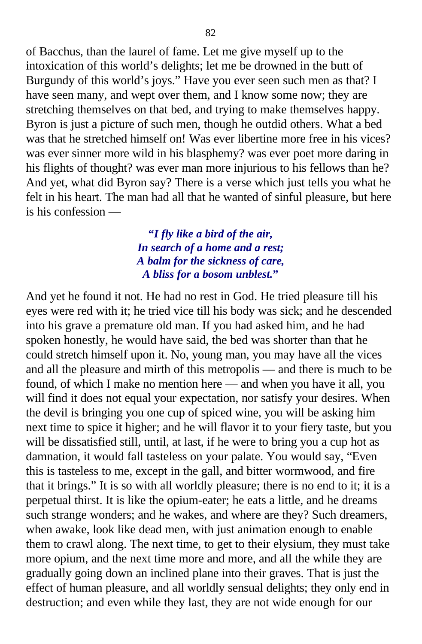of Bacchus, than the laurel of fame. Let me give myself up to the intoxication of this world's delights; let me be drowned in the butt of Burgundy of this world's joys." Have you ever seen such men as that? I have seen many, and wept over them, and I know some now; they are stretching themselves on that bed, and trying to make themselves happy. Byron is just a picture of such men, though he outdid others. What a bed was that he stretched himself on! Was ever libertine more free in his vices? was ever sinner more wild in his blasphemy? was ever poet more daring in his flights of thought? was ever man more injurious to his fellows than he? And yet, what did Byron say? There is a verse which just tells you what he felt in his heart. The man had all that he wanted of sinful pleasure, but here is his confession —

> **"***I fly like a bird of the air, In search of a home and a rest; A balm for the sickness of care, A bliss for a bosom unblest.***"**

And yet he found it not. He had no rest in God. He tried pleasure till his eyes were red with it; he tried vice till his body was sick; and he descended into his grave a premature old man. If you had asked him, and he had spoken honestly, he would have said, the bed was shorter than that he could stretch himself upon it. No, young man, you may have all the vices and all the pleasure and mirth of this metropolis — and there is much to be found, of which I make no mention here — and when you have it all, you will find it does not equal your expectation, nor satisfy your desires. When the devil is bringing you one cup of spiced wine, you will be asking him next time to spice it higher; and he will flavor it to your fiery taste, but you will be dissatisfied still, until, at last, if he were to bring you a cup hot as damnation, it would fall tasteless on your palate. You would say, "Even this is tasteless to me, except in the gall, and bitter wormwood, and fire that it brings." It is so with all worldly pleasure; there is no end to it; it is a perpetual thirst. It is like the opium-eater; he eats a little, and he dreams such strange wonders; and he wakes, and where are they? Such dreamers, when awake, look like dead men, with just animation enough to enable them to crawl along. The next time, to get to their elysium, they must take more opium, and the next time more and more, and all the while they are gradually going down an inclined plane into their graves. That is just the effect of human pleasure, and all worldly sensual delights; they only end in destruction; and even while they last, they are not wide enough for our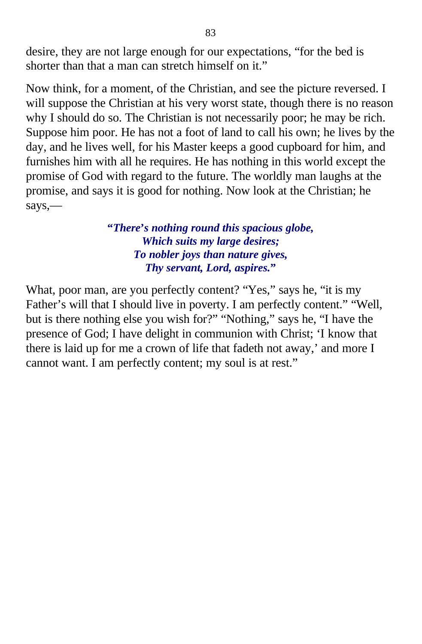desire, they are not large enough for our expectations, "for the bed is shorter than that a man can stretch himself on it."

Now think, for a moment, of the Christian, and see the picture reversed. I will suppose the Christian at his very worst state, though there is no reason why I should do so. The Christian is not necessarily poor; he may be rich. Suppose him poor. He has not a foot of land to call his own; he lives by the day, and he lives well, for his Master keeps a good cupboard for him, and furnishes him with all he requires. He has nothing in this world except the promise of God with regard to the future. The worldly man laughs at the promise, and says it is good for nothing. Now look at the Christian; he says,—

#### **"***There***'***s nothing round this spacious globe, Which suits my large desires; To nobler joys than nature gives, Thy servant, Lord, aspires.***"**

What, poor man, are you perfectly content? "Yes," says he, "it is my Father's will that I should live in poverty. I am perfectly content." "Well, but is there nothing else you wish for?" "Nothing," says he, "I have the presence of God; I have delight in communion with Christ; 'I know that there is laid up for me a crown of life that fadeth not away,' and more I cannot want. I am perfectly content; my soul is at rest."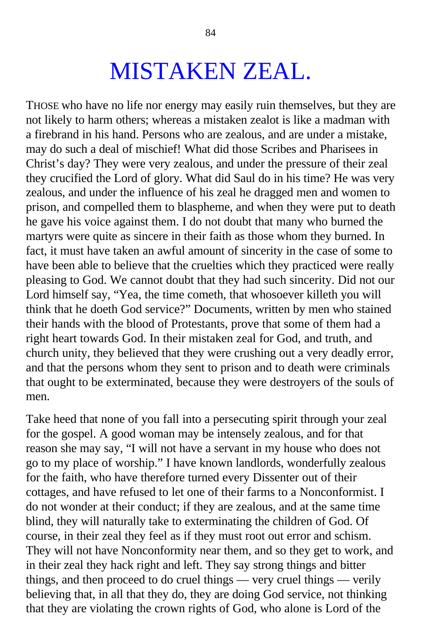### MISTAKEN ZEAL.

THOSE who have no life nor energy may easily ruin themselves, but they are not likely to harm others; whereas a mistaken zealot is like a madman with a firebrand in his hand. Persons who are zealous, and are under a mistake, may do such a deal of mischief! What did those Scribes and Pharisees in Christ's day? They were very zealous, and under the pressure of their zeal they crucified the Lord of glory. What did Saul do in his time? He was very zealous, and under the influence of his zeal he dragged men and women to prison, and compelled them to blaspheme, and when they were put to death he gave his voice against them. I do not doubt that many who burned the martyrs were quite as sincere in their faith as those whom they burned. In fact, it must have taken an awful amount of sincerity in the case of some to have been able to believe that the cruelties which they practiced were really pleasing to God. We cannot doubt that they had such sincerity. Did not our Lord himself say, "Yea, the time cometh, that whosoever killeth you will think that he doeth God service?" Documents, written by men who stained their hands with the blood of Protestants, prove that some of them had a right heart towards God. In their mistaken zeal for God, and truth, and church unity, they believed that they were crushing out a very deadly error, and that the persons whom they sent to prison and to death were criminals that ought to be exterminated, because they were destroyers of the souls of men.

Take heed that none of you fall into a persecuting spirit through your zeal for the gospel. A good woman may be intensely zealous, and for that reason she may say, "I will not have a servant in my house who does not go to my place of worship." I have known landlords, wonderfully zealous for the faith, who have therefore turned every Dissenter out of their cottages, and have refused to let one of their farms to a Nonconformist. I do not wonder at their conduct; if they are zealous, and at the same time blind, they will naturally take to exterminating the children of God. Of course, in their zeal they feel as if they must root out error and schism. They will not have Nonconformity near them, and so they get to work, and in their zeal they hack right and left. They say strong things and bitter things, and then proceed to do cruel things — very cruel things — verily believing that, in all that they do, they are doing God service, not thinking that they are violating the crown rights of God, who alone is Lord of the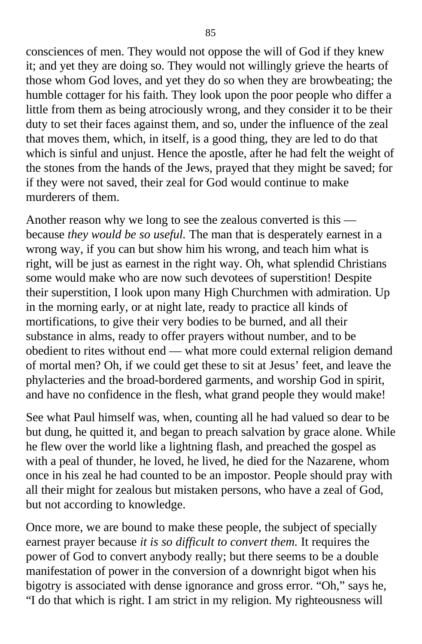consciences of men. They would not oppose the will of God if they knew it; and yet they are doing so. They would not willingly grieve the hearts of those whom God loves, and yet they do so when they are browbeating; the humble cottager for his faith. They look upon the poor people who differ a little from them as being atrociously wrong, and they consider it to be their duty to set their faces against them, and so, under the influence of the zeal that moves them, which, in itself, is a good thing, they are led to do that which is sinful and unjust. Hence the apostle, after he had felt the weight of the stones from the hands of the Jews, prayed that they might be saved; for if they were not saved, their zeal for God would continue to make murderers of them.

Another reason why we long to see the zealous converted is this because *they would be so useful.* The man that is desperately earnest in a wrong way, if you can but show him his wrong, and teach him what is right, will be just as earnest in the right way. Oh, what splendid Christians some would make who are now such devotees of superstition! Despite their superstition, I look upon many High Churchmen with admiration. Up in the morning early, or at night late, ready to practice all kinds of mortifications, to give their very bodies to be burned, and all their substance in alms, ready to offer prayers without number, and to be obedient to rites without end — what more could external religion demand of mortal men? Oh, if we could get these to sit at Jesus' feet, and leave the phylacteries and the broad-bordered garments, and worship God in spirit, and have no confidence in the flesh, what grand people they would make!

See what Paul himself was, when, counting all he had valued so dear to be but dung, he quitted it, and began to preach salvation by grace alone. While he flew over the world like a lightning flash, and preached the gospel as with a peal of thunder, he loved, he lived, he died for the Nazarene, whom once in his zeal he had counted to be an impostor. People should pray with all their might for zealous but mistaken persons, who have a zeal of God, but not according to knowledge.

Once more, we are bound to make these people, the subject of specially earnest prayer because *it is so difficult to convert them.* It requires the power of God to convert anybody really; but there seems to be a double manifestation of power in the conversion of a downright bigot when his bigotry is associated with dense ignorance and gross error. "Oh," says he, "I do that which is right. I am strict in my religion. My righteousness will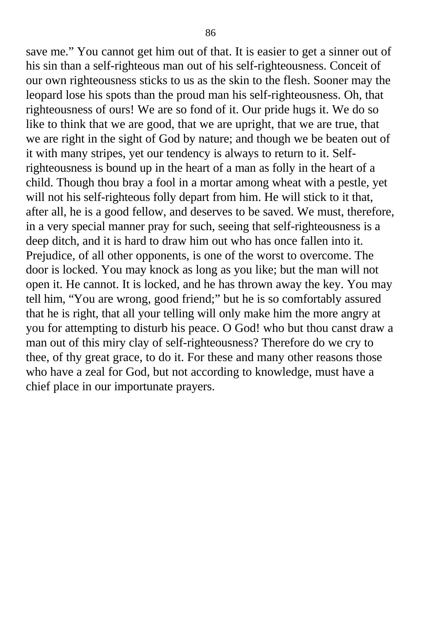save me." You cannot get him out of that. It is easier to get a sinner out of his sin than a self-righteous man out of his self-righteousness. Conceit of our own righteousness sticks to us as the skin to the flesh. Sooner may the leopard lose his spots than the proud man his self-righteousness. Oh, that righteousness of ours! We are so fond of it. Our pride hugs it. We do so like to think that we are good, that we are upright, that we are true, that we are right in the sight of God by nature; and though we be beaten out of it with many stripes, yet our tendency is always to return to it. Selfrighteousness is bound up in the heart of a man as folly in the heart of a child. Though thou bray a fool in a mortar among wheat with a pestle, yet will not his self-righteous folly depart from him. He will stick to it that, after all, he is a good fellow, and deserves to be saved. We must, therefore, in a very special manner pray for such, seeing that self-righteousness is a deep ditch, and it is hard to draw him out who has once fallen into it. Prejudice, of all other opponents, is one of the worst to overcome. The door is locked. You may knock as long as you like; but the man will not open it. He cannot. It is locked, and he has thrown away the key. You may tell him, "You are wrong, good friend;" but he is so comfortably assured that he is right, that all your telling will only make him the more angry at you for attempting to disturb his peace. O God! who but thou canst draw a man out of this miry clay of self-righteousness? Therefore do we cry to thee, of thy great grace, to do it. For these and many other reasons those who have a zeal for God, but not according to knowledge, must have a chief place in our importunate prayers.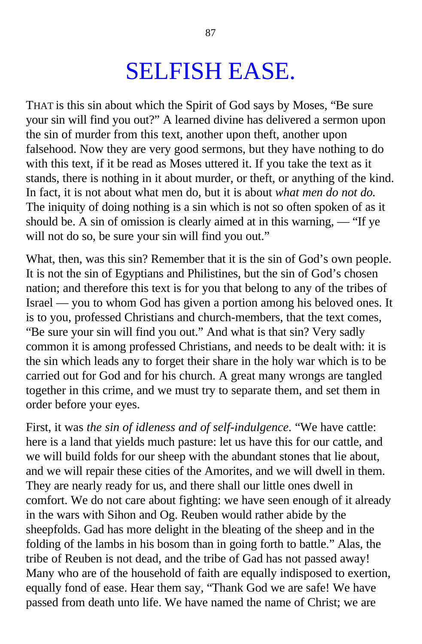#### SELFISH EASE.

THAT is this sin about which the Spirit of God says by Moses, "Be sure your sin will find you out?" A learned divine has delivered a sermon upon the sin of murder from this text, another upon theft, another upon falsehood. Now they are very good sermons, but they have nothing to do with this text, if it be read as Moses uttered it. If you take the text as it stands, there is nothing in it about murder, or theft, or anything of the kind. In fact, it is not about what men do, but it is about *what men do not do.* The iniquity of doing nothing is a sin which is not so often spoken of as it should be. A sin of omission is clearly aimed at in this warning, — "If ye will not do so, be sure your sin will find you out."

What, then, was this sin? Remember that it is the sin of God's own people. It is not the sin of Egyptians and Philistines, but the sin of God's chosen nation; and therefore this text is for you that belong to any of the tribes of Israel — you to whom God has given a portion among his beloved ones. It is to you, professed Christians and church-members, that the text comes, "Be sure your sin will find you out." And what is that sin? Very sadly common it is among professed Christians, and needs to be dealt with: it is the sin which leads any to forget their share in the holy war which is to be carried out for God and for his church. A great many wrongs are tangled together in this crime, and we must try to separate them, and set them in order before your eyes.

First, it was *the sin of idleness and of self-indulgence.* "We have cattle: here is a land that yields much pasture: let us have this for our cattle, and we will build folds for our sheep with the abundant stones that lie about, and we will repair these cities of the Amorites, and we will dwell in them. They are nearly ready for us, and there shall our little ones dwell in comfort. We do not care about fighting: we have seen enough of it already in the wars with Sihon and Og. Reuben would rather abide by the sheepfolds. Gad has more delight in the bleating of the sheep and in the folding of the lambs in his bosom than in going forth to battle." Alas, the tribe of Reuben is not dead, and the tribe of Gad has not passed away! Many who are of the household of faith are equally indisposed to exertion, equally fond of ease. Hear them say, "Thank God we are safe! We have passed from death unto life. We have named the name of Christ; we are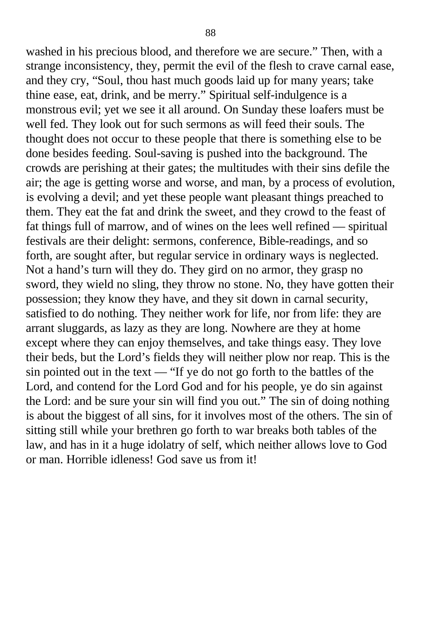washed in his precious blood, and therefore we are secure." Then, with a strange inconsistency, they, permit the evil of the flesh to crave carnal ease, and they cry, "Soul, thou hast much goods laid up for many years; take thine ease, eat, drink, and be merry." Spiritual self-indulgence is a monstrous evil; yet we see it all around. On Sunday these loafers must be well fed. They look out for such sermons as will feed their souls. The thought does not occur to these people that there is something else to be done besides feeding. Soul-saving is pushed into the background. The crowds are perishing at their gates; the multitudes with their sins defile the air; the age is getting worse and worse, and man, by a process of evolution, is evolving a devil; and yet these people want pleasant things preached to them. They eat the fat and drink the sweet, and they crowd to the feast of fat things full of marrow, and of wines on the lees well refined — spiritual festivals are their delight: sermons, conference, Bible-readings, and so forth, are sought after, but regular service in ordinary ways is neglected. Not a hand's turn will they do. They gird on no armor, they grasp no sword, they wield no sling, they throw no stone. No, they have gotten their possession; they know they have, and they sit down in carnal security, satisfied to do nothing. They neither work for life, nor from life: they are arrant sluggards, as lazy as they are long. Nowhere are they at home except where they can enjoy themselves, and take things easy. They love their beds, but the Lord's fields they will neither plow nor reap. This is the  $sin$  pointed out in the text  $-$  "If ye do not go forth to the battles of the Lord, and contend for the Lord God and for his people, ye do sin against the Lord: and be sure your sin will find you out." The sin of doing nothing is about the biggest of all sins, for it involves most of the others. The sin of sitting still while your brethren go forth to war breaks both tables of the law, and has in it a huge idolatry of self, which neither allows love to God or man. Horrible idleness! God save us from it!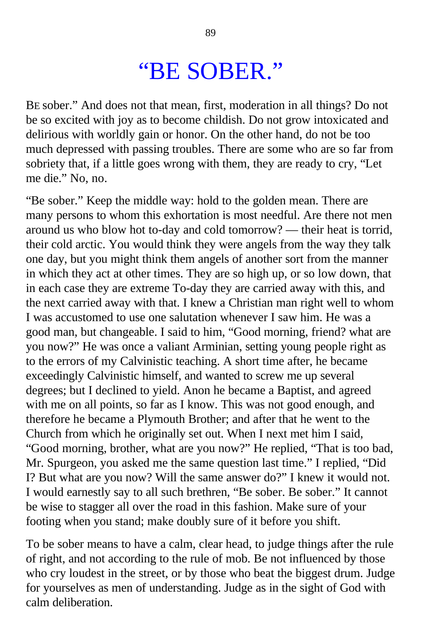#### "BE SOBER."

BE sober." And does not that mean, first, moderation in all things? Do not be so excited with joy as to become childish. Do not grow intoxicated and delirious with worldly gain or honor. On the other hand, do not be too much depressed with passing troubles. There are some who are so far from sobriety that, if a little goes wrong with them, they are ready to cry, "Let me die." No, no.

"Be sober." Keep the middle way: hold to the golden mean. There are many persons to whom this exhortation is most needful. Are there not men around us who blow hot to-day and cold tomorrow? — their heat is torrid, their cold arctic. You would think they were angels from the way they talk one day, but you might think them angels of another sort from the manner in which they act at other times. They are so high up, or so low down, that in each case they are extreme To-day they are carried away with this, and the next carried away with that. I knew a Christian man right well to whom I was accustomed to use one salutation whenever I saw him. He was a good man, but changeable. I said to him, "Good morning, friend? what are you now?" He was once a valiant Arminian, setting young people right as to the errors of my Calvinistic teaching. A short time after, he became exceedingly Calvinistic himself, and wanted to screw me up several degrees; but I declined to yield. Anon he became a Baptist, and agreed with me on all points, so far as I know. This was not good enough, and therefore he became a Plymouth Brother; and after that he went to the Church from which he originally set out. When I next met him I said, "Good morning, brother, what are you now?" He replied, "That is too bad, Mr. Spurgeon, you asked me the same question last time." I replied, "Did I? But what are you now? Will the same answer do?" I knew it would not. I would earnestly say to all such brethren, "Be sober. Be sober." It cannot be wise to stagger all over the road in this fashion. Make sure of your footing when you stand; make doubly sure of it before you shift.

To be sober means to have a calm, clear head, to judge things after the rule of right, and not according to the rule of mob. Be not influenced by those who cry loudest in the street, or by those who beat the biggest drum. Judge for yourselves as men of understanding. Judge as in the sight of God with calm deliberation.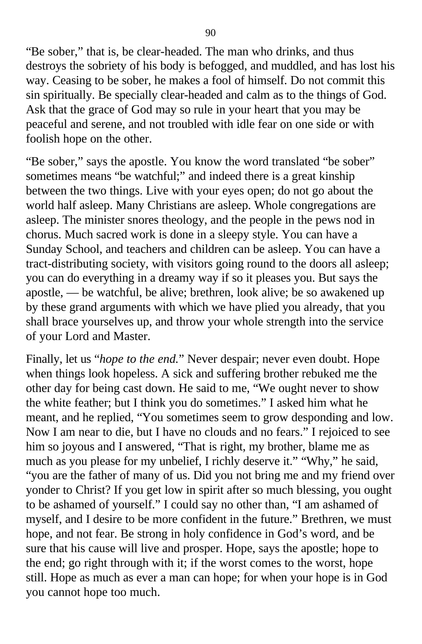"Be sober," that is, be clear-headed. The man who drinks, and thus destroys the sobriety of his body is befogged, and muddled, and has lost his way. Ceasing to be sober, he makes a fool of himself. Do not commit this sin spiritually. Be specially clear-headed and calm as to the things of God. Ask that the grace of God may so rule in your heart that you may be peaceful and serene, and not troubled with idle fear on one side or with foolish hope on the other.

"Be sober," says the apostle. You know the word translated "be sober" sometimes means "be watchful;" and indeed there is a great kinship between the two things. Live with your eyes open; do not go about the world half asleep. Many Christians are asleep. Whole congregations are asleep. The minister snores theology, and the people in the pews nod in chorus. Much sacred work is done in a sleepy style. You can have a Sunday School, and teachers and children can be asleep. You can have a tract-distributing society, with visitors going round to the doors all asleep; you can do everything in a dreamy way if so it pleases you. But says the apostle, — be watchful, be alive; brethren, look alive; be so awakened up by these grand arguments with which we have plied you already, that you shall brace yourselves up, and throw your whole strength into the service of your Lord and Master.

Finally, let us "*hope to the end.*" Never despair; never even doubt. Hope when things look hopeless. A sick and suffering brother rebuked me the other day for being cast down. He said to me, "We ought never to show the white feather; but I think you do sometimes." I asked him what he meant, and he replied, "You sometimes seem to grow desponding and low. Now I am near to die, but I have no clouds and no fears." I rejoiced to see him so joyous and I answered, "That is right, my brother, blame me as much as you please for my unbelief, I richly deserve it." "Why," he said, "you are the father of many of us. Did you not bring me and my friend over yonder to Christ? If you get low in spirit after so much blessing, you ought to be ashamed of yourself." I could say no other than, "I am ashamed of myself, and I desire to be more confident in the future." Brethren, we must hope, and not fear. Be strong in holy confidence in God's word, and be sure that his cause will live and prosper. Hope, says the apostle; hope to the end; go right through with it; if the worst comes to the worst, hope still. Hope as much as ever a man can hope; for when your hope is in God you cannot hope too much.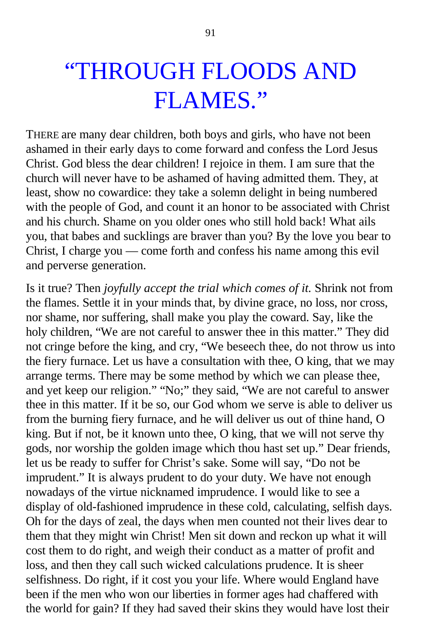## "THROUGH FLOODS AND FLAMES."

THERE are many dear children, both boys and girls, who have not been ashamed in their early days to come forward and confess the Lord Jesus Christ. God bless the dear children! I rejoice in them. I am sure that the church will never have to be ashamed of having admitted them. They, at least, show no cowardice: they take a solemn delight in being numbered with the people of God, and count it an honor to be associated with Christ and his church. Shame on you older ones who still hold back! What ails you, that babes and sucklings are braver than you? By the love you bear to Christ, I charge you — come forth and confess his name among this evil and perverse generation.

Is it true? Then *joyfully accept the trial which comes of it.* Shrink not from the flames. Settle it in your minds that, by divine grace, no loss, nor cross, nor shame, nor suffering, shall make you play the coward. Say, like the holy children, "We are not careful to answer thee in this matter." They did not cringe before the king, and cry, "We beseech thee, do not throw us into the fiery furnace. Let us have a consultation with thee, O king, that we may arrange terms. There may be some method by which we can please thee, and yet keep our religion." "No;" they said, "We are not careful to answer thee in this matter. If it be so, our God whom we serve is able to deliver us from the burning fiery furnace, and he will deliver us out of thine hand, O king. But if not, be it known unto thee, O king, that we will not serve thy gods, nor worship the golden image which thou hast set up." Dear friends, let us be ready to suffer for Christ's sake. Some will say, "Do not be imprudent." It is always prudent to do your duty. We have not enough nowadays of the virtue nicknamed imprudence. I would like to see a display of old-fashioned imprudence in these cold, calculating, selfish days. Oh for the days of zeal, the days when men counted not their lives dear to them that they might win Christ! Men sit down and reckon up what it will cost them to do right, and weigh their conduct as a matter of profit and loss, and then they call such wicked calculations prudence. It is sheer selfishness. Do right, if it cost you your life. Where would England have been if the men who won our liberties in former ages had chaffered with the world for gain? If they had saved their skins they would have lost their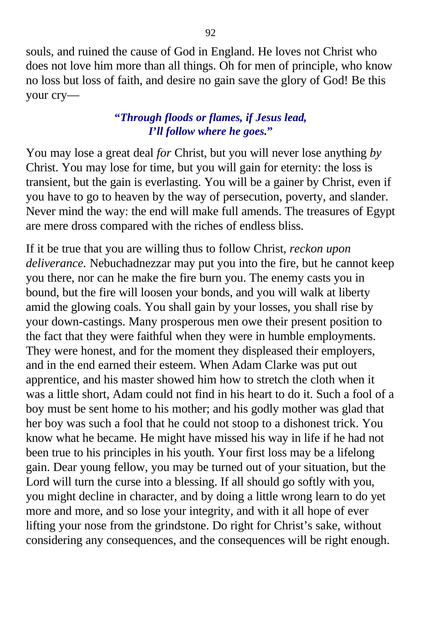souls, and ruined the cause of God in England. He loves not Christ who does not love him more than all things. Oh for men of principle, who know no loss but loss of faith, and desire no gain save the glory of God! Be this your cry—

#### **"***Through floods or flames, if Jesus lead, I***'***ll follow where he goes.***"**

You may lose a great deal *for* Christ, but you will never lose anything *by* Christ. You may lose for time, but you will gain for eternity: the loss is transient, but the gain is everlasting. You will be a gainer by Christ, even if you have to go to heaven by the way of persecution, poverty, and slander. Never mind the way: the end will make full amends. The treasures of Egypt are mere dross compared with the riches of endless bliss.

If it be true that you are willing thus to follow Christ, *reckon upon deliverance.* Nebuchadnezzar may put you into the fire, but he cannot keep you there, nor can he make the fire burn you. The enemy casts you in bound, but the fire will loosen your bonds, and you will walk at liberty amid the glowing coals. You shall gain by your losses, you shall rise by your down-castings. Many prosperous men owe their present position to the fact that they were faithful when they were in humble employments. They were honest, and for the moment they displeased their employers, and in the end earned their esteem. When Adam Clarke was put out apprentice, and his master showed him how to stretch the cloth when it was a little short, Adam could not find in his heart to do it. Such a fool of a boy must be sent home to his mother; and his godly mother was glad that her boy was such a fool that he could not stoop to a dishonest trick. You know what he became. He might have missed his way in life if he had not been true to his principles in his youth. Your first loss may be a lifelong gain. Dear young fellow, you may be turned out of your situation, but the Lord will turn the curse into a blessing. If all should go softly with you, you might decline in character, and by doing a little wrong learn to do yet more and more, and so lose your integrity, and with it all hope of ever lifting your nose from the grindstone. Do right for Christ's sake, without considering any consequences, and the consequences will be right enough.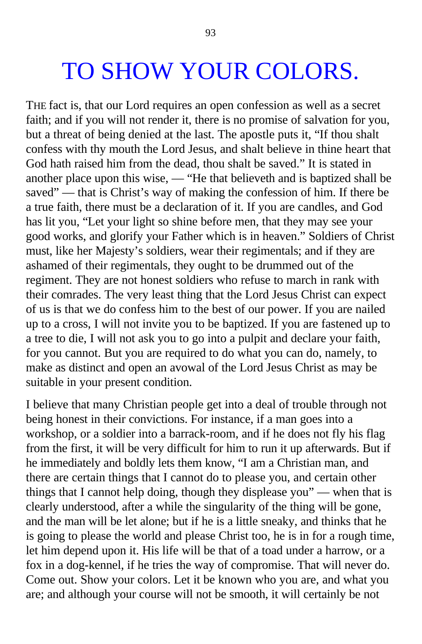### TO SHOW YOUR COLORS.

THE fact is, that our Lord requires an open confession as well as a secret faith; and if you will not render it, there is no promise of salvation for you, but a threat of being denied at the last. The apostle puts it, "If thou shalt confess with thy mouth the Lord Jesus, and shalt believe in thine heart that God hath raised him from the dead, thou shalt be saved." It is stated in another place upon this wise, — "He that believeth and is baptized shall be saved" — that is Christ's way of making the confession of him. If there be a true faith, there must be a declaration of it. If you are candles, and God has lit you, "Let your light so shine before men, that they may see your good works, and glorify your Father which is in heaven." Soldiers of Christ must, like her Majesty's soldiers, wear their regimentals; and if they are ashamed of their regimentals, they ought to be drummed out of the regiment. They are not honest soldiers who refuse to march in rank with their comrades. The very least thing that the Lord Jesus Christ can expect of us is that we do confess him to the best of our power. If you are nailed up to a cross, I will not invite you to be baptized. If you are fastened up to a tree to die, I will not ask you to go into a pulpit and declare your faith, for you cannot. But you are required to do what you can do, namely, to make as distinct and open an avowal of the Lord Jesus Christ as may be suitable in your present condition.

I believe that many Christian people get into a deal of trouble through not being honest in their convictions. For instance, if a man goes into a workshop, or a soldier into a barrack-room, and if he does not fly his flag from the first, it will be very difficult for him to run it up afterwards. But if he immediately and boldly lets them know, "I am a Christian man, and there are certain things that I cannot do to please you, and certain other things that I cannot help doing, though they displease you" — when that is clearly understood, after a while the singularity of the thing will be gone, and the man will be let alone; but if he is a little sneaky, and thinks that he is going to please the world and please Christ too, he is in for a rough time, let him depend upon it. His life will be that of a toad under a harrow, or a fox in a dog-kennel, if he tries the way of compromise. That will never do. Come out. Show your colors. Let it be known who you are, and what you are; and although your course will not be smooth, it will certainly be not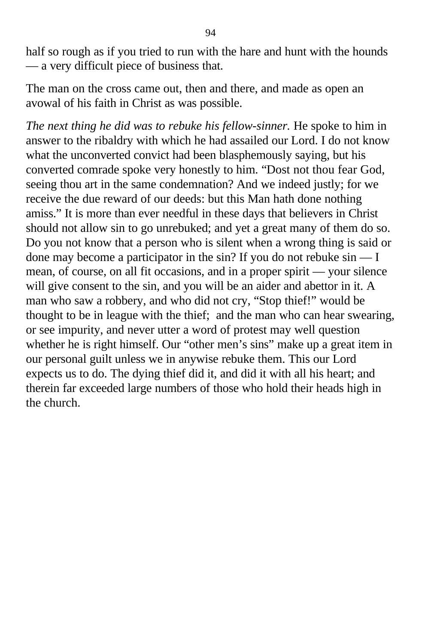half so rough as if you tried to run with the hare and hunt with the hounds — a very difficult piece of business that.

The man on the cross came out, then and there, and made as open an avowal of his faith in Christ as was possible.

*The next thing he did was to rebuke his fellow-sinner.* He spoke to him in answer to the ribaldry with which he had assailed our Lord. I do not know what the unconverted convict had been blasphemously saying, but his converted comrade spoke very honestly to him. "Dost not thou fear God, seeing thou art in the same condemnation? And we indeed justly; for we receive the due reward of our deeds: but this Man hath done nothing amiss." It is more than ever needful in these days that believers in Christ should not allow sin to go unrebuked; and yet a great many of them do so. Do you not know that a person who is silent when a wrong thing is said or done may become a participator in the sin? If you do not rebuke  $sin - I$ mean, of course, on all fit occasions, and in a proper spirit — your silence will give consent to the sin, and you will be an aider and abettor in it. A man who saw a robbery, and who did not cry, "Stop thief!" would be thought to be in league with the thief; and the man who can hear swearing, or see impurity, and never utter a word of protest may well question whether he is right himself. Our "other men's sins" make up a great item in our personal guilt unless we in anywise rebuke them. This our Lord expects us to do. The dying thief did it, and did it with all his heart; and therein far exceeded large numbers of those who hold their heads high in the church.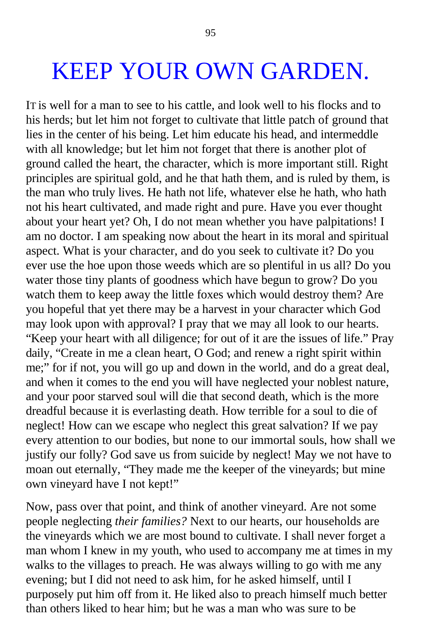#### KEEP YOUR OWN GARDEN.

IT is well for a man to see to his cattle, and look well to his flocks and to his herds; but let him not forget to cultivate that little patch of ground that lies in the center of his being. Let him educate his head, and intermeddle with all knowledge; but let him not forget that there is another plot of ground called the heart, the character, which is more important still. Right principles are spiritual gold, and he that hath them, and is ruled by them, is the man who truly lives. He hath not life, whatever else he hath, who hath not his heart cultivated, and made right and pure. Have you ever thought about your heart yet? Oh, I do not mean whether you have palpitations! I am no doctor. I am speaking now about the heart in its moral and spiritual aspect. What is your character, and do you seek to cultivate it? Do you ever use the hoe upon those weeds which are so plentiful in us all? Do you water those tiny plants of goodness which have begun to grow? Do you watch them to keep away the little foxes which would destroy them? Are you hopeful that yet there may be a harvest in your character which God may look upon with approval? I pray that we may all look to our hearts. "Keep your heart with all diligence; for out of it are the issues of life." Pray daily, "Create in me a clean heart, O God; and renew a right spirit within me;" for if not, you will go up and down in the world, and do a great deal, and when it comes to the end you will have neglected your noblest nature, and your poor starved soul will die that second death, which is the more dreadful because it is everlasting death. How terrible for a soul to die of neglect! How can we escape who neglect this great salvation? If we pay every attention to our bodies, but none to our immortal souls, how shall we justify our folly? God save us from suicide by neglect! May we not have to moan out eternally, "They made me the keeper of the vineyards; but mine own vineyard have I not kept!"

Now, pass over that point, and think of another vineyard. Are not some people neglecting *their families?* Next to our hearts, our households are the vineyards which we are most bound to cultivate. I shall never forget a man whom I knew in my youth, who used to accompany me at times in my walks to the villages to preach. He was always willing to go with me any evening; but I did not need to ask him, for he asked himself, until I purposely put him off from it. He liked also to preach himself much better than others liked to hear him; but he was a man who was sure to be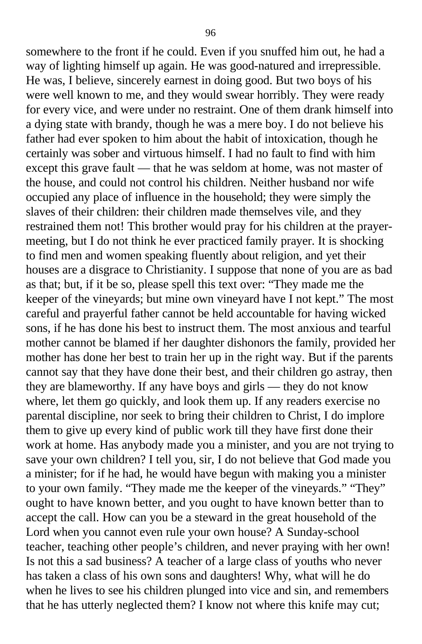somewhere to the front if he could. Even if you snuffed him out, he had a way of lighting himself up again. He was good-natured and irrepressible. He was, I believe, sincerely earnest in doing good. But two boys of his were well known to me, and they would swear horribly. They were ready for every vice, and were under no restraint. One of them drank himself into a dying state with brandy, though he was a mere boy. I do not believe his father had ever spoken to him about the habit of intoxication, though he certainly was sober and virtuous himself. I had no fault to find with him except this grave fault — that he was seldom at home, was not master of the house, and could not control his children. Neither husband nor wife occupied any place of influence in the household; they were simply the slaves of their children: their children made themselves vile, and they restrained them not! This brother would pray for his children at the prayermeeting, but I do not think he ever practiced family prayer. It is shocking to find men and women speaking fluently about religion, and yet their houses are a disgrace to Christianity. I suppose that none of you are as bad as that; but, if it be so, please spell this text over: "They made me the keeper of the vineyards; but mine own vineyard have I not kept." The most careful and prayerful father cannot be held accountable for having wicked sons, if he has done his best to instruct them. The most anxious and tearful mother cannot be blamed if her daughter dishonors the family, provided her mother has done her best to train her up in the right way. But if the parents cannot say that they have done their best, and their children go astray, then they are blameworthy. If any have boys and girls — they do not know where, let them go quickly, and look them up. If any readers exercise no parental discipline, nor seek to bring their children to Christ, I do implore them to give up every kind of public work till they have first done their work at home. Has anybody made you a minister, and you are not trying to save your own children? I tell you, sir, I do not believe that God made you a minister; for if he had, he would have begun with making you a minister to your own family. "They made me the keeper of the vineyards." "They" ought to have known better, and you ought to have known better than to accept the call. How can you be a steward in the great household of the Lord when you cannot even rule your own house? A Sunday-school teacher, teaching other people's children, and never praying with her own! Is not this a sad business? A teacher of a large class of youths who never has taken a class of his own sons and daughters! Why, what will he do when he lives to see his children plunged into vice and sin, and remembers that he has utterly neglected them? I know not where this knife may cut;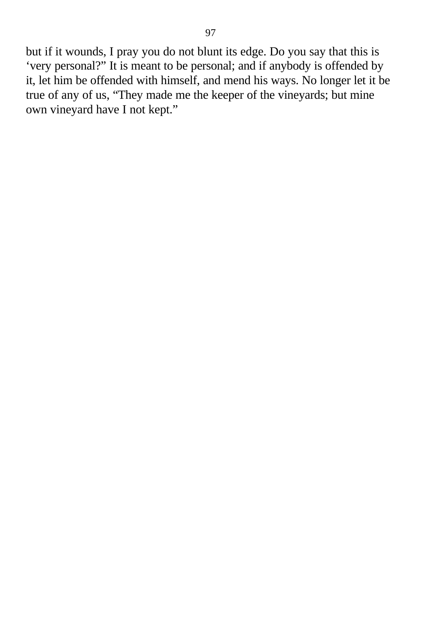97

but if it wounds, I pray you do not blunt its edge. Do you say that this is 'very personal?" It is meant to be personal; and if anybody is offended by it, let him be offended with himself, and mend his ways. No longer let it be true of any of us, "They made me the keeper of the vineyards; but mine own vineyard have I not kept."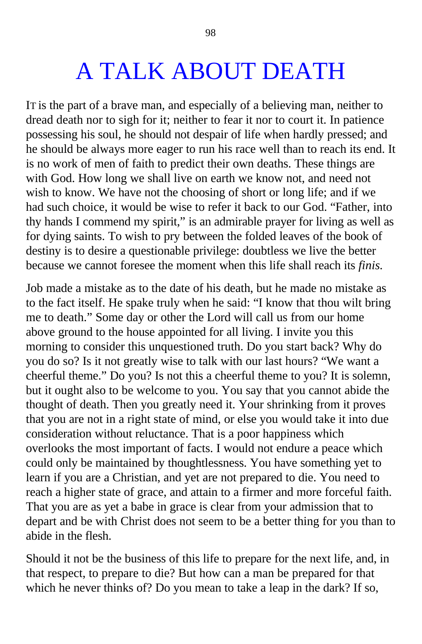# A TALK ABOUT DEATH

IT is the part of a brave man, and especially of a believing man, neither to dread death nor to sigh for it; neither to fear it nor to court it. In patience possessing his soul, he should not despair of life when hardly pressed; and he should be always more eager to run his race well than to reach its end. It is no work of men of faith to predict their own deaths. These things are with God. How long we shall live on earth we know not, and need not wish to know. We have not the choosing of short or long life; and if we had such choice, it would be wise to refer it back to our God. "Father, into thy hands I commend my spirit," is an admirable prayer for living as well as for dying saints. To wish to pry between the folded leaves of the book of destiny is to desire a questionable privilege: doubtless we live the better because we cannot foresee the moment when this life shall reach its *finis.*

Job made a mistake as to the date of his death, but he made no mistake as to the fact itself. He spake truly when he said: "I know that thou wilt bring me to death." Some day or other the Lord will call us from our home above ground to the house appointed for all living. I invite you this morning to consider this unquestioned truth. Do you start back? Why do you do so? Is it not greatly wise to talk with our last hours? "We want a cheerful theme." Do you? Is not this a cheerful theme to you? It is solemn, but it ought also to be welcome to you. You say that you cannot abide the thought of death. Then you greatly need it. Your shrinking from it proves that you are not in a right state of mind, or else you would take it into due consideration without reluctance. That is a poor happiness which overlooks the most important of facts. I would not endure a peace which could only be maintained by thoughtlessness. You have something yet to learn if you are a Christian, and yet are not prepared to die. You need to reach a higher state of grace, and attain to a firmer and more forceful faith. That you are as yet a babe in grace is clear from your admission that to depart and be with Christ does not seem to be a better thing for you than to abide in the flesh.

Should it not be the business of this life to prepare for the next life, and, in that respect, to prepare to die? But how can a man be prepared for that which he never thinks of? Do you mean to take a leap in the dark? If so,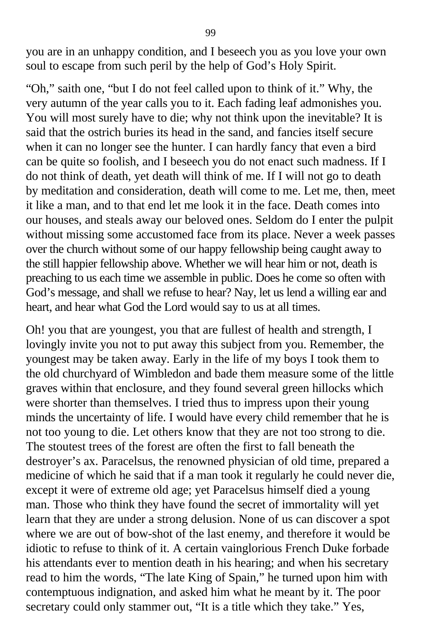you are in an unhappy condition, and I beseech you as you love your own soul to escape from such peril by the help of God's Holy Spirit.

"Oh," saith one, "but I do not feel called upon to think of it." Why, the very autumn of the year calls you to it. Each fading leaf admonishes you. You will most surely have to die; why not think upon the inevitable? It is said that the ostrich buries its head in the sand, and fancies itself secure when it can no longer see the hunter. I can hardly fancy that even a bird can be quite so foolish, and I beseech you do not enact such madness. If I do not think of death, yet death will think of me. If I will not go to death by meditation and consideration, death will come to me. Let me, then, meet it like a man, and to that end let me look it in the face. Death comes into our houses, and steals away our beloved ones. Seldom do I enter the pulpit without missing some accustomed face from its place. Never a week passes over the church without some of our happy fellowship being caught away to the still happier fellowship above. Whether we will hear him or not, death is preaching to us each time we assemble in public. Does he come so often with God's message, and shall we refuse to hear? Nay, let us lend a willing ear and heart, and hear what God the Lord would say to us at all times.

Oh! you that are youngest, you that are fullest of health and strength, I lovingly invite you not to put away this subject from you. Remember, the youngest may be taken away. Early in the life of my boys I took them to the old churchyard of Wimbledon and bade them measure some of the little graves within that enclosure, and they found several green hillocks which were shorter than themselves. I tried thus to impress upon their young minds the uncertainty of life. I would have every child remember that he is not too young to die. Let others know that they are not too strong to die. The stoutest trees of the forest are often the first to fall beneath the destroyer's ax. Paracelsus, the renowned physician of old time, prepared a medicine of which he said that if a man took it regularly he could never die, except it were of extreme old age; yet Paracelsus himself died a young man. Those who think they have found the secret of immortality will yet learn that they are under a strong delusion. None of us can discover a spot where we are out of bow-shot of the last enemy, and therefore it would be idiotic to refuse to think of it. A certain vainglorious French Duke forbade his attendants ever to mention death in his hearing; and when his secretary read to him the words, "The late King of Spain," he turned upon him with contemptuous indignation, and asked him what he meant by it. The poor secretary could only stammer out, "It is a title which they take." Yes,